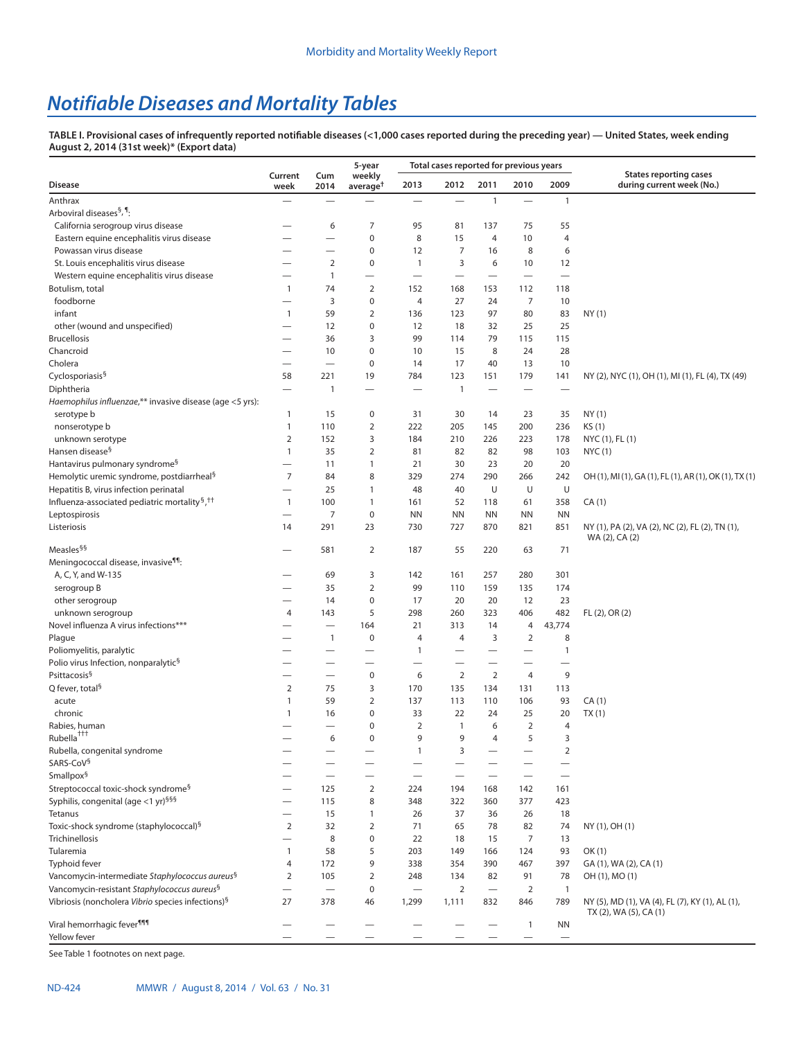# *Notifiable Diseases and Mortality Tables*

**TABLE I. Provisional cases of infrequently reported notifiable diseases (<1,000 cases reported during the preceding year) — United States, week ending August 2, 2014 (31st week)\* [\(Export data\)](https://data.cdc.gov/NNDSS/NNDSS-Table-I-infrequently-reported-notifiable-dis/wcwi-x3uk)**

|                                                                        |                          |                          | 5-year                         |                   | Total cases reported for previous years |                   |                          |                |                                                                           |
|------------------------------------------------------------------------|--------------------------|--------------------------|--------------------------------|-------------------|-----------------------------------------|-------------------|--------------------------|----------------|---------------------------------------------------------------------------|
| <b>Disease</b>                                                         | Current<br>week          | Cum<br>2014              | weekly<br>average <sup>†</sup> | 2013              | 2012                                    | 2011              | 2010                     | 2009           | <b>States reporting cases</b><br>during current week (No.)                |
| Anthrax                                                                |                          |                          |                                | —                 |                                         | $\overline{1}$    |                          | $\mathbf{1}$   |                                                                           |
| Arboviral diseases <sup>§, ¶</sup> :                                   |                          |                          |                                |                   |                                         |                   |                          |                |                                                                           |
| California serogroup virus disease                                     |                          | 6                        | 7                              | 95                | 81                                      | 137               | 75                       | 55             |                                                                           |
| Eastern equine encephalitis virus disease                              |                          | $\overline{\phantom{0}}$ | $\pmb{0}$                      | 8                 | 15                                      | 4                 | 10                       | $\overline{4}$ |                                                                           |
| Powassan virus disease                                                 | $\overline{\phantom{0}}$ |                          | $\boldsymbol{0}$               | 12                | 7                                       | 16                | 8                        | 6              |                                                                           |
| St. Louis encephalitis virus disease                                   |                          | $\overline{2}$           | $\boldsymbol{0}$               | $\mathbf{1}$      | 3                                       | 6                 | 10                       | 12             |                                                                           |
| Western equine encephalitis virus disease                              |                          | 1                        | $\overline{\phantom{0}}$       |                   | $\overline{\phantom{0}}$                |                   |                          |                |                                                                           |
| Botulism, total                                                        | $\overline{1}$           | 74                       | $\overline{2}$                 | 152               | 168                                     | 153               | 112                      | 118            |                                                                           |
| foodborne                                                              | $\overline{\phantom{0}}$ | 3                        | $\boldsymbol{0}$               | $\overline{4}$    | 27                                      | 24                | 7                        | 10             |                                                                           |
| infant                                                                 | $\overline{1}$           | 59                       | $\overline{2}$                 | 136               | 123                                     | 97                | 80                       | 83             | NY(1)                                                                     |
| other (wound and unspecified)                                          |                          | 12                       | $\boldsymbol{0}$               | 12                | 18                                      | 32                | 25                       | 25             |                                                                           |
| <b>Brucellosis</b>                                                     |                          | 36                       | 3                              | 99                | 114                                     | 79                | 115                      | 115            |                                                                           |
| Chancroid                                                              |                          | 10                       | $\boldsymbol{0}$               | 10                | 15                                      | 8                 | 24                       | 28             |                                                                           |
| Cholera                                                                | $\overline{\phantom{0}}$ | $\overline{\phantom{0}}$ | $\boldsymbol{0}$               | 14                | 17                                      | 40                | 13                       | 10             |                                                                           |
| Cyclosporiasis <sup>§</sup><br>Diphtheria                              | 58                       | 221<br>$\mathbf{1}$      | 19<br>$\overline{\phantom{0}}$ | 784               | 123<br>$\overline{1}$                   | 151               | 179                      | 141            | NY (2), NYC (1), OH (1), MI (1), FL (4), TX (49)                          |
|                                                                        |                          |                          |                                |                   |                                         |                   |                          |                |                                                                           |
| Haemophilus influenzae,** invasive disease (age <5 yrs):<br>serotype b | $\overline{1}$           | 15                       | $\boldsymbol{0}$               | 31                | 30                                      | 14                | 23                       | 35             | NY(1)                                                                     |
|                                                                        | $\mathbf{1}$             | 110                      | 2                              | 222               | 205                                     | 145               | 200                      | 236            | KS (1)                                                                    |
| nonserotype b<br>unknown serotype                                      | $\overline{2}$           | 152                      | 3                              | 184               | 210                                     | 226               | 223                      | 178            | NYC (1), FL (1)                                                           |
| Hansen disease <sup>§</sup>                                            | $\mathbf{1}$             | 35                       | $\overline{2}$                 | 81                | 82                                      | 82                | 98                       | 103            | <b>NYC(1)</b>                                                             |
| Hantavirus pulmonary syndrome <sup>§</sup>                             |                          | 11                       | $\mathbf{1}$                   | 21                | 30                                      | 23                | 20                       | 20             |                                                                           |
| Hemolytic uremic syndrome, postdiarrheal <sup>§</sup>                  | 7                        | 84                       | 8                              | 329               | 274                                     | 290               | 266                      | 242            | OH(1), MI(1), GA(1), FL(1), AR(1), OK(1), TX(1)                           |
| Hepatitis B, virus infection perinatal                                 | $\overline{\phantom{0}}$ | 25                       | $\mathbf{1}$                   | 48                | 40                                      | U                 | U                        | U              |                                                                           |
| Influenza-associated pediatric mortality <sup>§</sup> , <sup>††</sup>  | $\overline{1}$           | 100                      | $\mathbf{1}$                   | 161               | 52                                      | 118               | 61                       | 358            | CA(1)                                                                     |
| Leptospirosis                                                          |                          | 7                        | $\boldsymbol{0}$               | <b>NN</b>         | <b>NN</b>                               | <b>NN</b>         | <b>NN</b>                | <b>NN</b>      |                                                                           |
| Listeriosis                                                            | 14                       | 291                      | 23                             | 730               | 727                                     | 870               | 821                      | 851            | NY (1), PA (2), VA (2), NC (2), FL (2), TN (1),                           |
|                                                                        |                          |                          |                                |                   |                                         |                   |                          |                | WA (2), CA (2)                                                            |
| Measles <sup>§§</sup>                                                  |                          | 581                      | $\overline{2}$                 | 187               | 55                                      | 220               | 63                       | 71             |                                                                           |
| Meningococcal disease, invasive <sup>99</sup> :                        |                          |                          |                                |                   |                                         |                   |                          |                |                                                                           |
| A, C, Y, and W-135                                                     |                          | 69                       | 3                              | 142               | 161                                     | 257               | 280                      | 301            |                                                                           |
| serogroup B                                                            |                          | 35                       | $\overline{2}$                 | 99                | 110                                     | 159               | 135                      | 174            |                                                                           |
| other serogroup                                                        |                          | 14                       | $\pmb{0}$                      | 17                | 20                                      | 20                | 12                       | 23             |                                                                           |
| unknown serogroup<br>Novel influenza A virus infections***             | 4                        | 143                      | 5                              | 298               | 260                                     | 323               | 406                      | 482            | FL (2), OR (2)                                                            |
| Plague                                                                 |                          | $\mathbf{1}$             | 164<br>$\mathbf 0$             | 21<br>4           | 313<br>$\overline{4}$                   | 14<br>3           | 4<br>$\overline{2}$      | 43,774<br>8    |                                                                           |
| Poliomyelitis, paralytic                                               |                          |                          | -                              | 1                 |                                         |                   | -                        | $\overline{1}$ |                                                                           |
| Polio virus Infection, nonparalytic <sup>§</sup>                       |                          | $\overline{\phantom{0}}$ |                                |                   |                                         |                   | $\overline{\phantom{0}}$ |                |                                                                           |
| Psittacosis <sup>§</sup>                                               |                          |                          | $\mathbf 0$                    | 6                 | 2                                       | 2                 | $\overline{4}$           | 9              |                                                                           |
| Q fever, total <sup>§</sup>                                            | $\overline{2}$           | 75                       | 3                              | 170               | 135                                     | 134               | 131                      | 113            |                                                                           |
| acute                                                                  | $\mathbf{1}$             | 59                       | $\overline{2}$                 | 137               | 113                                     | 110               | 106                      | 93             | CA(1)                                                                     |
| chronic                                                                | $\mathbf{1}$             | 16                       | 0                              | 33                | 22                                      | 24                | 25                       | 20             | TX(1)                                                                     |
| Rabies, human                                                          |                          |                          | $\mathbf 0$                    | $\overline{2}$    | $\overline{1}$                          | 6                 | $\overline{2}$           | 4              |                                                                           |
| $Rubella$ <sup><math>\dagger\dagger\dagger</math></sup>                |                          | 6                        | $\Omega$                       | 9                 | 9                                       | 4                 | 5                        | 3              |                                                                           |
| Rubella, congenital syndrome                                           |                          |                          |                                | $\mathbf{1}$      | 3                                       |                   |                          | $\overline{2}$ |                                                                           |
| SARS-CoV <sup>§</sup>                                                  |                          |                          |                                |                   |                                         |                   |                          |                |                                                                           |
| Smallpox <sup>§</sup>                                                  |                          |                          |                                | —                 | $\overline{\phantom{0}}$                |                   |                          |                |                                                                           |
| Streptococcal toxic-shock syndrome <sup>§</sup>                        |                          | 125                      | $\overline{2}$                 | 224               | 194                                     | 168               | 142                      | 161            |                                                                           |
| Syphilis, congenital (age <1 yr) <sup>§§§</sup>                        |                          | 115                      | 8                              | 348               | 322                                     | 360               | 377                      | 423            |                                                                           |
| Tetanus                                                                |                          | 15                       | $\mathbf{1}$                   | 26                | 37                                      | 36                | 26                       | 18             |                                                                           |
| Toxic-shock syndrome (staphylococcal) <sup>§</sup>                     | $\overline{2}$           | 32                       | $\overline{2}$                 | 71                | 65                                      | 78                | 82                       | 74             | NY (1), OH (1)                                                            |
| Trichinellosis                                                         | $\overline{\phantom{0}}$ | 8                        | $\bf 0$                        | 22                | 18                                      | 15                | 7                        | 13             |                                                                           |
| Tularemia                                                              | $\overline{1}$           | 58                       | 5                              | 203               | 149                                     | 166               | 124                      | 93             | OK (1)                                                                    |
| <b>Typhoid fever</b>                                                   | 4                        | 172                      | 9                              | 338               | 354                                     | 390               | 467                      | 397            | GA (1), WA (2), CA (1)                                                    |
| Vancomycin-intermediate Staphylococcus aureus <sup>§</sup>             | $\overline{2}$           | 105                      | $\overline{2}$                 | 248               | 134                                     | 82                | 91                       | 78             | OH (1), MO (1)                                                            |
| Vancomycin-resistant Staphylococcus aureus <sup>§</sup>                | —                        |                          | $\boldsymbol{0}$               | $\qquad \qquad -$ | $\overline{2}$                          | $\qquad \qquad -$ | $\overline{2}$           | $\overline{1}$ |                                                                           |
| Vibriosis (noncholera Vibrio species infections) <sup>§</sup>          | 27                       | 378                      | 46                             | 1,299             | 1,111                                   | 832               | 846                      | 789            | NY (5), MD (1), VA (4), FL (7), KY (1), AL (1),<br>TX (2), WA (5), CA (1) |
| Viral hemorrhagic fever <sup>999</sup>                                 |                          |                          | —                              |                   |                                         |                   | $\mathbf{1}$             | ΝN             |                                                                           |
| Yellow fever                                                           |                          |                          |                                |                   |                                         |                   |                          |                |                                                                           |

See Table 1 footnotes on next page.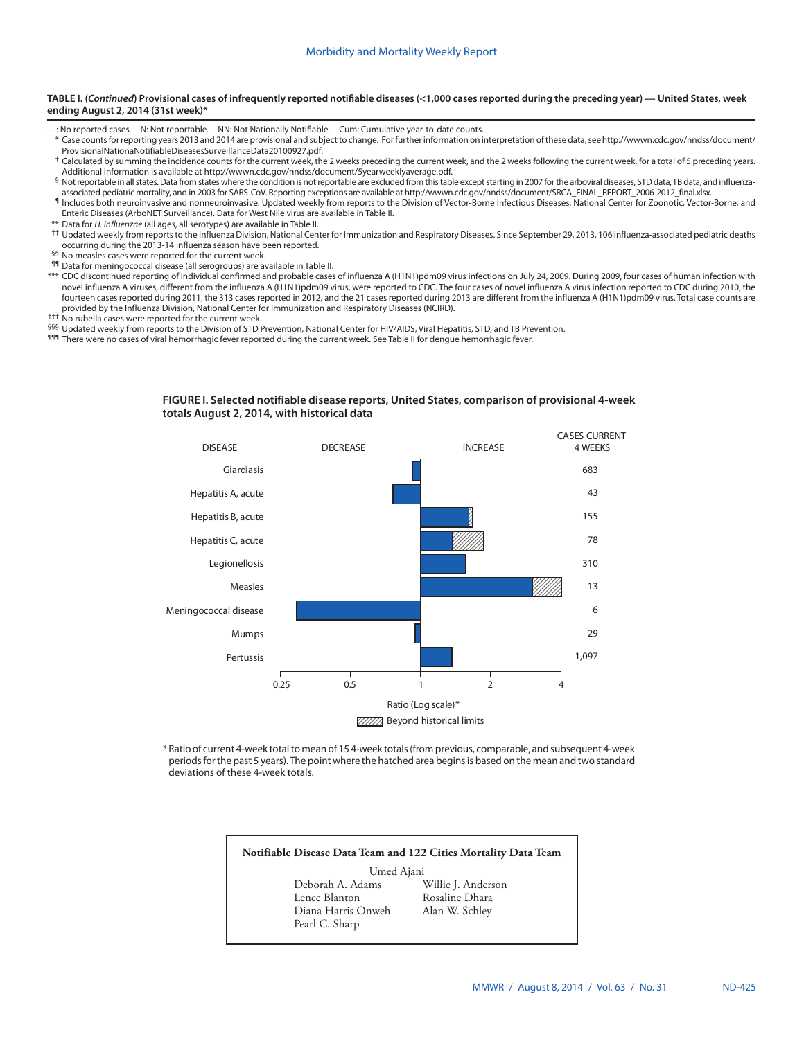### **TABLE I. (***Continued***) Provisional cases of infrequently reported notifiable diseases (<1,000 cases reported during the preceding year) — United States, week ending August 2, 2014 (31st week)\***

- —: No reported cases. N: Not reportable. NN: Not Nationally Notifiable. Cum: Cumulative year-to-date counts.
- \* Case counts for reporting years 2013 and 2014 are provisional and subject to change. For further information on interpretation of these data, see [http://wwwn.cdc.gov/nndss/document/](http://wwwn.cdc.gov/nndss/document/ProvisionalNationaNotifiableDiseasesSurveillanceData20100927.pdf)
- [ProvisionalNationaNotifiableDiseasesSurveillanceData20100927.pdf.](http://wwwn.cdc.gov/nndss/document/ProvisionalNationaNotifiableDiseasesSurveillanceData20100927.pdf)<br><sup>†</sup> Calculated by summing the incidence counts for the current week, the 2 weeks preceding the current week, and the 2 weeks following the current week, for
- Additional information is available at <http://wwwn.cdc.gov/nndss/document/5yearweeklyaverage.pdf>.<br><sup>§</sup> Not reportable in all states. Data from states where the condition is not reportable are excluded from this table except
- Il ncludes both neuroinvasive and nonneuroinvasive. Updated weekly from reports to the Division of Vector-Borne Infectious Diseases, National Center for Zoonotic, Vector-Borne, and Enteric Diseases (ArboNET Surveillance). Data for West Nile virus are available in Table II.
- \*\* Data for *H. influenzae* (all ages, all serotypes) are available in Table II. †† Updated weekly from reports to the Influenza Division, National Center for Immunization and Respiratory Diseases. Since September 29, 2013, 106 influenza-associated pediatric deaths
- occurring during the 2013-14 influenza season have been reported. §§ No measles cases were reported for the current week.
- ¶¶ Data for meningococcal disease (all serogroups) are available in Table II.
- \*\*\* CDC discontinued reporting of individual confirmed and probable cases of influenza A (H1N1)pdm09 virus infections on July 24, 2009. During 2009, four cases of human infection with novel influenza A viruses, different from the influenza A (H1N1)pdm09 virus, were reported to CDC. The four cases of novel influenza A virus infection reported to CDC during 2010, the fourteen cases reported during 2011, the 313 cases reported in 2012, and the 21 cases reported during 2013 are different from the influenza A (H1N1)pdm09 virus. Total case counts are provided by the Influenza Division, National Center for Immunization and Respiratory Diseases (NCIRD).<br>
<sup>†††</sup> No rubella cases were reported for the current week.
- 
- §§§ Updated weekly from reports to the Division of STD Prevention, National Center for HIV/AIDS, Viral Hepatitis, STD, and TB Prevention.
- 111 There were no cases of viral hemorrhagic fever reported during the current week. See Table II for dengue hemorrhagic fever.



## **FIGURE I. Selected notifiable disease reports, United States, comparison of provisional 4-week totals August 2, 2014, with historical data**

\* Ratio of current 4-week total to mean of 15 4-week totals (from previous, comparable, and subsequent 4-week periods for the past 5 years). The point where the hatched area begins is based on the mean and two standard deviations of these 4-week totals.

# **Notifiable Disease Data Team and 122 Cities Mortality Data Team**

Umed Ajani<br>I Deborah A. Adams Deborah A. Adams Willie J. Anderson Diana Harris Onweh Pearl C. Sharp

Rosaline Dhara<br>Alan W. Schley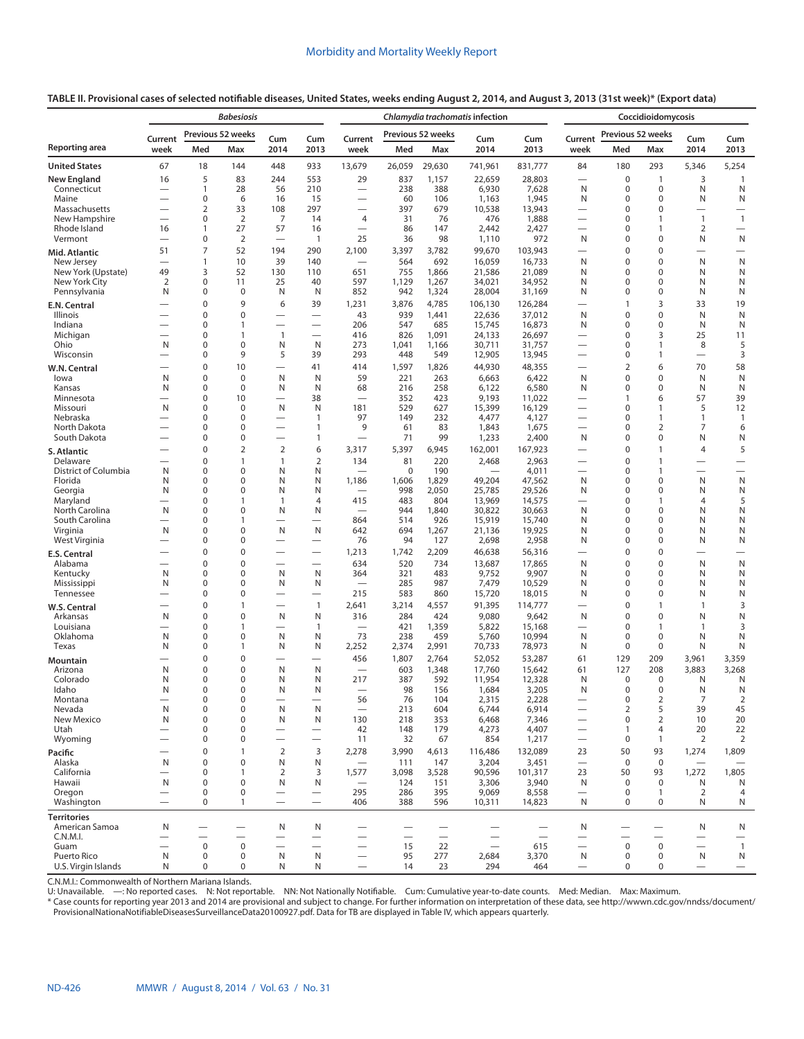|                                     | <b>Babesiosis</b>                |                             |                                |                                          |                                                      |                                 |                          |                          | Chlamydia trachomatis infection   |                  |                                                      |                          | Coccidioidomycosis           |                               |                               |
|-------------------------------------|----------------------------------|-----------------------------|--------------------------------|------------------------------------------|------------------------------------------------------|---------------------------------|--------------------------|--------------------------|-----------------------------------|------------------|------------------------------------------------------|--------------------------|------------------------------|-------------------------------|-------------------------------|
| Reporting area                      | Current<br>week                  | Med                         | Previous 52 weeks<br>Max       | Cum<br>2014                              | Cum<br>2013                                          | Current<br>week                 | Med                      | Previous 52 weeks<br>Max | Cum<br>2014                       | Cum<br>2013      | Current<br>week                                      | Previous 52 weeks<br>Med | Max                          | Cum<br>2014                   | Cum<br>2013                   |
| <b>United States</b>                | 67                               | 18                          | 144                            | 448                                      | 933                                                  | 13,679                          | 26,059                   | 29,630                   | 741,961                           | 831,777          | 84                                                   | 180                      | 293                          | 5,346                         | 5,254                         |
| <b>New England</b>                  | 16                               | 5                           | 83                             | 244                                      | 553                                                  | 29                              | 837                      | 1,157                    | 22,659                            | 28,803           | -                                                    | $\mathbf 0$              | 1                            | 3                             | $\mathbf{1}$                  |
| Connecticut<br>Maine                | $\overline{\phantom{0}}$         | $\mathbf{1}$<br>$\mathbf 0$ | 28<br>6                        | 56<br>16                                 | 210<br>15                                            | $\overline{\phantom{0}}$        | 238<br>60                | 388<br>106               | 6,930<br>1,163                    | 7,628<br>1,945   | N<br>N                                               | 0<br>0                   | $\mathbf 0$<br>$\mathbf 0$   | N<br>N                        | N<br>N                        |
| Massachusetts                       | $\overline{\phantom{0}}$         | $\overline{2}$              | 33                             | 108                                      | 297                                                  | $\overline{\phantom{0}}$        | 397                      | 679                      | 10,538                            | 13,943           |                                                      | 0                        | $\mathbf 0$                  | $\overline{\phantom{0}}$      | $\overline{\phantom{0}}$      |
| New Hampshire                       | -                                | $\mathbf 0$                 | $\overline{2}$                 | $\overline{7}$                           | 14                                                   | $\overline{4}$                  | 31                       | 76                       | 476                               | 1,888            | -                                                    | 0                        | 1                            | $\mathbf{1}$                  | $\mathbf{1}$                  |
| Rhode Island<br>Vermont             | 16<br>$\overline{\phantom{0}}$   | $\mathbf{1}$<br>$\mathbf 0$ | 27<br>2                        | 57<br>$\overline{\phantom{0}}$           | 16<br>$\overline{1}$                                 | $\overline{\phantom{0}}$<br>25  | 86<br>36                 | 147<br>98                | 2,442<br>1,110                    | 2,427<br>972     | $\overline{\phantom{0}}$<br>N                        | 0<br>0                   | 1<br>$\mathbf 0$             | $\overline{2}$<br>N           | $\overline{\phantom{0}}$<br>N |
| Mid. Atlantic                       | 51                               | $\overline{7}$              | 52                             | 194                                      | 290                                                  | 2,100                           | 3,397                    | 3,782                    | 99,670                            | 103,943          | $\overline{\phantom{0}}$                             | 0                        | 0                            |                               | —                             |
| New Jersey                          | $\overline{\phantom{0}}$         | $\mathbf{1}$                | 10                             | 39                                       | 140                                                  | $\overline{\phantom{0}}$        | 564                      | 692                      | 16,059                            | 16,733           | N                                                    | 0                        | $\mathbf 0$                  | N                             | $\mathsf{N}$                  |
| New York (Upstate)<br>New York City | 49<br>2                          | 3<br>$\mathbf 0$            | 52<br>11                       | 130<br>25                                | 110<br>40                                            | 651<br>597                      | 755<br>1,129             | 1,866<br>1,267           | 21,586<br>34,021                  | 21,089<br>34,952 | N<br>N                                               | 0<br>0                   | 0<br>0                       | N<br>N                        | N<br>N                        |
| Pennsylvania                        | N                                | $\mathbf 0$                 | $\mathbf 0$                    | N                                        | N                                                    | 852                             | 942                      | 1,324                    | 28,004                            | 31,169           | N                                                    | 0                        | 0                            | N                             | N                             |
| E.N. Central                        |                                  | $\mathbf 0$                 | 9                              | 6                                        | 39                                                   | 1,231                           | 3,876                    | 4,785                    | 106,130                           | 126,284          |                                                      | $\mathbf{1}$             | 3                            | 33                            | 19                            |
| <b>Illinois</b>                     |                                  | $\mathbf 0$<br>$\mathbf 0$  | 0<br>1                         |                                          | $\overline{\phantom{0}}$                             | 43<br>206                       | 939                      | 1,441                    | 22,636                            | 37,012           | N                                                    | 0<br>0                   | $\mathbf 0$<br>0             | N                             | N                             |
| Indiana<br>Michigan                 | -<br>-                           | $\mathbf 0$                 | $\mathbf{1}$                   | $\overline{\phantom{0}}$<br>$\mathbf{1}$ | $\overline{\phantom{0}}$<br>$\overline{\phantom{0}}$ | 416                             | 547<br>826               | 685<br>1,091             | 15,745<br>24,133                  | 16,873<br>26,697 | N                                                    | 0                        | 3                            | N<br>25                       | N<br>11                       |
| Ohio                                | N                                | $\mathbf 0$                 | $\mathbf 0$                    | N                                        | N                                                    | 273                             | 1,041                    | 1,166                    | 30,711                            | 31,757           |                                                      | 0                        | 1                            | 8                             | 5                             |
| Wisconsin                           |                                  | $\mathbf 0$                 | 9                              | 5                                        | 39                                                   | 293                             | 448                      | 549                      | 12,905                            | 13,945           | $\overline{\phantom{0}}$                             | 0                        | 1                            | $\overline{\phantom{0}}$      | 3                             |
| W.N. Central<br>lowa                | N                                | $\mathbf 0$<br>$\mathbf 0$  | 10<br>$\mathbf 0$              | $\overline{\phantom{0}}$<br>N            | 41<br>N                                              | 414<br>59                       | 1,597<br>221             | 1,826<br>263             | 44,930<br>6,663                   | 48,355<br>6,422  | $\overline{\phantom{0}}$<br>N                        | $\overline{2}$<br>0      | 6<br>0                       | 70<br>N                       | 58<br>$\mathsf{N}$            |
| Kansas                              | N                                | $\mathbf 0$                 | $\mathbf 0$                    | N                                        | N                                                    | 68                              | 216                      | 258                      | 6,122                             | 6,580            | N                                                    | 0                        | 0                            | N                             | N                             |
| Minnesota                           |                                  | $\mathbf 0$                 | 10                             | $\overline{\phantom{0}}$                 | 38                                                   | $\overline{\phantom{0}}$        | 352                      | 423                      | 9,193                             | 11,022           | $\overline{\phantom{0}}$                             | 1                        | 6                            | 57                            | 39                            |
| Missouri<br>Nebraska                | N                                | $\Omega$<br>0               | $\mathbf 0$<br>0               | N<br>$\overline{\phantom{0}}$            | N<br>$\mathbf{1}$                                    | 181<br>97                       | 529<br>149               | 627<br>232               | 15,399<br>4,477                   | 16,129<br>4,127  | -<br>$\overline{\phantom{0}}$                        | 0<br>0                   | $\mathbf{1}$<br>$\mathbf{1}$ | 5<br>$\mathbf{1}$             | 12<br>$\mathbf{1}$            |
| North Dakota                        |                                  | $\Omega$                    | $\Omega$                       |                                          | $\mathbf{1}$                                         | 9                               | 61                       | 83                       | 1,843                             | 1,675            |                                                      | 0                        | $\overline{2}$               | $\overline{7}$                | 6                             |
| South Dakota                        |                                  | $\mathbf 0$                 | 0                              |                                          | $\mathbf{1}$                                         | $\overbrace{\phantom{1232211}}$ | 71                       | 99                       | 1,233                             | 2,400            | N                                                    | 0                        | 0                            | N                             | N                             |
| <b>S. Atlantic</b><br>Delaware      |                                  | $\mathbf 0$<br>$\mathbf 0$  | $\overline{2}$<br>$\mathbf{1}$ | 2<br>$\mathbf{1}$                        | 6<br>$\overline{2}$                                  | 3,317<br>134                    | 5,397<br>81              | 6,945<br>220             | 162,001<br>2,468                  | 167,923<br>2,963 | $\overline{\phantom{0}}$<br>$\overline{\phantom{0}}$ | 0<br>0                   | $\mathbf{1}$<br>1            | 4<br>$\overline{\phantom{0}}$ | 5<br>$\overline{\phantom{0}}$ |
| District of Columbia                | N                                | $\Omega$                    | $\Omega$                       | N                                        | N                                                    |                                 | $\mathbf 0$              | 190                      |                                   | 4,011            | $\overline{\phantom{0}}$                             | 0                        | $\mathbf{1}$                 |                               | $\overline{\phantom{0}}$      |
| Florida                             | N                                | 0                           | 0                              | N                                        | N                                                    | 1,186                           | 1,606                    | 1,829                    | 49,204                            | 47,562           | N                                                    | 0                        | 0                            | N                             | ${\sf N}$                     |
| Georgia<br>Maryland                 | N                                | $\Omega$<br>0               | $\Omega$<br>$\mathbf{1}$       | N<br>$\mathbf{1}$                        | N<br>4                                               | $\overline{\phantom{0}}$<br>415 | 998<br>483               | 2,050<br>804             | 25,785<br>13,969                  | 29,526<br>14,575 | N<br>$\overline{\phantom{0}}$                        | 0<br>0                   | $\Omega$<br>$\mathbf{1}$     | N<br>$\overline{4}$           | N<br>5                        |
| North Carolina                      | N                                | $\Omega$                    | $\mathbf 0$                    | N                                        | N                                                    |                                 | 944                      | 1,840                    | 30,822                            | 30,663           | N                                                    | 0                        | $\mathbf 0$                  | N                             | N                             |
| South Carolina<br>Virginia          | N                                | 0<br>0                      | 1<br>$\mathbf 0$               | N                                        | $\overline{\phantom{0}}$<br>N                        | 864<br>642                      | 514<br>694               | 926<br>1,267             | 15,919<br>21,136                  | 15,740<br>19,925 | N<br>N                                               | 0<br>0                   | 0<br>$\Omega$                | N<br>N                        | N<br>N                        |
| West Virginia                       |                                  | 0                           | 0                              |                                          | $\overline{\phantom{0}}$                             | 76                              | 94                       | 127                      | 2,698                             | 2,958            | Ν                                                    | 0                        | 0                            | Ν                             | N                             |
| E.S. Central                        |                                  | $\pmb{0}$                   | 0                              |                                          |                                                      | 1,213                           | 1,742                    | 2,209                    | 46,638                            | 56,316           |                                                      | 0                        | 0                            | $\overline{\phantom{0}}$      | $\overline{\phantom{0}}$      |
| Alabama                             |                                  | 0                           | 0                              |                                          |                                                      | 634                             | 520                      | 734                      | 13,687                            | 17,865           | N                                                    | 0                        | 0                            | N                             | ${\sf N}$                     |
| Kentucky<br>Mississippi             | N<br>N                           | 0<br>0                      | $\Omega$<br>0                  | N<br>N                                   | N<br>N                                               | 364<br>$\overline{\phantom{0}}$ | 321<br>285               | 483<br>987               | 9,752<br>7,479                    | 9,907<br>10,529  | N<br>N                                               | 0<br>0                   | $\mathbf 0$<br>0             | N<br>Ν                        | N<br>N                        |
| Tennessee                           | -                                | 0                           | 0                              | $\overline{\phantom{0}}$                 | $\overline{\phantom{0}}$                             | 215                             | 583                      | 860                      | 15,720                            | 18,015           | N                                                    | 0                        | 0                            | N                             | N                             |
| W.S. Central                        |                                  | 0                           | 1                              | $\overline{\phantom{0}}$                 | $\overline{1}$                                       | 2,641                           | 3,214                    | 4,557                    | 91,395                            | 114,777          | $\overline{\phantom{0}}$                             | 0                        | 1                            | $\mathbf{1}$                  | 3                             |
| Arkansas<br>Louisiana               | N                                | 0<br>0                      | 0<br>$\mathbf{1}$              | N                                        | N<br>$\overline{1}$                                  | 316                             | 284<br>421               | 424<br>1,359             | 9,080<br>5,822                    | 9,642<br>15,168  | N<br>$\overline{\phantom{0}}$                        | 0<br>0                   | $\mathbf 0$<br>$\mathbf{1}$  | N<br>$\mathbf{1}$             | Ν<br>3                        |
| Oklahoma                            | N                                | $\mathbf 0$                 | $\mathbf 0$                    | N                                        | N                                                    | 73                              | 238                      | 459                      | 5,760                             | 10,994           | N                                                    | 0                        | $\mathbf 0$                  | N                             | N                             |
| Texas                               | Ν                                | 0                           | $\mathbf{1}$                   | N                                        | N                                                    | 2,252                           | 2,374                    | 2,991                    | 70,733                            | 78,973           | N                                                    | 0                        | $\mathbf 0$                  | N                             | N                             |
| Mountain                            |                                  | $\mathbf 0$<br>0            | 0<br>0                         |                                          | $\overline{\phantom{0}}$<br>N                        | 456<br>$\overline{\phantom{0}}$ | 1,807                    | 2,764                    | 52,052                            | 53,287           | 61                                                   | 129                      | 209                          | 3,961<br>3,883                | 3,359                         |
| Arizona<br>Colorado                 | N<br>N                           | $\Omega$                    | $\Omega$                       | Ν<br>N                                   | N                                                    | 217                             | 603<br>387               | 1,348<br>592             | 17,760<br>11,954                  | 15,642<br>12,328 | 61<br>N                                              | 127<br>$\mathbf 0$       | 208<br>0                     | N                             | 3,268<br>N                    |
| Idaho                               | Ν                                | 0                           | $\Omega$                       | N                                        | N                                                    |                                 | 98                       | 156                      | 1,684                             | 3,205            | N                                                    | 0                        | 0                            | N                             | N                             |
| Montana<br>Nevada                   | N                                | 0<br>$\mathbf 0$            | 0<br>$\mathbf 0$               | N                                        | N                                                    | 56<br>$\overline{\phantom{0}}$  | 76<br>213                | 104<br>604               | 2,315<br>6,744                    | 2,228<br>6,914   | $\overline{\phantom{0}}$                             | 0<br>$\overline{2}$      | 2<br>5                       | 7<br>39                       | 2<br>45                       |
| New Mexico                          | N                                | $\mathbf 0$                 | $\mathbf 0$                    | N                                        | N                                                    | 130                             | 218                      | 353                      | 6,468                             | 7,346            |                                                      | $\pmb{0}$                | $\overline{2}$               | 10                            | 20                            |
| Utah                                |                                  | 0                           | $\mathbf 0$                    |                                          | $\overline{\phantom{0}}$                             | 42                              | 148                      | 179                      | 4,273                             | 4,407            |                                                      | 1                        | $\overline{4}$               | 20                            | 22                            |
| Wyoming                             |                                  | $\mathbf 0$<br>$\mathbf 0$  | $\mathbf 0$<br>$\mathbf{1}$    | 2                                        | $\overline{\phantom{0}}$<br>3                        | 11<br>2,278                     | 32<br>3,990              | 67<br>4,613              | 854<br>116,486                    | 1,217<br>132,089 | $\overline{\phantom{m}}$<br>23                       | 0<br>50                  | $\mathbf{1}$<br>93           | 2<br>1,274                    | 2<br>1,809                    |
| Pacific<br>Alaska                   | N                                | $\mathbf 0$                 | $\mathbf 0$                    | N                                        | N                                                    |                                 | 111                      | 147                      | 3,204                             | 3,451            | $\overline{\phantom{0}}$                             | $\mathbf 0$              | $\mathbf 0$                  |                               |                               |
| California                          | $\overline{\phantom{0}}$         | $\mathbf 0$                 | $\mathbf{1}$                   | 2                                        | 3                                                    | 1,577                           | 3,098                    | 3,528                    | 90,596                            | 101,317          | 23                                                   | 50                       | 93                           | 1,272                         | 1,805                         |
| Hawaii<br>Oregon                    | N                                | $\mathbf 0$<br>$\mathbf 0$  | $\mathbf 0$<br>0               | N<br>$\overline{\phantom{0}}$            | N<br>$\overline{\phantom{0}}$                        | 295                             | 124<br>286               | 151<br>395               | 3,306<br>9,069                    | 3,940<br>8,558   | N<br>$\overbrace{\phantom{1232211}}$                 | $\mathbf 0$<br>0         | $\mathbf 0$<br>$\mathbf{1}$  | N<br>2                        | N<br>4                        |
| Washington                          | $\overbrace{\phantom{12322111}}$ | $\mathbf 0$                 | $\mathbf{1}$                   | $\overline{\phantom{0}}$                 | $\overline{\phantom{0}}$                             | 406                             | 388                      | 596                      | 10,311                            | 14,823           | N                                                    | $\mathbf 0$              | $\mathbf 0$                  | N                             | N                             |
| <b>Territories</b>                  |                                  |                             |                                |                                          |                                                      |                                 |                          |                          |                                   |                  |                                                      |                          |                              |                               |                               |
| American Samoa<br>C.N.M.I.          | N<br>-                           | $\overline{\phantom{0}}$    | $\overline{\phantom{0}}$       | N                                        | N<br>$\overline{\phantom{0}}$                        |                                 | $\overline{\phantom{0}}$ | $\overline{\phantom{0}}$ | $\overbrace{\phantom{123221111}}$ |                  | N                                                    |                          |                              | N                             | N<br>$\qquad \qquad$          |
| Guam                                | $\overline{\phantom{0}}$         | $\mathbf 0$                 | $\mathbf 0$                    |                                          |                                                      | $\overline{\phantom{0}}$        | 15                       | 22                       | $\overbrace{\phantom{12322111}}$  | 615              |                                                      | $\mathbf 0$              | $\mathbf 0$                  |                               | $\mathbf{1}$                  |
| Puerto Rico<br>U.S. Virgin Islands  | ${\sf N}$<br>N                   | $\mathbf 0$<br>$\mathbf 0$  | $\mathbf 0$<br>$\mathbf 0$     | N<br>N                                   | N<br>N                                               | $\overline{\phantom{0}}$        | 95<br>14                 | 277<br>23                | 2,684<br>294                      | 3,370<br>464     | N                                                    | $\pmb{0}$<br>0           | $\mathbf 0$<br>0             | N                             | N                             |
|                                     |                                  |                             |                                |                                          |                                                      |                                 |                          |                          |                                   |                  | $\overbrace{\phantom{123221111}}$                    |                          |                              |                               |                               |

C.N.M.I.: Commonwealth of Northern Mariana Islands.<br>U: Unavailable. —: No reported cases. N: Not reportable. NN: Not Nationally Notifiable. Cum: Cumulative year-to-date counts. Med: Median. Max: Maximum.

\* Case counts for reporting year 2013 and 2014 are provisional and subject to change. For further information on interpretation of these data, see [http://wwwn.cdc.gov/nndss/document/](http://wwwn.cdc.gov/nndss/document/ProvisionalNationaNotifiableDiseasesSurveillanceData20100927.pdf) [ProvisionalNationaNotifiableDiseasesSurveillanceData20100927.pdf](http://wwwn.cdc.gov/nndss/document/ProvisionalNationaNotifiableDiseasesSurveillanceData20100927.pdf). Data for TB are displayed in Table IV, which appears quarterly.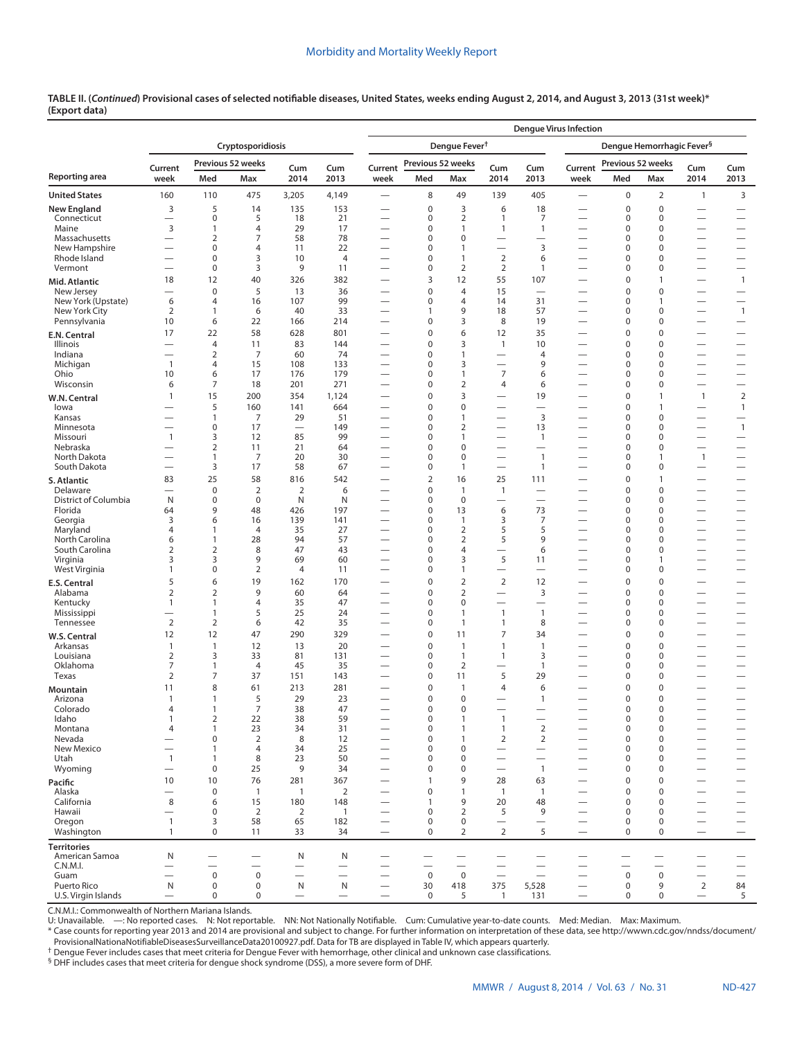|                                      |                                                      |                                |                          |                                |                          |                                                      |                             |                                |                          |                                                      | <b>Dengue Virus Infection</b>                             |                   |                                       |                                                      |                                                      |
|--------------------------------------|------------------------------------------------------|--------------------------------|--------------------------|--------------------------------|--------------------------|------------------------------------------------------|-----------------------------|--------------------------------|--------------------------|------------------------------------------------------|-----------------------------------------------------------|-------------------|---------------------------------------|------------------------------------------------------|------------------------------------------------------|
|                                      |                                                      |                                | Cryptosporidiosis        |                                |                          |                                                      |                             | Dengue Fever <sup>†</sup>      |                          |                                                      |                                                           |                   | Dengue Hemorrhagic Fever <sup>§</sup> |                                                      |                                                      |
|                                      | Current                                              |                                | Previous 52 weeks        | Cum                            | Cum                      | Current                                              | Previous 52 weeks           |                                | Cum                      | Cum                                                  | Current                                                   | Previous 52 weeks |                                       | Cum                                                  | Cum                                                  |
| <b>Reporting area</b>                | week                                                 | Med                            | Max                      | 2014                           | 2013                     | week                                                 | Med                         | Max                            | 2014                     | 2013                                                 | week                                                      | Med               | Max                                   | 2014                                                 | 2013                                                 |
| <b>United States</b>                 | 160                                                  | 110                            | 475                      | 3,205                          | 4,149                    | $\overline{\phantom{0}}$                             | 8                           | 49                             | 139                      | 405                                                  | $\overline{\phantom{0}}$                                  | 0                 | $\overline{2}$                        | 1                                                    | 3                                                    |
| <b>New England</b><br>Connecticut    | 3<br>$\overbrace{\phantom{123221111}}$               | 5<br>$\mathbf 0$               | 14<br>5                  | 135<br>18                      | 153<br>21                | $\overline{\phantom{0}}$<br>$\overline{\phantom{0}}$ | 0<br>0                      | 3<br>2                         | 6<br>$\mathbf{1}$        | 18<br>7                                              | $\overline{\phantom{0}}$<br>$\overline{\phantom{0}}$      | 0<br>0            | 0<br>0                                | $\overline{\phantom{0}}$                             | $\overline{\phantom{0}}$                             |
| Maine                                | 3                                                    | $\overline{1}$                 | 4                        | 29                             | 17                       | $\overline{\phantom{0}}$                             | 0                           | 1                              | 1                        | $\mathbf{1}$                                         | $\overline{\phantom{0}}$                                  | 0                 | $\pmb{0}$                             |                                                      | $\overline{\phantom{0}}$                             |
| Massachusetts                        |                                                      | $\overline{2}$                 | 7                        | 58                             | 78                       | $\overline{\phantom{0}}$                             | 0                           | $\mathbf 0$                    |                          |                                                      |                                                           | 0                 | $\mathbf 0$                           |                                                      | $\overline{\phantom{0}}$                             |
| New Hampshire<br>Rhode Island        | $\overline{\phantom{0}}$<br>$\overline{\phantom{0}}$ | $\mathbf 0$<br>$\mathbf 0$     | 4<br>3                   | 11<br>10                       | 22<br>$\overline{4}$     | $\overline{\phantom{0}}$                             | 0<br>0                      | $\mathbf{1}$<br>$\mathbf{1}$   | $\overline{2}$           | 3<br>6                                               | $\overline{\phantom{0}}$                                  | 0<br>0            | 0<br>$\mathbf 0$                      | $\overline{\phantom{m}}$                             |                                                      |
| Vermont                              | $\overline{\phantom{0}}$                             | $\mathbf 0$                    | 3                        | 9                              | 11                       | $\overline{\phantom{0}}$                             | 0                           | $\overline{2}$                 | $\overline{2}$           | 1                                                    | $\overline{\phantom{0}}$                                  | 0                 | 0                                     |                                                      | $\overline{\phantom{0}}$                             |
| Mid. Atlantic                        | 18                                                   | 12                             | 40                       | 326                            | 382                      |                                                      | 3                           | 12                             | 55                       | 107                                                  | $\overline{\phantom{0}}$                                  | 0                 | 1                                     | $\overline{\phantom{0}}$                             | $\overline{1}$                                       |
| New Jersey                           | $\overline{\phantom{0}}$                             | $\mathbf 0$                    | 5                        | 13                             | 36                       |                                                      | 0                           | $\overline{4}$                 | 15                       | $\overline{\phantom{0}}$                             | $\overline{\phantom{0}}$                                  | 0                 | 0                                     |                                                      | $\overline{\phantom{0}}$                             |
| New York (Upstate)<br>New York City  | 6<br>$\overline{2}$                                  | $\overline{4}$<br>$\mathbf{1}$ | 16<br>6                  | 107<br>40                      | 99<br>33                 |                                                      | 0<br>1                      | $\overline{4}$<br>9            | 14<br>18                 | 31<br>57                                             | $\overline{\phantom{0}}$                                  | 0<br>0            | 1<br>0                                |                                                      | $\overline{\phantom{0}}$<br>$\overline{1}$           |
| Pennsylvania                         | 10                                                   | 6                              | 22                       | 166                            | 214                      | $\overbrace{\phantom{13333}}$                        | 0                           | 3                              | 8                        | 19                                                   | $\overbrace{\phantom{13333}}$<br>$\overline{\phantom{0}}$ | 0                 | $\mathbf 0$                           | $\overline{\phantom{m}}$                             |                                                      |
| E.N. Central                         | 17                                                   | 22                             | 58                       | 628                            | 801                      | $\overline{\phantom{0}}$                             | 0                           | 6                              | 12                       | 35                                                   | $\overline{\phantom{0}}$                                  | 0                 | 0                                     | $\overline{\phantom{0}}$                             |                                                      |
| Illinois                             | $\overline{\phantom{0}}$                             | $\overline{4}$                 | 11                       | 83                             | 144                      |                                                      | 0                           | 3                              | $\mathbf{1}$             | 10                                                   |                                                           | 0                 | 0                                     |                                                      |                                                      |
| Indiana                              | $\overline{\phantom{0}}$                             | $\overline{2}$<br>4            | $\overline{7}$<br>15     | 60<br>108                      | 74<br>133                | $\overline{\phantom{0}}$                             | 0<br>0                      | 1<br>3                         | $\overline{\phantom{0}}$ | 4<br>9                                               |                                                           | 0<br>0            | 0<br>$\mathbf 0$                      |                                                      | $\overline{\phantom{0}}$<br>$\overline{\phantom{0}}$ |
| Michigan<br>Ohio                     | $\mathbf{1}$<br>10                                   | 6                              | 17                       | 176                            | 179                      | $\qquad \qquad$                                      | 0                           | 1                              | 7                        | 6                                                    | $\overbrace{\phantom{13333}}$                             | 0                 | 0                                     | $\overline{\phantom{m}}$                             | $\qquad \qquad -$                                    |
| Wisconsin                            | 6                                                    | 7                              | 18                       | 201                            | 271                      |                                                      | 0                           | $\overline{2}$                 | 4                        | 6                                                    |                                                           | 0                 | 0                                     |                                                      |                                                      |
| W.N. Central                         | $\mathbf{1}$                                         | 15                             | 200                      | 354                            | 1,124                    | $\overline{\phantom{0}}$                             | 0                           | 3                              | $\overline{\phantom{0}}$ | 19                                                   | $\overline{\phantom{0}}$                                  | 0                 | 1                                     | $\mathbf{1}$                                         | $\sqrt{2}$                                           |
| lowa                                 |                                                      | 5                              | 160                      | 141                            | 664                      |                                                      | 0                           | $\pmb{0}$                      | $\overline{\phantom{0}}$ |                                                      | $\overline{\phantom{0}}$                                  | 0                 | 1                                     |                                                      | $\overline{1}$                                       |
| Kansas<br>Minnesota                  |                                                      | $\mathbf{1}$<br>$\mathbf 0$    | 7<br>17                  | 29<br>$\overline{\phantom{m}}$ | 51<br>149                |                                                      | 0<br>0                      | $\mathbf{1}$<br>$\overline{2}$ | $\overline{\phantom{0}}$ | 3<br>13                                              | $\overline{\phantom{0}}$<br>$\overline{\phantom{0}}$      | 0<br>0            | $\pmb{0}$<br>$\mathbf 0$              | $\overline{\phantom{0}}$                             | $\overline{1}$                                       |
| Missouri                             | $\mathbf{1}$                                         | 3                              | 12                       | 85                             | 99                       | $\overbrace{\phantom{13333}}$                        | 0                           | 1                              | $\qquad \qquad$          | $\mathbf{1}$                                         | $\overline{\phantom{0}}$                                  | 0                 | 0                                     | $\overline{\phantom{m}}$                             | $\qquad \qquad -$                                    |
| Nebraska                             | $\overline{\phantom{0}}$                             | $\overline{2}$                 | 11                       | 21                             | 64                       | $\overline{\phantom{0}}$                             | $\pmb{0}$                   | $\mathbf 0$                    | $\overline{\phantom{0}}$ | $\overline{\phantom{0}}$                             | $\overline{\phantom{0}}$                                  | 0                 | 0                                     |                                                      | $\overline{\phantom{0}}$                             |
| North Dakota<br>South Dakota         | $\overline{\phantom{0}}$                             | $\mathbf{1}$<br>$\overline{3}$ | $\overline{7}$<br>17     | 20<br>58                       | 30<br>67                 | $\overline{\phantom{0}}$<br>$\qquad \qquad$          | $\pmb{0}$<br>$\pmb{0}$      | 0<br>$\mathbf{1}$              |                          | $\mathbf{1}$<br>$\mathbf{1}$                         | $\overline{\phantom{0}}$                                  | 0<br>0            | 1<br>0                                | $\mathbf{1}$                                         | $\overline{\phantom{0}}$                             |
| S. Atlantic                          | 83                                                   | 25                             | 58                       | 816                            | 542                      | $\overline{\phantom{0}}$                             | $\overline{2}$              | 16                             | 25                       | 111                                                  |                                                           | 0                 | $\mathbf{1}$                          | $\overline{\phantom{0}}$                             |                                                      |
| Delaware                             |                                                      | $\mathbf 0$                    | $\overline{2}$           | 2                              | 6                        |                                                      | 0                           | 1                              | $\mathbf{1}$             |                                                      |                                                           | 0                 | 0                                     |                                                      | $\overline{\phantom{0}}$                             |
| District of Columbia                 | N                                                    | $\mathbf 0$                    | $\mathbf 0$              | N                              | N                        | $\overbrace{\phantom{13333}}$                        | 0                           | 0                              |                          | $\overline{\phantom{0}}$                             | $\overline{\phantom{0}}$                                  | 0                 | 0                                     | $\overline{\phantom{m}}$                             | $\qquad \qquad$                                      |
| Florida<br>Georgia                   | 64<br>3                                              | 9<br>6                         | 48<br>16                 | 426<br>139                     | 197<br>141               | $\overline{\phantom{0}}$<br>$\overline{\phantom{0}}$ | 0<br>0                      | 13<br>$\mathbf{1}$             | 6<br>3                   | 73<br>7                                              | $\overline{\phantom{0}}$<br>$\overline{\phantom{0}}$      | 0<br>0            | 0<br>0                                |                                                      | $\overline{\phantom{0}}$                             |
| Maryland                             | 4                                                    | $\mathbf{1}$                   | $\overline{4}$           | 35                             | 27                       | $\overline{\phantom{0}}$                             | 0                           | $\overline{2}$                 | 5                        | 5                                                    |                                                           | 0                 | $\mathbf 0$                           |                                                      |                                                      |
| North Carolina                       | 6                                                    | $\mathbf{1}$                   | 28                       | 94                             | 57                       |                                                      | 0                           | $\overline{2}$                 | 5                        | 9                                                    |                                                           | 0                 | $\mathbf 0$                           |                                                      | $\overline{\phantom{0}}$                             |
| South Carolina<br>Virginia           | $\overline{2}$<br>3                                  | $\overline{2}$<br>3            | 8<br>9                   | 47<br>69                       | 43<br>60                 | $\overline{\phantom{0}}$                             | $\pmb{0}$<br>0              | 4<br>3                         | 5                        | 6<br>11                                              | $\overline{\phantom{0}}$<br>$\overline{\phantom{0}}$      | 0<br>0            | $\mathbf 0$<br>1                      | $\overline{\phantom{0}}$<br>$\overline{\phantom{0}}$ |                                                      |
| West Virginia                        | 1                                                    | $\mathbf 0$                    | $\overline{2}$           | $\overline{4}$                 | 11                       |                                                      | 0                           | 1                              |                          | $\overline{\phantom{0}}$                             | $\overline{\phantom{0}}$                                  | 0                 | $\pmb{0}$                             | $\overline{\phantom{0}}$                             |                                                      |
| E.S. Central                         | 5                                                    | 6                              | 19                       | 162                            | 170                      | $\overline{\phantom{0}}$                             | $\pmb{0}$                   | $\overline{2}$                 | $\mathbf 2$              | 12                                                   | $\overline{\phantom{0}}$                                  | $\mathbf 0$       | $\mathbf 0$                           | $\overline{\phantom{0}}$                             |                                                      |
| Alabama                              | $\overline{2}$                                       | $\overline{2}$                 | 9                        | 60                             | 64                       |                                                      | 0                           | $\overline{2}$                 |                          | 3                                                    |                                                           | 0                 | $\mathbf 0$                           |                                                      | $\overline{\phantom{0}}$                             |
| Kentucky<br>Mississippi              | $\mathbf{1}$                                         | $\mathbf{1}$<br>$\mathbf{1}$   | 4<br>5                   | 35<br>25                       | 47<br>24                 | $\overline{\phantom{0}}$                             | 0<br>0                      | $\pmb{0}$<br>$\mathbf{1}$      | $\mathbf{1}$             | $\mathbf{1}$                                         | $\overline{\phantom{0}}$                                  | 0<br>0            | 0<br>0                                | $\overline{\phantom{0}}$                             | $\overline{\phantom{0}}$                             |
| Tennessee                            | $\overline{2}$                                       | 2                              | 6                        | 42                             | 35                       | $\overline{\phantom{0}}$                             | $\pmb{0}$                   | $\mathbf{1}$                   | $\mathbf{1}$             | 8                                                    | $\overline{\phantom{0}}$                                  | 0                 | $\mathbf 0$                           |                                                      |                                                      |
| W.S. Central                         | 12                                                   | 12                             | 47                       | 290                            | 329                      |                                                      | $\mathbf 0$                 | 11                             | $\overline{7}$           | 34                                                   |                                                           | 0                 | $\mathbf 0$                           |                                                      |                                                      |
| Arkansas                             | 1                                                    | $\mathbf{1}$                   | 12                       | 13                             | 20                       |                                                      | $\pmb{0}$                   | $\mathbf{1}$                   | $\mathbf{1}$             | $\mathbf{1}$                                         |                                                           | 0                 | $\pmb{0}$                             |                                                      |                                                      |
| Louisiana<br>Oklahoma                | $\overline{2}$<br>7                                  | 3<br>$\overline{1}$            | 33<br>$\overline{4}$     | 81<br>45                       | 131<br>35                | $\overline{\phantom{0}}$                             | 0<br>0                      | $\mathbf{1}$<br>$\overline{2}$ | $\mathbf{1}$             | 3<br>$\mathbf{1}$                                    | $\overline{\phantom{0}}$                                  | 0<br>0            | $\pmb{0}$<br>$\mathbf 0$              | $\overline{\phantom{0}}$                             | $\overline{\phantom{0}}$                             |
| Texas                                | $\overline{2}$                                       | 7                              | 37                       | 151                            | 143                      | $\overline{\phantom{0}}$                             | 0                           | 11                             | 5                        | 29                                                   |                                                           | 0                 | $\mathbf 0$                           | $\overline{\phantom{0}}$                             | $\overline{\phantom{0}}$                             |
| Mountain                             | 11                                                   | 8                              | 61                       | 213                            | 281                      | $\overline{\phantom{0}}$                             | $\pmb{0}$                   | $\mathbf{1}$                   | 4                        | 6                                                    | $\overline{\phantom{0}}$                                  | 0                 | 0                                     | $\overline{\phantom{0}}$                             |                                                      |
| Arizona                              | $\mathbf{1}$                                         | $\mathbf{1}$                   | 5                        | 29                             | 23                       | $\overline{\phantom{0}}$                             | 0                           | $\mathbf 0$                    | $\overline{\phantom{0}}$ | $\mathbf{1}$                                         | $\overline{\phantom{0}}$                                  | 0                 | 0                                     | $\overline{\phantom{0}}$                             |                                                      |
| Colorado<br>Idaho                    | 4<br>$\mathbf{1}$                                    | $\mathbf{1}$<br>$\overline{2}$ | 7<br>22                  | 38<br>38                       | 47<br>59                 |                                                      | 0<br>$\bf 0$                | $\mathbf 0$<br>$\mathbf{1}$    | $\mathbf{1}$             |                                                      |                                                           | 0<br>0            | 0<br>0                                |                                                      |                                                      |
| Montana                              | 4                                                    | $\mathbf{1}$                   | 23                       | 34                             | 31                       |                                                      | 0                           | 1                              | $\mathbf{1}$             | $\overline{2}$                                       |                                                           | 0                 | 0                                     | $\overline{\phantom{0}}$                             |                                                      |
| Nevada                               | $\overline{\phantom{0}}$                             | $\mathbf 0$                    | 2                        | 8                              | 12                       | $\overline{\phantom{0}}$                             | 0                           | $\mathbf{1}$                   | $\overline{2}$           | $\overline{2}$                                       | $\overline{\phantom{0}}$                                  | 0                 | $\mathbf 0$                           | $\overline{\phantom{0}}$                             |                                                      |
| New Mexico<br>Utah                   | $\mathbf{1}$                                         | $\mathbf{1}$<br>$\overline{1}$ | 4<br>8                   | 34<br>23                       | 25<br>50                 | $\overline{\phantom{0}}$                             | 0<br>0                      | $\mathbf 0$<br>$\mathbf 0$     |                          | $\overline{\phantom{0}}$<br>$\overline{\phantom{0}}$ |                                                           | 0<br>0            | $\mathbf 0$<br>$\mathbf 0$            |                                                      | $\overline{\phantom{0}}$<br>$\qquad \qquad -$        |
| Wyoming                              |                                                      | $\mathbf 0$                    | 25                       | 9                              | 34                       | $\overline{\phantom{0}}$                             | 0                           | $\mathbf 0$                    |                          | $\overline{1}$                                       | $\overline{\phantom{0}}$                                  | 0                 | $\mathbf 0$                           |                                                      |                                                      |
| Pacific                              | 10                                                   | 10                             | 76                       | 281                            | 367                      |                                                      | $\mathbf{1}$                | 9                              | 28                       | 63                                                   |                                                           | 0                 | $\mathbf 0$                           |                                                      | $\overline{\phantom{0}}$                             |
| Alaska                               |                                                      | $\mathbf 0$                    | $\mathbf{1}$             | $\mathbf{1}$                   | $\overline{2}$           | $\overline{\phantom{0}}$                             | 0                           | $\mathbf{1}$                   | $\mathbf{1}$             | $\mathbf{1}$                                         |                                                           | 0                 | $\mathbf 0$                           | $\overline{\phantom{0}}$                             |                                                      |
| California                           | 8                                                    | 6                              | 15                       | 180                            | 148                      | $\overline{\phantom{0}}$                             | $\mathbf{1}$<br>$\mathbf 0$ | 9<br>$\overline{2}$            | 20                       | 48                                                   | $\overline{\phantom{0}}$                                  | 0<br>0            | $\mathbf 0$<br>$\mathbf 0$            | $\overline{\phantom{0}}$                             |                                                      |
| Hawaii<br>Oregon                     | $\mathbf{1}$                                         | $\mathbf 0$<br>3               | 2<br>58                  | 2<br>65                        | $\mathbf{1}$<br>182      | $\qquad \qquad$                                      | $\mathbf 0$                 | $\pmb{0}$                      | 5                        | 9<br>$\overline{\phantom{0}}$                        |                                                           | 0                 | $\mathbf 0$                           | $\overline{\phantom{0}}$                             |                                                      |
| Washington                           | $\mathbf{1}$                                         | $\mathbf 0$                    | 11                       | 33                             | 34                       | $\overline{\phantom{0}}$                             | $\mathbf 0$                 | $\overline{2}$                 | $\overline{2}$           | 5                                                    | $\overbrace{\phantom{12333}}$                             | 0                 | $\mathbf 0$                           |                                                      | $\qquad \qquad -$                                    |
| <b>Territories</b><br>American Samoa | N                                                    |                                |                          | N                              | N                        |                                                      |                             |                                |                          |                                                      | $\overline{\phantom{0}}$                                  |                   |                                       |                                                      |                                                      |
| C.N.M.I.                             |                                                      | $\overline{\phantom{0}}$       | $\overline{\phantom{0}}$ | $\overline{\phantom{0}}$       | $\overline{\phantom{0}}$ | $\overline{\phantom{0}}$                             |                             | $\overline{\phantom{0}}$       | $\overline{\phantom{0}}$ | $\overline{\phantom{0}}$                             | $\overline{\phantom{0}}$                                  |                   | $\overline{\phantom{0}}$              | $\overline{\phantom{0}}$                             |                                                      |
| Guam                                 | $\overline{\phantom{0}}$                             | $\mathbf 0$                    | $\mathbf 0$              | -                              | $\overline{\phantom{0}}$ |                                                      | $\mathbf 0$                 | $\mathbf 0$                    |                          | $\overline{\phantom{0}}$                             |                                                           | $\pmb{0}$         | $\pmb{0}$                             | $\overline{\phantom{0}}$                             |                                                      |
| Puerto Rico<br>U.S. Virgin Islands   | N                                                    | $\mathbf 0$<br>0               | $\mathbf 0$<br>0         | N                              | N<br>$\qquad \qquad -$   | $\qquad \qquad -$<br>$\qquad \qquad$                 | 30<br>$\mathbf 0$           | 418<br>5                       | 375<br>$\mathbf{1}$      | 5,528<br>131                                         | $\overline{\phantom{0}}$<br>$\overbrace{\phantom{12333}}$ | $\mathbf 0$<br>0  | 9<br>0                                | $\overline{2}$                                       | 84<br>5                                              |

C.N.M.I.: Commonwealth of Northern Mariana Islands.

U: Unavailable. —: No reported cases. N: Not reportable. NN: Not Nationally Notifiable. Cum: Cumulative year-to-date counts. Med: Median. Max: Maximum.

\* Case counts for reporting year 2013 and 2014 are provisional and subject to change. For further information on interpretation of these data, see [http://wwwn.cdc.gov/nndss/document/](http://wwwn.cdc.gov/nndss/document/ProvisionalNationaNotifiableDiseasesSurveillanceData20100927.pdf) [ProvisionalNationaNotifiableDiseasesSurveillanceData20100927.pdf](http://wwwn.cdc.gov/nndss/document/ProvisionalNationaNotifiableDiseasesSurveillanceData20100927.pdf). Data for TB are displayed in Table IV, which appears quarterly.

† Dengue Fever includes cases that meet criteria for Dengue Fever with hemorrhage, other clinical and unknown case classifications.

§ DHF includes cases that meet criteria for dengue shock syndrome (DSS), a more severe form of DHF.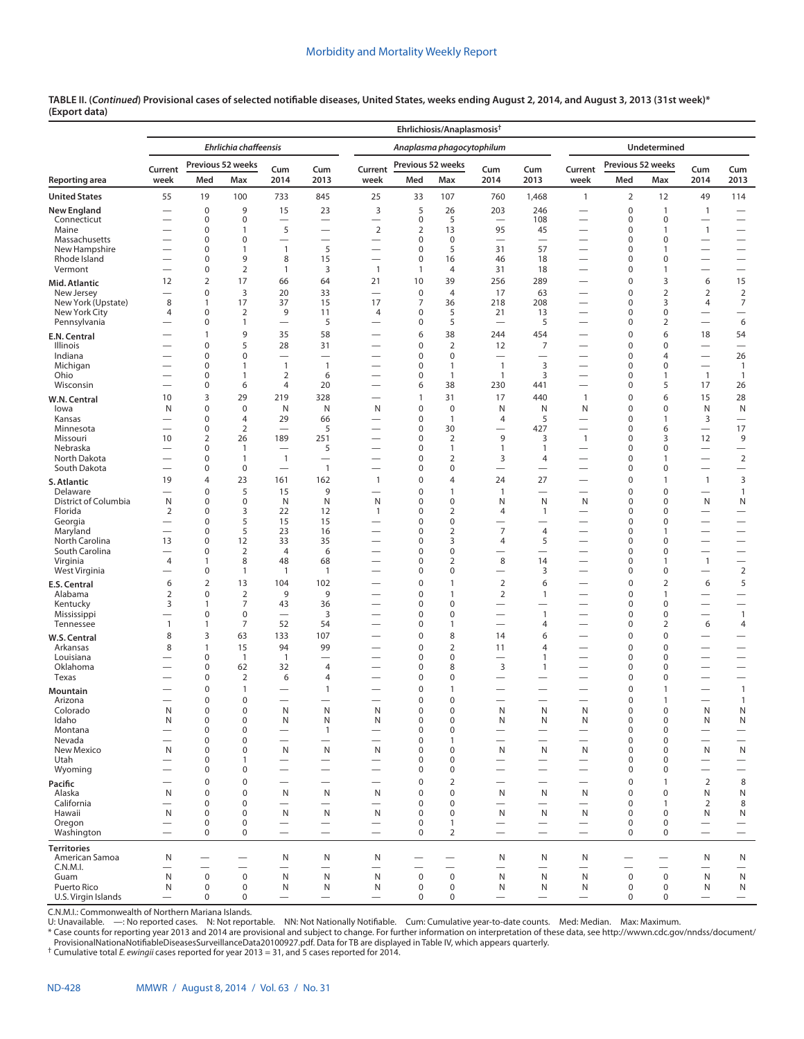|                                 |                                            |                                      |                                |                                  |                                      |                                                      |                             | Ehrlichiosis/Anaplasmosis <sup>+</sup> |                                 |                               |                                                      |                          |                          |                                                      |                                       |
|---------------------------------|--------------------------------------------|--------------------------------------|--------------------------------|----------------------------------|--------------------------------------|------------------------------------------------------|-----------------------------|----------------------------------------|---------------------------------|-------------------------------|------------------------------------------------------|--------------------------|--------------------------|------------------------------------------------------|---------------------------------------|
|                                 |                                            |                                      | Ehrlichia chaffeensis          |                                  |                                      |                                                      |                             | Anaplasma phagocytophilum              |                                 |                               |                                                      |                          | <b>Undetermined</b>      |                                                      |                                       |
|                                 | Current                                    |                                      | Previous 52 weeks              | Cum                              | Cum                                  | Current                                              | Previous 52 weeks           |                                        | Cum                             | Cum                           | Current                                              | Previous 52 weeks        |                          | Cum                                                  | Cum                                   |
| Reporting area                  | week                                       | Med                                  | Max                            | 2014                             | 2013                                 | week                                                 | Med                         | Max                                    | 2014                            | 2013                          | week                                                 | Med                      | Max                      | 2014                                                 | 2013                                  |
| <b>United States</b>            | 55                                         | 19                                   | 100                            | 733                              | 845                                  | 25                                                   | 33                          | 107                                    | 760                             | 1,468                         | $\mathbf{1}$                                         | $\overline{2}$           | 12                       | 49                                                   | 114                                   |
| New England                     | $\overline{\phantom{0}}$                   | $\mathbf 0$<br>0                     | 9<br>$\mathbf 0$               | 15<br>$\overline{\phantom{0}}$   | 23                                   | 3<br>$\overline{\phantom{0}}$                        | 5<br>$\mathbf 0$            | 26<br>5                                | 203<br>$\overline{\phantom{0}}$ | 246<br>108                    | $\overline{\phantom{0}}$<br>$\overline{\phantom{0}}$ | 0<br>0                   | 1<br>0                   | $\mathbf{1}$<br>$\overbrace{\phantom{12333}}$        | $\overline{\phantom{0}}$              |
| Connecticut<br>Maine            |                                            | $\bf 0$                              | $\mathbf{1}$                   | 5                                | $\overline{\phantom{m}}$<br>$\equiv$ | $\overline{2}$                                       | 2                           | 13                                     | 95                              | 45                            | $\overline{\phantom{0}}$                             | 0                        | $\mathbf{1}$             | $\mathbf{1}$                                         | $\overline{\phantom{0}}$              |
| Massachusetts                   |                                            | $\mathbf 0$                          | 0                              | $\overline{\phantom{0}}$         | $\overline{\phantom{0}}$             | $\overline{\phantom{0}}$                             | 0                           | $\mathbf 0$                            | $\overline{\phantom{0}}$        | $\overline{\phantom{0}}$      |                                                      | 0                        | 0                        | $\overline{\phantom{0}}$                             |                                       |
| New Hampshire                   | $\overline{\phantom{0}}$                   | $\mathbf 0$                          | 1                              | $\mathbf{1}$                     | 5                                    | $\overline{\phantom{0}}$                             | 0                           | 5                                      | 31                              | 57                            | $\overline{\phantom{0}}$                             | 0                        | 1                        |                                                      |                                       |
| Rhode Island<br>Vermont         |                                            | $\mathbf 0$<br>$\boldsymbol{0}$      | 9<br>$\overline{2}$            | 8<br>$\mathbf{1}$                | 15<br>3                              | $\mathbf{1}$                                         | $\mathbf 0$<br>$\mathbf{1}$ | 16<br>4                                | 46<br>31                        | 18<br>18                      |                                                      | 0<br>0                   | 0<br>$\mathbf{1}$        | $\overline{\phantom{0}}$<br>$\overline{\phantom{0}}$ | $\overline{\phantom{0}}$              |
| Mid. Atlantic                   | 12                                         | $\overline{2}$                       | 17                             | 66                               | 64                                   | 21                                                   | 10                          | 39                                     | 256                             | 289                           | $\overline{\phantom{0}}$                             | 0                        | 3                        | 6                                                    | 15                                    |
| New Jersey                      |                                            | $\pmb{0}$                            | 3                              | 20                               | 33                                   | $\overline{\phantom{0}}$                             | $\pmb{0}$                   | $\overline{4}$                         | 17                              | 63                            |                                                      | 0                        | $\overline{2}$           | $\overline{2}$                                       | $\sqrt{2}$                            |
| New York (Upstate)              | 8                                          | $\mathbf{1}$                         | 17                             | 37                               | 15                                   | 17                                                   | 7                           | 36                                     | 218                             | 208                           |                                                      | 0                        | 3                        | 4                                                    | $\overline{7}$                        |
| New York City                   | 4                                          | $\mathbf 0$                          | $\overline{2}$                 | 9                                | 11<br>5                              | 4                                                    | 0                           | 5<br>5                                 | 21                              | 13<br>5                       |                                                      | 0                        | 0                        |                                                      | $\qquad \qquad$                       |
| Pennsylvania                    |                                            | $\mathbf 0$<br>$\mathbf{1}$          | $\mathbf{1}$<br>9              | 35                               | 58                                   | $\overline{\phantom{0}}$                             | 0<br>6                      | 38                                     | 244                             | 454                           | $\overline{\phantom{0}}$                             | 0<br>0                   | 2<br>6                   | $\qquad \qquad -$<br>18                              | 6<br>54                               |
| E.N. Central<br>Illinois        |                                            | $\mathbf 0$                          | 5                              | 28                               | 31                                   | $\overline{\phantom{0}}$                             | $\mathbf 0$                 | $\mathbf 2$                            | 12                              | 7                             | $\overline{\phantom{0}}$                             | $\mathbf 0$              | 0                        |                                                      |                                       |
| Indiana                         |                                            | $\mathbf 0$                          | $\mathbf 0$                    | $\overline{\phantom{0}}$         | $\overline{\phantom{0}}$             |                                                      | 0                           | $\pmb{0}$                              | $\overline{\phantom{0}}$        | $\overline{\phantom{0}}$      | $\overline{\phantom{0}}$                             | 0                        | 4                        | $\overline{\phantom{0}}$                             | 26                                    |
| Michigan                        |                                            | $\mathbf 0$                          | $\overline{1}$                 | $\mathbf{1}$                     | $\overline{1}$                       |                                                      | $\pmb{0}$                   | 1                                      | $\mathbf{1}$                    | 3                             |                                                      | 0                        | 0                        |                                                      | $\overline{1}$                        |
| Ohio<br>Wisconsin               | $\overline{\phantom{0}}$                   | 0<br>$\bf 0$                         | $\overline{1}$<br>6            | $\overline{2}$<br>$\overline{4}$ | 6<br>20                              | $\overline{\phantom{0}}$<br>$\overline{\phantom{0}}$ | 0<br>6                      | $\mathbf{1}$<br>38                     | $\mathbf{1}$<br>230             | 3<br>441                      | $\overline{\phantom{0}}$<br>$\overline{\phantom{0}}$ | 0<br>0                   | 1<br>5                   | $\overline{1}$<br>17                                 | $\overline{1}$<br>26                  |
|                                 | 10                                         | 3                                    | 29                             | 219                              | 328                                  | $\overline{\phantom{0}}$                             | $\mathbf{1}$                | 31                                     | 17                              | 440                           | $\mathbf{1}$                                         | 0                        | 6                        | 15                                                   | 28                                    |
| W.N. Central<br>lowa            | N                                          | $\mathbf 0$                          | $\mathbf 0$                    | N                                | N                                    | N                                                    | $\mathbf 0$                 | $\mathbf 0$                            | Ν                               | Ν                             | N                                                    | 0                        | 0                        | N                                                    | N                                     |
| Kansas                          |                                            | $\mathbf 0$                          | 4                              | 29                               | 66                                   | $\overline{\phantom{0}}$                             | $\pmb{0}$                   | 1                                      | 4                               | 5                             |                                                      | 0                        | $\mathbf{1}$             | 3                                                    |                                       |
| Minnesota                       | $\overline{\phantom{0}}$                   | $\bf 0$                              | $\overline{2}$                 |                                  | 5                                    |                                                      | 0                           | 30                                     | $\overline{\phantom{0}}$        | 427                           | $\overline{\phantom{0}}$                             | 0                        | 6                        | $\qquad \qquad$                                      | 17                                    |
| Missouri                        | 10                                         | $\overline{2}$                       | 26                             | 189                              | 251                                  | $\overline{\phantom{0}}$                             | 0                           | $\overline{2}$                         | 9                               | 3                             | $\overline{1}$                                       | 0                        | 3                        | 12                                                   | 9                                     |
| Nebraska<br>North Dakota        |                                            | $\bf 0$<br>$\bf 0$                   | $\overline{1}$<br>$\mathbf{1}$ | $\mathbf{1}$                     | 5<br>$\overline{\phantom{0}}$        | $\overline{\phantom{0}}$<br>$\overline{\phantom{0}}$ | 0<br>0                      | $\mathbf{1}$<br>$\overline{2}$         | $\mathbf{1}$<br>3               | $\mathbf{1}$<br>4             |                                                      | 0<br>0                   | 0<br>1                   | $\overline{\phantom{0}}$                             | $\overline{2}$                        |
| South Dakota                    |                                            | $\bf 0$                              | $\mathbf 0$                    |                                  | $\overline{1}$                       | $\overline{\phantom{0}}$                             | 0                           | 0                                      |                                 |                               | $\overline{\phantom{0}}$                             | 0                        | 0                        |                                                      | $\qquad \qquad -$                     |
| S. Atlantic                     | 19                                         | $\overline{4}$                       | 23                             | 161                              | 162                                  | $\mathbf{1}$                                         | $\mathbf 0$                 | 4                                      | 24                              | 27                            | $\overline{\phantom{0}}$                             | $\mathbf 0$              | $\mathbf{1}$             | $\overline{1}$                                       | 3                                     |
| Delaware                        | $\overline{\phantom{0}}$                   | $\mathbf 0$                          | 5                              | 15                               | 9                                    | $\overline{\phantom{0}}$                             | $\pmb{0}$                   | $\mathbf{1}$                           | $\mathbf{1}$                    | $\overline{\phantom{0}}$      | $\overline{\phantom{0}}$                             | 0                        | 0                        | $\overline{\phantom{0}}$                             | $\mathbf{1}$                          |
| District of Columbia            | N                                          | $\mathbf 0$                          | $\mathbf 0$                    | N                                | N                                    | N                                                    | 0                           | 0                                      | Ν                               | N                             | N                                                    | 0                        | 0                        | N                                                    | N                                     |
| Florida<br>Georgia              | 2                                          | $\mathbf 0$<br>$\mathbf 0$           | 3<br>5                         | 22<br>15                         | 12<br>15                             | $\mathbf{1}$                                         | 0<br>0                      | $\overline{2}$<br>0                    | $\overline{4}$                  | $\mathbf{1}$                  | $\overline{\phantom{0}}$                             | $\mathbf 0$<br>0         | 0<br>0                   | $\overline{\phantom{0}}$                             | $\overline{\phantom{0}}$              |
| Maryland                        |                                            | $\mathbf 0$                          | 5                              | 23                               | 16                                   |                                                      | 0                           | $\overline{2}$                         | $\overline{7}$                  | $\overline{4}$                |                                                      | 0                        | 1                        | $\overline{\phantom{0}}$                             | $\overline{\phantom{0}}$              |
| North Carolina                  | 13                                         | $\mathbf 0$                          | 12                             | 33                               | 35                                   | $\overline{\phantom{0}}$                             | 0                           | 3                                      | 4                               | 5                             | $\qquad \qquad$                                      | 0                        | 0                        | $\qquad \qquad -$                                    |                                       |
| South Carolina                  | $\overline{\phantom{0}}$<br>$\overline{4}$ | $\bf 0$<br>$\mathbf{1}$              | $\overline{2}$<br>8            | $\overline{4}$<br>48             | 6                                    |                                                      | 0<br>$\pmb{0}$              | 0<br>$\overline{2}$                    | $\overline{\phantom{0}}$<br>8   | $\overline{\phantom{0}}$      | $\overline{\phantom{0}}$                             | $\mathbf 0$<br>0         | 0                        | $\overline{\phantom{0}}$<br>$\overline{1}$           |                                       |
| Virginia<br>West Virginia       |                                            | $\bf 0$                              | $\mathbf{1}$                   | $\mathbf{1}$                     | 68<br>$\overline{1}$                 | -                                                    | $\pmb{0}$                   | 0                                      | $\overline{\phantom{0}}$        | 14<br>3                       | $\overline{\phantom{0}}$                             | 0                        | 1<br>0                   |                                                      | —<br>$\overline{2}$                   |
| E.S. Central                    | 6                                          | $\overline{2}$                       | 13                             | 104                              | 102                                  |                                                      | $\mathbf 0$                 | 1                                      | $\overline{2}$                  | 6                             | $\overline{\phantom{0}}$                             | $\mathbf 0$              | 2                        | 6                                                    | 5                                     |
| Alabama                         | 2                                          | $\boldsymbol{0}$                     | $\overline{2}$                 | 9                                | 9                                    |                                                      | $\pmb{0}$                   | $\mathbf{1}$                           | $\overline{2}$                  | $\mathbf{1}$                  |                                                      | 0                        | 1                        |                                                      | $\overline{\phantom{0}}$              |
| Kentucky                        | 3                                          | $\mathbf{1}$                         | 7                              | 43                               | 36                                   |                                                      | $\pmb{0}$                   | 0                                      |                                 | -                             |                                                      | 0                        | 0                        |                                                      | $\overline{\phantom{0}}$              |
| Mississippi                     | -<br>$\mathbf{1}$                          | $\boldsymbol{0}$<br>$\mathbf{1}$     | $\mathbf 0$<br>7               | 52                               | 3                                    |                                                      | $\mathbf 0$<br>$\pmb{0}$    | $\mathbf 0$<br>1                       | $\overline{\phantom{0}}$        | $\mathbf{1}$                  |                                                      | $\mathbf 0$              | 0<br>$\overline{2}$      |                                                      | $\mathbf{1}$                          |
| Tennessee                       | 8                                          | 3                                    | 63                             | 133                              | 54<br>107                            |                                                      | $\pmb{0}$                   | 8                                      | 14                              | 4<br>6                        |                                                      | 0<br>0                   | 0                        | 6                                                    | 4                                     |
| <b>W.S. Central</b><br>Arkansas | 8                                          | $\mathbf{1}$                         | 15                             | 94                               | 99                                   |                                                      | 0                           | $\overline{2}$                         | 11                              | $\overline{4}$                |                                                      | 0                        | 0                        |                                                      | $\overline{\phantom{0}}$              |
| Louisiana                       |                                            | $\bf 0$                              | $\overline{1}$                 | $\mathbf{1}$                     | $\overline{\phantom{0}}$             |                                                      | 0                           | 0                                      | $\overline{\phantom{0}}$        | $\mathbf{1}$                  | $\overline{\phantom{0}}$                             | 0                        | 0                        | $\overline{\phantom{0}}$                             | $\overline{\phantom{0}}$              |
| Oklahoma                        |                                            | $\bf 0$                              | 62                             | 32                               | 4                                    |                                                      | $\pmb{0}$                   | 8                                      | 3                               | $\mathbf{1}$                  | $\overline{\phantom{0}}$                             | 0                        | 0                        |                                                      | $\overline{\phantom{0}}$              |
| Texas                           |                                            | $\bf 0$                              | 2                              | 6                                | 4                                    |                                                      | $\pmb{0}$                   | 0                                      | $\overline{\phantom{0}}$        |                               |                                                      | $\mathbf 0$              | 0                        | $\overline{\phantom{0}}$                             | $\overline{\phantom{0}}$              |
| Mountain                        |                                            | $\mathbf 0$                          | $\overline{1}$                 |                                  | $\mathbf{1}$                         |                                                      | $\pmb{0}$                   | 1                                      | -                               |                               |                                                      | $\mathbf 0$              | $\mathbf{1}$             |                                                      | $\mathbf{1}$                          |
| Arizona<br>Colorado             | N                                          | $\mathbf 0$<br>0                     | $\mathbf 0$<br>0               | N                                | N                                    | Ν                                                    | $\mathbf 0$<br>0            | 0<br>0                                 | N                               | N                             | N                                                    | 0<br>0                   | $\mathbf{1}$<br>0        | $\overbrace{\phantom{12333}}$<br>N                   | $\mathbf{1}$<br>N                     |
| Idaho                           | N                                          | $\boldsymbol{0}$                     | $\mathsf 0$                    | N                                | N                                    | N                                                    | $\pmb{0}$                   | $\pmb{0}$                              | N                               | N                             | N                                                    | $\mathbf 0$              | 0                        | N                                                    | ${\sf N}$                             |
| Montana                         | -                                          | $\boldsymbol{0}$                     | $\mathbf 0$                    |                                  | $\mathbf{1}$                         |                                                      | $\pmb{0}$                   | 0                                      |                                 |                               |                                                      | $\mathbf 0$              | 0                        |                                                      | $\overline{\phantom{0}}$              |
| Nevada<br>New Mexico            | N                                          | $\boldsymbol{0}$<br>$\boldsymbol{0}$ | $\mathbf 0$<br>$\mathbf 0$     | $\overline{\phantom{0}}$<br>N    | $\overline{\phantom{0}}$             | $\overline{\phantom{0}}$<br>N                        | $\mathbf 0$<br>$\pmb{0}$    | $\mathbf{1}$<br>0                      | $\overline{\phantom{0}}$<br>N   | $\overline{\phantom{0}}$<br>N | $\overline{\phantom{0}}$<br>N                        | $\mathbf 0$<br>0         | 0                        | $\overline{\phantom{0}}$<br>N                        | $\overline{\phantom{0}}$<br>${\sf N}$ |
| Utah                            | $\overline{\phantom{0}}$                   | $\boldsymbol{0}$                     | $\overline{1}$                 | $\overline{\phantom{0}}$         | N                                    | -                                                    | $\pmb{0}$                   | 0                                      |                                 |                               |                                                      | 0                        | 0<br>0                   | $\overline{\phantom{0}}$                             |                                       |
| Wyoming                         |                                            | $\bf 0$                              | $\mathbf 0$                    |                                  | $\overline{\phantom{0}}$             |                                                      | $\pmb{0}$                   | 0                                      |                                 |                               |                                                      | 0                        | 0                        |                                                      | $\overline{\phantom{0}}$              |
| Pacific                         | --                                         | $\mathbf 0$                          | $\mathbf 0$                    |                                  |                                      |                                                      | 0                           | $\mathbf 2$                            | --                              | -                             |                                                      | $\mathbf 0$              | 1                        | $\overline{2}$                                       | $\,8\,$                               |
| Alaska                          | N                                          | $\mathbf 0$                          | $\mathbf 0$                    | N                                | N                                    | N                                                    | 0                           | 0                                      | N                               | N                             | N                                                    | $\mathbf 0$              | 0                        | N                                                    | N                                     |
| California                      |                                            | $\bf 0$                              | $\mathbf 0$                    |                                  | $\overline{\phantom{0}}$             |                                                      | $\mathbf 0$                 | 0                                      |                                 |                               |                                                      | $\mathbf 0$              | $\mathbf{1}$             | $\overline{2}$                                       | 8                                     |
| Hawaii<br>Oregon                | N<br>$\overline{\phantom{0}}$              | $\bf 0$<br>$\mathbf 0$               | $\mathbf 0$<br>$\mathbf 0$     | N<br>$\overline{\phantom{0}}$    | N                                    | N<br>$\overline{\phantom{0}}$                        | $\pmb{0}$<br>$\pmb{0}$      | $\mathbf 0$<br>$\mathbf{1}$            | N                               | N<br>$\overline{\phantom{0}}$ | N<br>$\overline{\phantom{0}}$                        | $\mathbf 0$<br>0         | 0<br>0                   | N<br>$\overline{\phantom{0}}$                        | N                                     |
| Washington                      |                                            | $\mathbf 0$                          | $\mathbf 0$                    |                                  |                                      |                                                      | $\mathbf 0$                 | $\overline{2}$                         |                                 |                               | $\qquad \qquad$                                      | 0                        | 0                        | $\qquad \qquad$                                      | $\qquad \qquad -$                     |
| <b>Territories</b>              |                                            |                                      |                                |                                  |                                      |                                                      |                             |                                        |                                 |                               |                                                      |                          |                          |                                                      |                                       |
| American Samoa                  | N                                          |                                      |                                | N                                | N                                    | N                                                    |                             |                                        | N                               | N                             | N                                                    |                          |                          | N                                                    | N                                     |
| C.N.M.I.                        | —                                          | $\overline{\phantom{0}}$             | $\overline{\phantom{0}}$       | $\overline{\phantom{0}}$         | $\overline{\phantom{0}}$             | $\overline{\phantom{0}}$                             |                             | $\overline{\phantom{0}}$               | $\overline{\phantom{0}}$        | $\overline{\phantom{0}}$      | $\overline{\phantom{0}}$                             | $\overline{\phantom{0}}$ | $\overline{\phantom{0}}$ | $\overline{\phantom{0}}$                             | $\overline{\phantom{0}}$              |
| Guam<br>Puerto Rico             | N<br>N                                     | $\pmb{0}$<br>$\pmb{0}$               | $\pmb{0}$<br>$\pmb{0}$         | $\mathsf{N}$<br>N                | N<br>N                               | N<br>N                                               | $\pmb{0}$<br>$\pmb{0}$      | $\pmb{0}$<br>0                         | N<br>N                          | N<br>N                        | N<br>N                                               | $\mathsf 0$<br>0         | $\mathsf 0$<br>$\pmb{0}$ | N<br>N                                               | ${\sf N}$<br>N                        |
| U.S. Virgin Islands             |                                            | $\boldsymbol{0}$                     | 0                              |                                  |                                      | $\overline{\phantom{0}}$                             | $\mathbf 0$                 | 0                                      |                                 |                               |                                                      | 0                        | 0                        | $\qquad \qquad$                                      | $\qquad \qquad -$                     |

C.N.M.I.: Commonwealth of Northern Mariana Islands. U: Unavailable. —: No reported cases. N: Not reportable. NN: Not Nationally Notifiable. Cum: Cumulative year-to-date counts. Med: Median. Max: Maximum.

\* Case counts for reporting year 2013 and 2014 are provisional and subject to change. For further information on interpretation of these data, see [http://wwwn.cdc.gov/nndss/document/](http://wwwn.cdc.gov/nndss/document/ProvisionalNationaNotifiableDiseasesSurveillanceData20100927.pdf)<br>ProvisionalNationaNotifiableDiseasesSur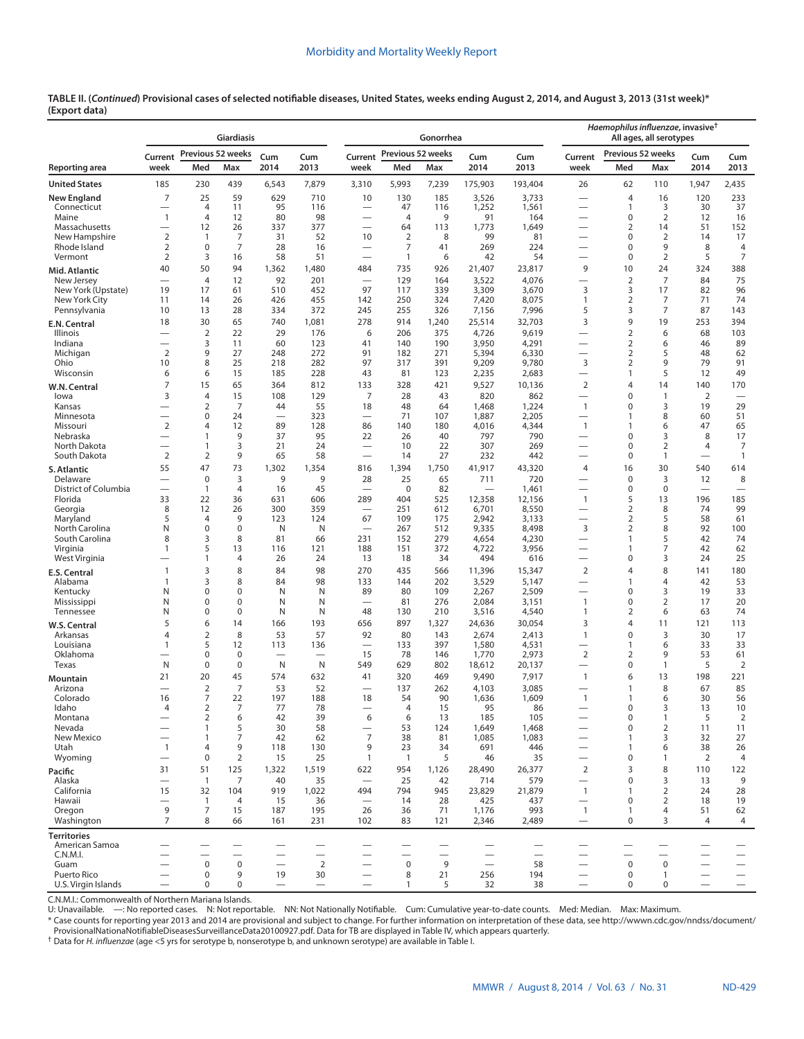| Giardiasis<br>Previous 52 weeks  |                                                      |                                  |                      |                                |                          |                                            |                                  | Gonorrhea                     |                 |                          |                                                               | Haemophilus influenzae, invasive <sup>†</sup> | All ages, all serotypes          |                               |                                  |
|----------------------------------|------------------------------------------------------|----------------------------------|----------------------|--------------------------------|--------------------------|--------------------------------------------|----------------------------------|-------------------------------|-----------------|--------------------------|---------------------------------------------------------------|-----------------------------------------------|----------------------------------|-------------------------------|----------------------------------|
|                                  | Current                                              |                                  |                      | Cum                            | Cum                      | Current                                    | Previous 52 weeks                |                               | Cum             | Cum                      | Current                                                       | Previous 52 weeks                             |                                  | Cum                           | Cum                              |
| Reporting area                   | week                                                 | Med                              | Max                  | 2014                           | 2013                     | week                                       | Med                              | Max                           | 2014            | 2013                     | week                                                          | Med                                           | Max                              | 2014                          | 2013                             |
| <b>United States</b>             | 185                                                  | 230                              | 439                  | 6,543                          | 7,879                    | 3,310                                      | 5,993                            | 7,239                         | 175,903         | 193,404                  | 26                                                            | 62                                            | 110                              | 1,947                         | 2,435                            |
| <b>New England</b>               | $\overline{7}$                                       | 25                               | 59                   | 629                            | 710                      | 10                                         | 130                              | 185                           | 3,526           | 3,733                    | $\overline{\phantom{0}}$                                      | 4                                             | 16                               | 120                           | 233                              |
| Connecticut<br>Maine             | $\overline{\phantom{0}}$<br>$\mathbf{1}$             | $\overline{4}$<br>$\overline{4}$ | 11<br>12             | 95<br>80                       | 116<br>98                |                                            | 47<br>$\overline{4}$             | 116<br>9                      | 1,252<br>91     | 1,561<br>164             | $\overline{\phantom{0}}$<br>$\overline{\phantom{0}}$          | $\mathbf{1}$<br>$\mathbf 0$                   | 3<br>$\overline{2}$              | 30<br>12                      | 37<br>16                         |
| Massachusetts                    | $\overline{\phantom{0}}$                             | 12                               | 26                   | 337                            | 377                      | $\overline{\phantom{0}}$                   | 64                               | 113                           | 1,773           | 1,649                    | $\overline{\phantom{0}}$                                      | $\overline{2}$                                | 14                               | 51                            | 152                              |
| New Hampshire                    | $\overline{2}$                                       | 1                                | $\overline{7}$       | 31                             | 52                       | 10                                         | $\overline{2}$                   | 8                             | 99              | 81                       |                                                               | $\mathbf 0$                                   | $\overline{2}$                   | 14                            | 17                               |
| Rhode Island<br>Vermont          | $\overline{2}$<br>2                                  | $\mathbf 0$<br>3                 | $\overline{7}$<br>16 | 28<br>58                       | 16<br>51                 | $\overline{\phantom{0}}$                   | $\overline{7}$<br>$\overline{1}$ | 41<br>6                       | 269<br>42       | 224<br>54                | $\overbrace{\phantom{123221111}}$                             | 0<br>$\mathbf 0$                              | 9<br>2                           | 8<br>5                        | $\overline{4}$<br>$\overline{7}$ |
|                                  | 40                                                   | 50                               | 94                   | 1,362                          | 1,480                    | 484                                        | 735                              | 926                           | 21,407          | 23,817                   | $\overbrace{\phantom{123221111}}$<br>9                        | 10                                            | 24                               | 324                           | 388                              |
| Mid. Atlantic<br>New Jersey      | $\overline{\phantom{0}}$                             | $\overline{4}$                   | 12                   | 92                             | 201                      |                                            | 129                              | 164                           | 3,522           | 4,076                    | $\overline{\phantom{0}}$                                      | $\overline{2}$                                | 7                                | 84                            | 75                               |
| New York (Upstate)               | 19                                                   | 17                               | 61                   | 510                            | 452                      | 97                                         | 117                              | 339                           | 3,309           | 3,670                    | 3                                                             | 3                                             | 17                               | 82                            | 96                               |
| New York City                    | 11                                                   | 14                               | 26                   | 426                            | 455                      | 142                                        | 250                              | 324                           | 7,420           | 8,075                    | $\mathbf{1}$                                                  | $\overline{2}$                                | 7<br>7                           | 71<br>87                      | 74                               |
| Pennsylvania                     | 10<br>18                                             | 13<br>30                         | 28<br>65             | 334<br>740                     | 372<br>1,081             | 245<br>278                                 | 255<br>914                       | 326<br>1,240                  | 7,156<br>25,514 | 7,996<br>32,703          | 5<br>3                                                        | 3<br>9                                        | 19                               | 253                           | 143<br>394                       |
| E.N. Central<br>Illinois         | $\overline{\phantom{0}}$                             | $\overline{2}$                   | 22                   | 29                             | 176                      | 6                                          | 206                              | 375                           | 4,726           | 9,619                    | $\overline{\phantom{0}}$                                      | $\overline{2}$                                | 6                                | 68                            | 103                              |
| Indiana                          |                                                      | 3                                | 11                   | 60                             | 123                      | 41                                         | 140                              | 190                           | 3,950           | 4,291                    | $\overline{\phantom{0}}$                                      | 2                                             | 6                                | 46                            | 89                               |
| Michigan                         | $\overline{2}$                                       | 9                                | 27                   | 248                            | 272                      | 91                                         | 182                              | 271                           | 5,394           | 6,330                    | $\overline{\phantom{0}}$                                      | 2                                             | 5                                | 48                            | 62                               |
| Ohio<br>Wisconsin                | 10<br>6                                              | 8<br>6                           | 25<br>15             | 218<br>185                     | 282<br>228               | 97<br>43                                   | 317<br>81                        | 391<br>123                    | 9,209<br>2,235  | 9,780<br>2,683           | 3<br>$\overbrace{\phantom{123221111}}$                        | 2<br>$\mathbf{1}$                             | 9<br>5                           | 79<br>12                      | 91<br>49                         |
| W.N. Central                     | 7                                                    | 15                               | 65                   | 364                            | 812                      | 133                                        | 328                              | 421                           | 9,527           | 10,136                   | $\overline{2}$                                                | $\overline{4}$                                | 14                               | 140                           | 170                              |
| lowa                             | 3                                                    | $\overline{4}$                   | 15                   | 108                            | 129                      | $\overline{7}$                             | 28                               | 43                            | 820             | 862                      | $\overline{\phantom{0}}$                                      | $\mathbf 0$                                   | $\mathbf{1}$                     | $\overline{2}$                |                                  |
| Kansas                           |                                                      | $\overline{2}$                   | 7                    | 44                             | 55                       | 18                                         | 48                               | 64                            | 1,468           | 1,224                    | $\mathbf{1}$                                                  | 0                                             | 3                                | 19                            | 29                               |
| Minnesota                        | -<br>$\overline{2}$                                  | $\mathbf 0$<br>$\overline{4}$    | 24<br>12             | $\overline{\phantom{0}}$<br>89 | 323<br>128               | $\overline{\phantom{0}}$<br>86             | 71<br>140                        | 107<br>180                    | 1,887           | 2,205<br>4,344           | $\overline{\phantom{0}}$<br>$\mathbf{1}$                      | $\mathbf{1}$<br>$\mathbf{1}$                  | 8<br>6                           | 60<br>47                      | 51<br>65                         |
| Missouri<br>Nebraska             | $\overline{\phantom{0}}$                             | 1                                | 9                    | 37                             | 95                       | 22                                         | 26                               | 40                            | 4,016<br>797    | 790                      | $\overline{\phantom{0}}$                                      | $\mathbf 0$                                   | 3                                | 8                             | 17                               |
| North Dakota                     | $\overline{\phantom{0}}$                             | 1                                | 3                    | 21                             | 24                       |                                            | 10                               | 22                            | 307             | 269                      | $\overbrace{\phantom{123221111}}$                             | $\mathbf 0$                                   | $\overline{2}$                   | 4                             | 7                                |
| South Dakota                     | $\overline{2}$                                       | 2                                | 9                    | 65                             | 58                       | $\overline{\phantom{0}}$                   | 14                               | 27                            | 232             | 442                      | $\overbrace{\phantom{123221111}}$                             | $\mathbf 0$                                   | $\mathbf{1}$                     | $\overline{\phantom{0}}$      | $\mathbf{1}$                     |
| S. Atlantic                      | 55                                                   | 47                               | 73                   | 1,302                          | 1,354                    | 816                                        | 1,394                            | 1,750                         | 41,917          | 43,320                   | 4                                                             | 16                                            | 30                               | 540                           | 614                              |
| Delaware<br>District of Columbia | $\overline{\phantom{0}}$<br>-                        | $\mathbf 0$<br>$\mathbf{1}$      | 3<br>$\overline{4}$  | 9<br>16                        | 9<br>45                  | 28                                         | 25<br>$\mathbf 0$                | 65<br>82                      | 711             | 720<br>1,461             | $\overbrace{\phantom{123221111}}$<br>$\overline{\phantom{0}}$ | $\mathbf 0$<br>0                              | 3<br>$\mathbf 0$                 | 12                            | 8<br>$\overline{\phantom{0}}$    |
| Florida                          | 33                                                   | 22                               | 36                   | 631                            | 606                      | 289                                        | 404                              | 525                           | 12,358          | 12,156                   | $\mathbf{1}$                                                  | 5                                             | 13                               | 196                           | 185                              |
| Georgia                          | 8                                                    | 12                               | 26                   | 300                            | 359                      |                                            | 251                              | 612                           | 6,701           | 8,550                    | $\overbrace{\phantom{123221111}}$                             | $\overline{2}$                                | 8                                | 74                            | 99                               |
| Maryland<br>North Carolina       | 5<br>N                                               | 4<br>$\mathbf 0$                 | 9<br>$\mathbf 0$     | 123<br>N                       | 124<br>N                 | 67<br>$\overline{\phantom{0}}$             | 109<br>267                       | 175<br>512                    | 2,942<br>9,335  | 3,133<br>8,498           | $\overline{\phantom{0}}$<br>3                                 | 2<br>$\overline{2}$                           | 5<br>8                           | 58<br>92                      | 61<br>100                        |
| South Carolina                   | 8                                                    | 3                                | 8                    | 81                             | 66                       | 231                                        | 152                              | 279                           | 4,654           | 4,230                    | $\overbrace{\phantom{123221111}}$                             | 1                                             | 5                                | 42                            | 74                               |
| Virginia                         | 1                                                    | 5                                | 13                   | 116                            | 121                      | 188                                        | 151                              | 372                           | 4,722           | 3,956                    | $\overline{\phantom{0}}$                                      | 1                                             | 7                                | 42                            | 62                               |
| West Virginia                    |                                                      | 1                                | 4                    | 26                             | 24                       | 13                                         | 18                               | 34                            | 494             | 616                      | $\overline{\phantom{0}}$                                      | $\mathbf 0$                                   | 3                                | 24                            | 25                               |
| E.S. Central<br>Alabama          | $\mathbf{1}$<br>$\mathbf{1}$                         | 3<br>$\overline{3}$              | 8<br>8               | 84<br>84                       | 98<br>98                 | 270<br>133                                 | 435<br>144                       | 566<br>202                    | 11,396<br>3,529 | 15,347<br>5,147          | $\overline{2}$<br>$\overline{\phantom{0}}$                    | $\overline{4}$<br>$\mathbf{1}$                | 8<br>$\overline{4}$              | 141<br>42                     | 180<br>53                        |
| Kentucky                         | N                                                    | $\mathbf 0$                      | 0                    | N                              | N                        | 89                                         | 80                               | 109                           | 2,267           | 2,509                    | $\overline{\phantom{0}}$                                      | $\mathbf 0$                                   | 3                                | 19                            | 33                               |
| Mississippi                      | N                                                    | $\mathbf 0$                      | 0                    | N                              | Ν                        | $\overline{\phantom{0}}$                   | 81                               | 276                           | 2,084           | 3,151                    | $\mathbf{1}$                                                  | $\mathbf 0$                                   | $\overline{2}$                   | 17                            | 20                               |
| Tennessee                        | N                                                    | $\mathbf 0$                      | 0                    | N                              | N                        | 48                                         | 130                              | 210                           | 3,516           | 4,540                    | $\mathbf{1}$                                                  | 2                                             | 6                                | 63                            | 74                               |
| W.S. Central                     | 5                                                    | 6                                | 14                   | 166                            | 193                      | 656                                        | 897                              | 1,327                         | 24,636          | 30,054                   | 3                                                             | 4                                             | 11                               | 121                           | 113                              |
| Arkansas<br>Louisiana            | 4<br>$\mathbf{1}$                                    | $\overline{2}$<br>5              | 8<br>12              | 53<br>113                      | 57<br>136                | 92<br>$\overline{\phantom{0}}$             | 80<br>133                        | 143<br>397                    | 2,674<br>1,580  | 2,413<br>4,531           | $\mathbf{1}$<br>$\overline{\phantom{0}}$                      | $\mathbf 0$<br>$\mathbf{1}$                   | 3<br>6                           | 30<br>33                      | 17<br>33                         |
| Oklahoma                         |                                                      | $\mathbf 0$                      | $\mathbf 0$          |                                |                          | 15                                         | 78                               | 146                           | 1,770           | 2,973                    | $\overline{2}$                                                | $\overline{2}$                                | 9                                | 53                            | 61                               |
| Texas                            | N                                                    | 0                                | 0                    | N                              | N                        | 549                                        | 629                              | 802                           | 18,612          | 20,137                   | $\overline{\phantom{0}}$                                      | 0                                             | $\mathbf{1}$                     | 5                             | 2                                |
| <b>Mountain</b>                  | 21                                                   | 20                               | 45                   | 574                            | 632                      | 41                                         | 320                              | 469                           | 9,490           | 7,917                    | $\mathbf{1}$                                                  | 6                                             | 13                               | 198                           | 221                              |
| Arizona<br>Colorado              | 16                                                   | $\overline{2}$<br>$\overline{7}$ | $\overline{7}$<br>22 | 53<br>197                      | 52<br>188                | 18                                         | 137<br>54                        | 262<br>90                     | 4,103<br>1,636  | 3,085<br>1,609           | $\mathbf{1}$                                                  | $\mathbf{1}$<br>1                             | 8<br>6                           | 67<br>30                      | 85<br>56                         |
| Idaho                            | 4                                                    | 2                                | 7                    | 77                             | 78                       |                                            | $\overline{4}$                   | 15                            | 95              | 86                       |                                                               | 0                                             | 3                                | 13                            | 10                               |
| Montana                          | $\overline{\phantom{0}}$                             | $\overline{2}$                   | 6                    | 42                             | 39                       | 6                                          | 6                                | 13                            | 185             | 105                      |                                                               | $\mathbf 0$                                   | $\mathbf{1}$                     | 5                             | $\sqrt{2}$                       |
| Nevada<br>New Mexico             | $\overline{\phantom{0}}$<br>$\overline{\phantom{0}}$ | $\mathbf{1}$<br>1                | 5<br>7               | 30<br>42                       | 58<br>62                 | $\overline{\phantom{0}}$<br>$\overline{7}$ | 53<br>38                         | 124<br>81                     | 1,649<br>1,085  | 1,468<br>1,083           | $\overline{\phantom{0}}$<br>$\overline{\phantom{0}}$          | 0<br>1                                        | $\overline{2}$<br>3              | 11<br>32                      | 11<br>27                         |
| Utah                             | $\mathbf{1}$                                         | 4                                | 9                    | 118                            | 130                      | 9                                          | 23                               | 34                            | 691             | 446                      | $\overbrace{\phantom{1232211}}$                               | $\mathbf{1}$                                  | 6                                | 38                            | 26                               |
| Wyoming                          | $\overline{\phantom{0}}$                             | $\mathbf 0$                      | 2                    | 15                             | 25                       | $\mathbf{1}$                               | $\overline{1}$                   | 5                             | 46              | 35                       | $\overline{\phantom{0}}$                                      | 0                                             | 1                                | 2                             | 4                                |
| Pacific                          | 31                                                   | 51                               | 125                  | 1,322                          | 1,519                    | 622                                        | 954                              | 1,126                         | 28,490          | 26,377                   | 2                                                             | 3                                             | 8                                | 110                           | 122                              |
| Alaska                           | $\overbrace{\phantom{123221111}}$                    | $\overline{1}$                   | $\overline{7}$       | 40                             | 35                       | $\overbrace{\phantom{12322111}}$           | 25                               | 42                            | 714             | 579                      | $\overbrace{\phantom{1232211}}$                               | $\mathbf 0$                                   | 3                                | 13                            | 9                                |
| California<br>Hawaii             | 15<br>$\overline{\phantom{0}}$                       | 32<br>$\mathbf{1}$               | 104<br>4             | 919<br>15                      | 1,022<br>36              | 494<br>$\overbrace{\phantom{12322111}}$    | 794<br>14                        | 945<br>28                     | 23,829<br>425   | 21,879<br>437            | $\mathbf{1}$<br>$\overbrace{\phantom{1232211}}$               | 1<br>$\mathbf 0$                              | $\overline{2}$<br>$\overline{2}$ | 24<br>18                      | 28<br>19                         |
| Oregon                           | 9                                                    | 7                                | 15                   | 187                            | 195                      | 26                                         | 36                               | 71                            | 1,176           | 993                      | $\mathbf{1}$                                                  | $\mathbf{1}$                                  | 4                                | 51                            | 62                               |
| Washington                       | $\overline{7}$                                       | 8                                | 66                   | 161                            | 231                      | 102                                        | 83                               | 121                           | 2,346           | 2,489                    | $\overline{\phantom{0}}$                                      | 0                                             | 3                                | 4                             | 4                                |
| <b>Territories</b>               |                                                      |                                  |                      |                                |                          |                                            |                                  |                               |                 |                          |                                                               |                                               |                                  |                               |                                  |
| American Samoa<br>C.N.M.I.       | $\overline{\phantom{0}}$                             | $\overline{\phantom{0}}$         | $\equiv$             | $\overline{\phantom{0}}$       |                          |                                            | —<br>$\overline{\phantom{0}}$    | —<br>$\overline{\phantom{0}}$ |                 | $\overline{\phantom{0}}$ |                                                               |                                               | $\overline{\phantom{0}}$         |                               |                                  |
| Guam                             |                                                      | $\mathbf 0$                      | 0                    | $\overline{\phantom{0}}$       | 2                        | $\overline{\phantom{0}}$                   | $\mathbf 0$                      | 9                             | $\equiv$        | 58                       | $\overbrace{\phantom{1232211}}$                               | $\mathbf 0$                                   | $\mathbf 0$                      |                               |                                  |
| Puerto Rico                      |                                                      | 0                                | 9                    | 19                             | 30                       |                                            | 8                                | 21                            | 256             | 194                      | $\qquad \qquad$                                               | 0                                             | $\mathbf{1}$                     | $\overline{\phantom{0}}$      | —                                |
| U.S. Virgin Islands              | $\overline{\phantom{0}}$                             | $\mathbf 0$                      | 0                    |                                | $\overline{\phantom{0}}$ | $\overline{\phantom{0}}$                   | $\mathbf{1}$                     | 5                             | 32              | 38                       | $\overline{\phantom{0}}$                                      | 0                                             | $\pmb{0}$                        | $\overbrace{\phantom{13333}}$ |                                  |

C.N.M.I.: Commonwealth of Northern Mariana Islands.

U: Unavailable. —: No reported cases. N: Not reportable. NN: Not Nationally Notifiable. Cum: Cumulative year-to-date counts. Med: Median. Max: Maximum.

\* Case counts for reporting year 2013 and 2014 are provisional and subject to change. For further information on interpretation of these data, see [http://wwwn.cdc.gov/nndss/document/](http://wwwn.cdc.gov/nndss/document/ProvisionalNationaNotifiableDiseasesSurveillanceData20100927.pdf) [ProvisionalNationaNotifiableDiseasesSurveillanceData20100927.pdf](http://wwwn.cdc.gov/nndss/document/ProvisionalNationaNotifiableDiseasesSurveillanceData20100927.pdf). Data for TB are displayed in Table IV, which appears quarterly.

† Data for *H. influenzae* (age <5 yrs for serotype b, nonserotype b, and unknown serotype) are available in Table I.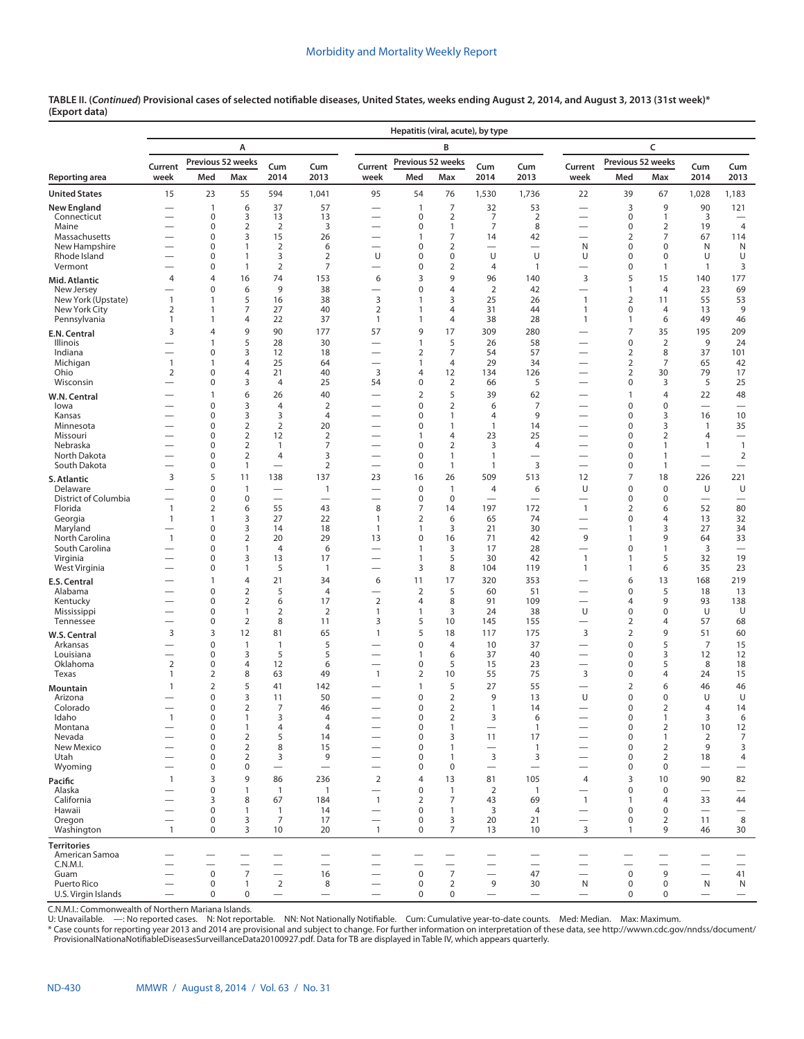|                                   |                              |                              |                                  |                          |                                      |                                                      | Hepatitis (viral, acute), by type |                                  |                                |                                      |                               |                                  |                                |                                |                                 |
|-----------------------------------|------------------------------|------------------------------|----------------------------------|--------------------------|--------------------------------------|------------------------------------------------------|-----------------------------------|----------------------------------|--------------------------------|--------------------------------------|-------------------------------|----------------------------------|--------------------------------|--------------------------------|---------------------------------|
|                                   |                              |                              | А                                |                          |                                      |                                                      |                                   | B                                |                                |                                      |                               |                                  | c                              |                                |                                 |
|                                   | Current                      |                              | Previous 52 weeks                | Cum                      | Cum                                  | Current                                              | Previous 52 weeks                 |                                  | Cum                            | Cum                                  | Current                       | Previous 52 weeks                |                                | Cum                            | Cum                             |
| Reporting area                    | week                         | Med                          | Max                              | 2014                     | 2013                                 | week                                                 | Med                               | Max                              | 2014                           | 2013                                 | week                          | Med                              | Max                            | 2014                           | 2013                            |
| <b>United States</b>              | 15                           | 23                           | 55                               | 594                      | 1,041                                | 95                                                   | 54                                | 76                               | 1,530                          | 1,736                                | 22                            | 39                               | 67                             | 1,028                          | 1,183                           |
| <b>New England</b><br>Connecticut |                              | $\overline{1}$<br>0          | 6<br>3                           | 37<br>13                 | 57<br>13                             |                                                      | $\mathbf{1}$<br>0                 | $\overline{7}$<br>$\overline{2}$ | 32<br>$\overline{7}$           | 53<br>$\overline{2}$                 |                               | 3<br>0                           | 9<br>$\mathbf{1}$              | 90<br>3                        | 121                             |
| Maine                             |                              | 0                            | $\overline{2}$                   | 2                        | 3                                    | $\overline{\phantom{0}}$                             | 0                                 | $\mathbf{1}$                     | 7                              | 8                                    | -                             | 0                                | 2                              | 19                             | 4                               |
| Massachusetts<br>New Hampshire    |                              | 0<br>0                       | 3<br>1                           | 15<br>2                  | 26<br>6                              | $\overline{\phantom{0}}$<br>-                        | 1<br>0                            | 7<br>$\overline{2}$              | 14                             | 42                                   | —<br>N                        | 2<br>0                           | 7<br>0                         | 67<br>N                        | 114<br>N                        |
| Rhode Island                      |                              | 0                            | $\mathbf{1}$                     | 3                        | 2                                    | U                                                    | 0                                 | $\mathbf 0$                      | U                              | U                                    | U                             | 0                                | 0                              | U                              | U                               |
| Vermont                           | $\overline{4}$               | 0<br>4                       | $\mathbf{1}$                     | $\overline{2}$<br>74     | 7                                    |                                                      | 0<br>3                            | $\overline{2}$<br>9              | 4                              | $\mathbf{1}$                         | $\overline{\phantom{0}}$<br>3 | 0<br>5                           | $\mathbf{1}$                   | $\mathbf{1}$                   | 3                               |
| Mid. Atlantic<br>New Jersey       |                              | 0                            | 16<br>6                          | 9                        | 153<br>38                            | 6<br>$\overline{\phantom{0}}$                        | $\Omega$                          | $\overline{4}$                   | 96<br>$\overline{2}$           | 140<br>42                            | —                             | 1                                | 15<br>$\overline{4}$           | 140<br>23                      | 177<br>69                       |
| New York (Upstate)                | $\mathbf{1}$                 | $\mathbf{1}$                 | 5                                | 16                       | 38                                   | 3                                                    | 1                                 | 3                                | 25                             | 26                                   | $\mathbf{1}$                  | 2                                | 11                             | 55                             | 53                              |
| New York City<br>Pennsylvania     | 2<br>1                       | $\mathbf{1}$<br>$\mathbf{1}$ | 7<br>4                           | 27<br>22                 | 40<br>37                             | 2<br>$\mathbf{1}$                                    | $\mathbf{1}$<br>1                 | 4<br>4                           | 31<br>38                       | 44<br>28                             | $\mathbf{1}$<br>$\mathbf{1}$  | 0<br>1                           | $\overline{4}$<br>6            | 13<br>49                       | 9<br>46                         |
| E.N. Central                      | 3                            | 4                            | 9                                | 90                       | 177                                  | 57                                                   | 9                                 | 17                               | 309                            | 280                                  |                               | 7                                | 35                             | 195                            | 209                             |
| Illinois                          |                              | $\mathbf{1}$                 | 5                                | 28                       | 30                                   |                                                      | $\mathbf{1}$                      | 5                                | 26                             | 58                                   |                               | 0                                | $\overline{2}$                 | $\overline{9}$                 | 24                              |
| Indiana<br>Michigan               | -<br>$\mathbf{1}$            | 0<br>$\mathbf{1}$            | 3<br>$\overline{4}$              | 12<br>25                 | 18<br>64                             | $\overline{\phantom{0}}$<br>$\overline{\phantom{0}}$ | $\overline{2}$<br>1               | 7<br>$\overline{4}$              | 54<br>29                       | 57<br>34                             | -                             | $\overline{2}$<br>2              | 8<br>7                         | 37<br>65                       | 101<br>42                       |
| Ohio                              | 2                            | 0                            | 4                                | 21                       | 40                                   | 3                                                    | 4                                 | 12                               | 134                            | 126                                  | $\overline{\phantom{0}}$      | 2                                | 30                             | 79                             | 17                              |
| Wisconsin                         |                              | 0                            | 3                                | 4                        | 25                                   | 54                                                   | 0                                 | $\overline{2}$                   | 66                             | 5                                    | —                             | 0                                | 3                              | 5                              | 25                              |
| W.N. Central<br>lowa              |                              | $\mathbf{1}$<br>0            | 6<br>3                           | 26<br>4                  | 40<br>$\overline{2}$                 |                                                      | 2<br>0                            | 5<br>$\overline{2}$              | 39<br>6                        | 62<br>7                              | --                            | 1<br>0                           | 4<br>0                         | 22                             | 48<br>$\overline{\phantom{0}}$  |
| Kansas                            |                              | 0                            | 3                                | 3                        | 4                                    | -                                                    | 0                                 | 1                                | 4                              | 9                                    | -                             | 0                                | 3                              | 16                             | 10                              |
| Minnesota                         |                              | 0                            | $\overline{2}$                   | $\overline{2}$           | 20                                   | $\overline{\phantom{0}}$                             | 0                                 | $\mathbf{1}$                     | 1                              | 14                                   |                               | 0                                | 3                              | $\overline{1}$                 | 35                              |
| Missouri<br>Nebraska              |                              | 0<br>0                       | $\overline{2}$<br>$\overline{2}$ | 12<br>$\mathbf{1}$       | $\overline{2}$<br>7                  | $\overline{\phantom{a}}$<br>-                        | 1<br>0                            | 4<br>$\overline{2}$              | 23<br>3                        | 25<br>$\overline{4}$                 | $\overline{\phantom{0}}$<br>— | 0<br>0                           | 2<br>$\mathbf{1}$              | 4<br>$\mathbf{1}$              | $\overline{1}$                  |
| North Dakota                      |                              | 0                            | $\overline{2}$                   | 4                        | 3                                    | -                                                    | 0                                 | 1                                | 1                              | -                                    | —                             | 0                                | $\mathbf{1}$                   |                                | 2                               |
| South Dakota                      | 3                            | 0<br>5                       | 1<br>11                          | 138                      | 2<br>137                             | $\overline{\phantom{0}}$<br>23                       | 0                                 | 1<br>26                          | 1<br>509                       | 3<br>513                             | 12                            | 0<br>7                           | $\mathbf{1}$<br>18             | 226                            | $\overline{\phantom{0}}$<br>221 |
| S. Atlantic<br>Delaware           |                              | 0                            | $\mathbf{1}$                     | $\overline{\phantom{0}}$ | $\mathbf{1}$                         |                                                      | 16<br>0                           | $\mathbf{1}$                     | 4                              | 6                                    | U                             | 0                                | 0                              | U                              | U                               |
| District of Columbia              |                              | 0                            | 0                                | $\overline{\phantom{0}}$ | $\overline{\phantom{0}}$             |                                                      | 0                                 | $\mathbf 0$                      |                                |                                      |                               | 0                                | 0                              |                                |                                 |
| Florida<br>Georgia                | $\mathbf{1}$<br>$\mathbf{1}$ | 2<br>$\mathbf{1}$            | 6<br>3                           | 55<br>27                 | 43<br>22                             | 8<br>$\mathbf{1}$                                    | 7<br>2                            | 14<br>6                          | 197<br>65                      | 172<br>74                            | $\mathbf{1}$                  | 2<br>0                           | 6<br>4                         | 52<br>13                       | 80<br>32                        |
| Maryland                          |                              | $\mathbf 0$                  | 3                                | 14                       | 18                                   | $\overline{1}$                                       | 1                                 | 3                                | 21                             | 30                                   | $\overline{\phantom{0}}$      | 1                                | 3                              | 27                             | 34                              |
| North Carolina<br>South Carolina  | $\mathbf{1}$                 | $\mathbf 0$<br>$\mathbf 0$   | $\overline{2}$<br>1              | 20<br>$\overline{4}$     | 29<br>6                              | 13                                                   | 0<br>1                            | 16<br>3                          | 71<br>17                       | 42<br>28                             | 9<br>—                        | 1<br>0                           | 9<br>1                         | 64<br>3                        | 33                              |
| Virginia                          |                              | 0                            | 3                                | 13                       | 17                                   |                                                      | 1                                 | 5                                | 30                             | 42                                   | $\mathbf{1}$                  | 1                                | 5                              | 32                             | 19                              |
| West Virginia                     |                              | 0                            | 1                                | 5                        | $\mathbf{1}$                         | $\overline{\phantom{0}}$                             | 3                                 | 8                                | 104                            | 119                                  | $\mathbf{1}$                  | 1                                | 6                              | 35                             | 23                              |
| E.S. Central<br>Alabama           |                              | $\mathbf{1}$<br>$\mathbf 0$  | 4<br>$\overline{2}$              | 21<br>5                  | 34<br>$\overline{4}$                 | 6                                                    | 11<br>$\overline{2}$              | 17<br>5                          | 320<br>60                      | 353<br>51                            | $\overline{\phantom{0}}$      | 6<br>0                           | 13<br>5                        | 168<br>18                      | 219<br>13                       |
| Kentucky                          |                              | $\mathbf 0$                  | $\overline{2}$                   | 6                        | 17                                   | $\overline{2}$                                       | 4                                 | 8                                | 91                             | 109                                  |                               | 4                                | 9                              | 93                             | 138                             |
| Mississippi                       |                              | 0                            | 1                                | $\overline{2}$           | 2                                    | 1                                                    | $\mathbf{1}$                      | 3                                | 24                             | 38                                   | U                             | 0                                | 0                              | U                              | U                               |
| Tennessee                         | 3                            | $\boldsymbol{0}$<br>3        | $\overline{2}$<br>12             | 8<br>81                  | 11<br>65                             | 3<br>$\mathbf{1}$                                    | 5<br>5                            | 10<br>18                         | 145<br>117                     | 155<br>175                           | 3                             | $\overline{2}$<br>$\overline{2}$ | 4<br>9                         | 57<br>51                       | 68<br>60                        |
| W.S. Central<br>Arkansas          |                              | $\mathbf 0$                  | $\mathbf{1}$                     | $\mathbf{1}$             | 5                                    |                                                      | 0                                 | $\overline{4}$                   | 10                             | 37                                   | $\overline{\phantom{0}}$      | $\mathbf 0$                      | 5                              | 7                              | 15                              |
| Louisiana                         |                              | $\mathbf 0$                  | 3                                | 5                        | 5                                    |                                                      | 1                                 | 6                                | 37                             | 40                                   | $\overline{\phantom{0}}$      | 0                                | 3                              | 12                             | 12                              |
| Oklahoma<br>Texas                 | $\overline{2}$<br>-1         | $\boldsymbol{0}$<br>2        | 4<br>8                           | 12<br>63                 | 6<br>49                              | $\mathbf{1}$                                         | 0<br>2                            | 5<br>10                          | 15<br>55                       | 23<br>75                             | 3                             | 0<br>0                           | 5<br>4                         | 8<br>24                        | 18<br>15                        |
| Mountain                          |                              | 2                            | 5                                | 41                       | 142                                  |                                                      | 1                                 | 5                                | 27                             | 55                                   |                               | $\overline{2}$                   | 6                              | 46                             | 46                              |
| Arizona                           |                              | $\mathbf 0$                  | 3                                | 11                       | 50                                   |                                                      | 0                                 | $\overline{2}$                   | 9                              | 13                                   | U                             | 0                                | $\mathbf 0$                    | U                              | U                               |
| Colorado<br>Idaho                 | $\overline{1}$               | $\Omega$<br>$\pmb{0}$        | $\overline{2}$<br>$\mathbf{1}$   | 7<br>3                   | 46<br>$\overline{4}$                 |                                                      | 0<br>0                            | $\overline{2}$<br>$\overline{2}$ | 1<br>3                         | 14<br>6                              | —                             | 0<br>$\mathbf 0$                 | $\overline{2}$<br>$\mathbf{1}$ | 4<br>3                         | 14<br>6                         |
| Montana                           |                              | $\pmb{0}$                    | $\mathbf{1}$                     | 4                        | $\overline{4}$                       |                                                      | 0                                 | $\mathbf{1}$                     |                                | $\mathbf{1}$                         |                               | 0                                | $\overline{2}$                 | 10                             | 12                              |
| Nevada<br>New Mexico              |                              | $\mathbf 0$<br>0             | $\overline{2}$<br>$\overline{2}$ | 5<br>8                   | 14<br>15                             |                                                      | 0<br>0                            | 3<br>1                           | 11<br>$\overline{\phantom{0}}$ | 17<br>$\mathbf{1}$                   | $\overline{\phantom{0}}$      | 0<br>0                           | $\mathbf{1}$<br>$\overline{2}$ | 2<br>9                         | 7<br>3                          |
| Utah                              |                              | 0                            | $\overline{2}$                   | 3                        | 9                                    | $\overline{\phantom{0}}$                             | 0                                 | $\mathbf{1}$                     | 3                              | 3                                    | $\overline{\phantom{0}}$      | 0                                | $\overline{2}$                 | 18                             | $\overline{4}$                  |
| Wyoming                           |                              | 0                            | 0                                | $\overline{\phantom{0}}$ |                                      | —                                                    | 0                                 | $\mathbf 0$                      |                                | $\qquad \qquad$                      | <u>—</u>                      | 0                                | $\mathbf 0$                    |                                |                                 |
| Pacific<br>Alaska                 | $\mathbf{1}$                 | 3<br>$\boldsymbol{0}$        | 9<br>1                           | 86<br>$\mathbf{1}$       | 236<br>$\mathbf{1}$                  | $\overline{2}$                                       | 4<br>0                            | 13<br>$\mathbf{1}$               | 81<br>$\overline{2}$           | 105<br>$\mathbf{1}$                  | $\overline{4}$<br>—           | 3<br>0                           | 10<br>$\mathbf 0$              | 90<br>$\overline{\phantom{0}}$ | 82                              |
| California                        |                              | 3                            | 8                                | 67                       | 184                                  | $\overline{1}$                                       | 2                                 | 7                                | 43                             | 69                                   | $\mathbf{1}$                  | 1                                | 4                              | 33                             | 44                              |
| Hawaii<br>Oregon                  |                              | $\mathbf 0$<br>$\mathbf 0$   | 1<br>3                           | $\mathbf{1}$<br>7        | 14<br>17                             |                                                      | 0<br>0                            | $\mathbf{1}$<br>3                | 3<br>20                        | $\overline{4}$<br>21                 | $\overline{\phantom{0}}$      | $\mathbf 0$<br>0                 | 0<br>2                         | 11                             | 8                               |
| Washington                        | $\mathbf{1}$                 | $\mathbf 0$                  | 3                                | 10                       | 20                                   | $\mathbf{1}$                                         | 0                                 | 7                                | 13                             | 10                                   | $\qquad \qquad$<br>3          | 1                                | 9                              | 46                             | 30                              |
| <b>Territories</b>                |                              |                              |                                  |                          |                                      |                                                      |                                   |                                  |                                |                                      |                               |                                  |                                |                                |                                 |
| American Samoa<br>C.N.M.I.        |                              |                              |                                  | $\overline{\phantom{0}}$ | $\overline{\phantom{0}}$<br>$\equiv$ | $\overline{\phantom{0}}$                             |                                   |                                  |                                | $\overline{\phantom{0}}$<br>$\equiv$ | $\overline{\phantom{0}}$      |                                  | $\overline{\phantom{0}}$       | $\overline{\phantom{0}}$       | $\overbrace{\qquad \qquad }$    |
| Guam                              | $\overline{\phantom{0}}$     | $\mathbf 0$                  | $\overline{7}$                   |                          | 16                                   | $\overline{\phantom{0}}$                             | $\mathbf 0$                       | $\overline{7}$                   | $\overline{\phantom{0}}$       | 47                                   |                               | $\pmb{0}$                        | 9                              |                                | 41                              |
| Puerto Rico                       |                              | $\mathbf 0$                  | $\mathbf{1}$                     | $\overline{2}$           | 8                                    | $\overline{\phantom{0}}$                             | 0                                 | $\overline{2}$                   | 9                              | 30                                   | N                             | 0                                | 0                              | N                              | N                               |
| U.S. Virgin Islands               |                              | $\mathbf 0$                  | 0                                | $\overline{\phantom{0}}$ | $\overline{\phantom{m}}$             | $\overline{\phantom{0}}$                             | 0                                 | 0                                | $\overline{\phantom{0}}$       |                                      |                               | 0                                | 0                              | $\overline{\phantom{0}}$       | $\qquad \qquad -$               |

C.N.M.I.: Commonwealth of Northern Mariana Islands.<br>U: Unavailable. —: No reported cases. N: Not reportable. NN: Not Nationally Notifiable. Cum: Cumulative year-to-date counts. Med: Median. Max: Maximum.

\* Case counts for reporting year 2013 and 2014 are provisional and subject to change. For further information on interpretation of these data, see [http://wwwn.cdc.gov/nndss/document/](http://wwwn.cdc.gov/nndss/document/ProvisionalNationaNotifiableDiseasesSurveillanceData20100927.pdf)<br>ProvisionalNationaNotifiableDiseasesSur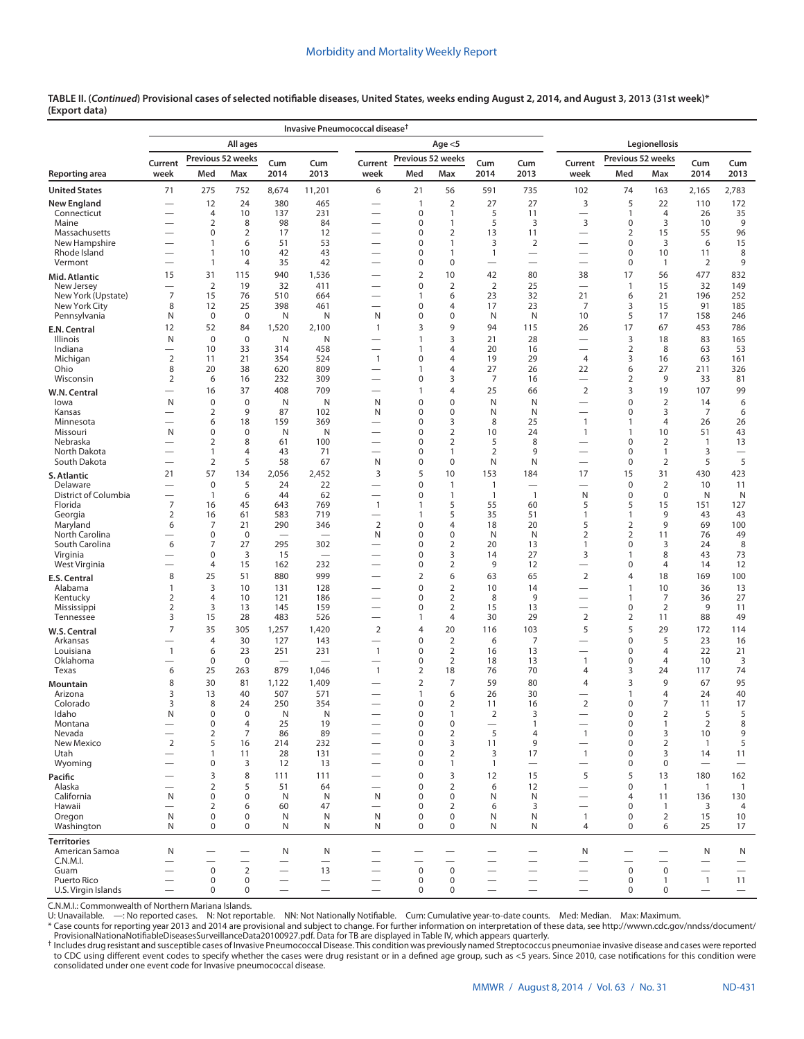|                                 |                                | Invasive Pneumococcal disease <sup>†</sup> |                          |                          |                                 |                                                      |                               |                                         |                               |                          |                                  |                                  |                      |                          |                                                               |
|---------------------------------|--------------------------------|--------------------------------------------|--------------------------|--------------------------|---------------------------------|------------------------------------------------------|-------------------------------|-----------------------------------------|-------------------------------|--------------------------|----------------------------------|----------------------------------|----------------------|--------------------------|---------------------------------------------------------------|
|                                 |                                |                                            | All ages                 |                          |                                 |                                                      |                               | Age $<$ 5                               |                               |                          |                                  |                                  | Legionellosis        |                          |                                                               |
|                                 | Current                        |                                            | Previous 52 weeks        | Cum                      | Cum                             | Current                                              | Previous 52 weeks             |                                         | Cum                           | Cum                      | Current                          | Previous 52 weeks                |                      | Cum                      | Cum                                                           |
| Reporting area                  | week                           | Med                                        | Max                      | 2014                     | 2013                            | week                                                 | Med                           | Max                                     | 2014                          | 2013                     | week                             | Med                              | Max                  | 2014                     | 2013                                                          |
| <b>United States</b>            | 71                             | 275                                        | 752                      | 8,674                    | 11,201                          | 6                                                    | 21                            | 56                                      | 591                           | 735                      | 102                              | 74                               | 163                  | 2,165                    | 2,783                                                         |
| New England<br>Connecticut      | $\overline{\phantom{0}}$       | 12<br>4                                    | 24<br>10                 | 380<br>137               | 465<br>231                      |                                                      | 1<br>$\mathbf 0$              | $\overline{2}$<br>1                     | 27<br>5                       | 27<br>11                 | 3                                | 5<br>$\mathbf{1}$                | 22<br>4              | 110<br>26                | 172<br>35                                                     |
| Maine                           |                                | $\overline{2}$                             | 8                        | 98                       | 84                              |                                                      | $\mathbf 0$                   | 1                                       | 5                             | 3                        | —<br>3                           | $\mathbf 0$                      | 3                    | 10                       | $\,9$                                                         |
| Massachusetts                   |                                | 0<br>1                                     | $\overline{2}$<br>6      | 17<br>51                 | 12<br>53                        | -                                                    | $\mathbf 0$<br>$\mathbf 0$    | $\mathbf 2$<br>$\mathbf{1}$             | 13<br>3                       | 11<br>2                  | $\overline{\phantom{0}}$         | $\overline{2}$<br>$\mathbf 0$    | 15<br>3              | 55<br>6                  | 96<br>15                                                      |
| New Hampshire<br>Rhode Island   | —<br>—                         | 1                                          | 10                       | 42                       | 43                              | <u>—</u>                                             | $\mathbf 0$                   | $\overline{1}$                          | $\mathbf{1}$                  |                          | $\overline{\phantom{0}}$<br>-    | $\mathbf 0$                      | 10                   | 11                       | 8                                                             |
| Vermont                         |                                | 1                                          | 4                        | 35                       | 42                              |                                                      | 0                             | $\mathbf 0$                             | $\overline{\phantom{0}}$      | $\overline{\phantom{0}}$ |                                  | $\mathbf 0$                      | $\overline{1}$       | 2                        | 9                                                             |
| Mid. Atlantic<br>New Jersey     | 15                             | 31<br>$\overline{2}$                       | 115<br>19                | 940<br>32                | 1,536<br>411                    |                                                      | $\overline{2}$<br>$\mathbf 0$ | 10<br>$\mathbf 2$                       | 42<br>$\overline{2}$          | 80<br>25                 | 38                               | 17<br>$\mathbf{1}$               | 56<br>15             | 477<br>32                | 832<br>149                                                    |
| New York (Upstate)              | $\overline{7}$                 | 15                                         | 76                       | 510                      | 664                             |                                                      | 1                             | 6                                       | 23                            | 32                       | 21                               | 6                                | 21                   | 196                      | 252                                                           |
| New York City<br>Pennsylvania   | 8<br>N                         | 12<br>$\mathbf 0$                          | 25<br>$\pmb{0}$          | 398<br>N                 | 461<br>N                        | N                                                    | $\mathbf 0$<br>$\mathbf 0$    | 4<br>$\mathbf 0$                        | 17<br>N                       | 23<br>N                  | $\overline{7}$<br>10             | 3<br>5                           | 15<br>17             | 91<br>158                | 185<br>246                                                    |
| E.N. Central                    | 12                             | 52                                         | 84                       | 1,520                    | 2,100                           | $\mathbf{1}$                                         | 3                             | 9                                       | 94                            | 115                      | 26                               | 17                               | 67                   | 453                      | 786                                                           |
| <b>Illinois</b>                 | N                              | $\mathbf 0$                                | $\mathbf 0$              | N                        | N                               |                                                      | $\mathbf{1}$                  | 3                                       | 21                            | 28                       |                                  | 3                                | 18                   | 83                       | 165                                                           |
| Indiana<br>Michigan             | —<br>$\overline{2}$            | 10<br>11                                   | 33<br>21                 | 314<br>354               | 458<br>524                      | $\mathbf{1}$                                         | -1<br>$\mathbf 0$             | 4<br>$\overline{4}$                     | 20<br>19                      | 16<br>29                 | —<br>$\overline{4}$              | $\overline{2}$<br>3              | 8<br>16              | 63<br>63                 | 53<br>161                                                     |
| Ohio                            | 8                              | 20                                         | 38                       | 620                      | 809                             |                                                      | 1                             | 4                                       | 27                            | 26                       | 22                               | 6                                | 27                   | 211                      | 326                                                           |
| Wisconsin                       | 2                              | 6                                          | 16                       | 232                      | 309                             |                                                      | $\mathbf 0$                   | 3                                       | $\overline{7}$                | 16                       | —                                | $\overline{2}$                   | 9                    | 33                       | 81                                                            |
| W.N. Central<br>lowa            | N                              | 16<br>0                                    | 37<br>$\mathbf 0$        | 408<br>N                 | 709<br>N                        | N                                                    | 1<br>$\mathbf 0$              | $\overline{4}$<br>$\mathbf 0$           | 25<br>N                       | 66<br>N                  | $\mathbf 2$                      | 3<br>$\mathbf 0$                 | 19<br>$\overline{2}$ | 107<br>14                | 99<br>6                                                       |
| Kansas                          |                                | $\overline{2}$                             | 9                        | 87                       | 102                             | N                                                    | $\mathbf 0$                   | $\mathbf 0$                             | N                             | N                        | $\overline{\phantom{0}}$         | $\mathbf 0$                      | 3                    | $\overline{7}$           | 6                                                             |
| Minnesota<br>Missouri           | -<br>N                         | 6<br>0                                     | 18<br>0                  | 159<br>N                 | 369<br>N                        |                                                      | $\mathbf 0$<br>$\mathbf 0$    | 3<br>$\overline{2}$                     | 8<br>10                       | 25<br>24                 | $\mathbf{1}$<br>1                | $\mathbf{1}$<br>$\mathbf{1}$     | $\overline{4}$<br>10 | 26<br>51                 | 26<br>43                                                      |
| Nebraska                        |                                | 2                                          | 8                        | 61                       | 100                             |                                                      | $\mathbf 0$                   | $\overline{2}$                          | 5                             | 8                        |                                  | $\mathbf 0$                      | 2                    | $\mathbf{1}$             | 13                                                            |
| North Dakota<br>South Dakota    |                                | 1<br>2                                     | $\overline{4}$<br>5      | 43<br>58                 | 71<br>67                        | -<br>N                                               | 0<br>$\mathbf 0$              | $\mathbf{1}$<br>$\mathbf 0$             | $\overline{2}$<br>N           | 9<br>N                   | -                                | $\mathbf 0$<br>$\mathbf 0$       | $\mathbf{1}$         | 3<br>5                   | $\overline{\phantom{0}}$<br>5                                 |
| S. Atlantic                     | $\overline{\phantom{0}}$<br>21 | 57                                         | 134                      | 2,056                    | 2,452                           | 3                                                    | 5                             | 10                                      | 153                           | 184                      | -<br>17                          | 15                               | 2<br>31              | 430                      | 423                                                           |
| Delaware                        | -                              | 0                                          | 5                        | 24                       | 22                              |                                                      | $\mathbf 0$                   | $\overline{1}$                          | $\mathbf{1}$                  |                          | -                                | $\mathbf 0$                      | $\mathbf 2$          | 10                       | 11                                                            |
| District of Columbia<br>Florida | 7                              | 1<br>16                                    | 6<br>45                  | 44<br>643                | 62<br>769                       | $\mathbf{1}$                                         | 0<br>1                        | $\mathbf{1}$<br>5                       | $\mathbf{1}$<br>55            | $\mathbf{1}$<br>60       | N<br>5                           | 0<br>5                           | $\mathbf 0$<br>15    | N<br>151                 | N<br>127                                                      |
| Georgia                         | 2                              | 16                                         | 61                       | 583                      | 719                             |                                                      | 1                             | 5                                       | 35                            | 51                       | 1                                | $\mathbf{1}$                     | 9                    | 43                       | 43                                                            |
| Maryland<br>North Carolina      | 6                              | 7<br>0                                     | 21<br>0                  | 290                      | 346                             | $\mathbf 2$<br>N                                     | $\mathbf 0$<br>$\mathbf 0$    | 4<br>$\pmb{0}$                          | 18<br>N                       | 20<br>N                  | 5<br>2                           | $\overline{2}$<br>$\overline{2}$ | 9<br>11              | 69<br>76                 | 100<br>49                                                     |
| South Carolina                  | 6                              | 7                                          | 27                       | 295                      | 302                             |                                                      | $\mathbf 0$                   | $\overline{2}$                          | 20                            | 13                       | 1                                | $\mathbf 0$                      | 3                    | 24                       | 8                                                             |
| Virginia<br>West Virginia       |                                | 0<br>4                                     | 3<br>15                  | 15<br>162                | $\overline{\phantom{0}}$<br>232 | $\overline{\phantom{0}}$                             | $\mathbf 0$<br>0              | 3<br>2                                  | 14<br>9                       | 27<br>12                 | 3<br>—                           | $\mathbf{1}$<br>$\mathbf 0$      | 8<br>4               | 43<br>14                 | 73<br>12                                                      |
| E.S. Central                    | 8                              | 25                                         | 51                       | 880                      | 999                             |                                                      | $\overline{2}$                | 6                                       | 63                            | 65                       | $\overline{2}$                   | $\overline{4}$                   | 18                   | 169                      | 100                                                           |
| Alabama                         | 1                              | 3                                          | 10                       | 131                      | 128                             |                                                      | $\mathbf 0$                   | $\mathbf 2$                             | 10                            | 14                       |                                  | $\mathbf{1}$                     | 10                   | 36                       | 13                                                            |
| Kentucky<br>Mississippi         | 2<br>$\overline{2}$            | 4<br>3                                     | 10<br>13                 | 121<br>145               | 186<br>159                      |                                                      | $\mathbf 0$<br>$\mathbf 0$    | 2<br>$\mathbf 2$                        | 8<br>15                       | 9<br>13                  | -                                | $\mathbf{1}$<br>$\mathbf 0$      | 7<br>$\overline{2}$  | 36<br>9                  | 27<br>11                                                      |
| Tennessee                       | 3                              | 15                                         | 28                       | 483                      | 526                             | -                                                    | $\mathbf{1}$                  | $\overline{4}$                          | 30                            | 29                       | $\overline{2}$                   | $\overline{2}$                   | 11                   | 88                       | 49                                                            |
| W.S. Central                    | $\overline{7}$                 | 35                                         | 305                      | 1,257                    | 1,420                           | $\overline{2}$                                       | 4                             | 20                                      | 116                           | 103                      | 5                                | 5                                | 29                   | 172                      | 114                                                           |
| Arkansas<br>Louisiana           | 1                              | 4<br>6                                     | 30<br>23                 | 127<br>251               | 143<br>231                      | $\mathbf{1}$                                         | $\mathbf 0$<br>$\mathbf 0$    | $\mathbf 2$<br>$\mathbf 2$              | 6<br>16                       | $\overline{7}$<br>13     |                                  | $\mathbf 0$<br>$\mathbf 0$       | 5<br>4               | 23<br>22                 | 16<br>21                                                      |
| Oklahoma                        |                                | 0                                          | 0                        |                          | $\overline{\phantom{0}}$        | $\overline{\phantom{0}}$                             | 0                             | 2                                       | 18                            | 13                       | 1                                | $\mathbf 0$                      | $\overline{4}$       | 10                       | 3                                                             |
| Texas                           | 6<br>8                         | 25<br>30                                   | 263                      | 879                      | 1,046                           | $\mathbf{1}$                                         | 2                             | 18<br>7                                 | 76<br>59                      | 70<br>80                 | $\overline{4}$<br>$\overline{4}$ | 3<br>3                           | 24<br>9              | 117                      | 74<br>95                                                      |
| Mountain<br>Arizona             | 3                              | 13                                         | 81<br>40                 | 1,122<br>507             | 1,409<br>571                    |                                                      | 2<br>$\mathbf{1}$             | 6                                       | 26                            | 30                       |                                  | $\mathbf{1}$                     | 4                    | 67<br>24                 | 40                                                            |
| Colorado                        | 3                              | 8                                          | 24                       | 250                      | 354                             |                                                      | $\mathbf 0$                   | 2                                       | 11                            | 16                       | 2                                | $\Omega$                         | 7                    | 11                       | 17                                                            |
| Idaho<br>Montana                | N                              | 0<br>0                                     | 0<br>$\overline{4}$      | N<br>25                  | Ν<br>19                         |                                                      | 0<br>0                        | 1<br>$\mathbf 0$                        | 2<br>$\overline{\phantom{0}}$ | 3<br>$\mathbf{1}$        | $\overline{\phantom{0}}$         | 0<br>$\mathbf 0$                 | 2<br>$\mathbf{1}$    | 5<br>2                   | 5<br>8                                                        |
| Nevada                          |                                | 2                                          | 7                        | 86                       | 89                              |                                                      | 0                             | $\overline{2}$                          | 5                             | 4                        | 1                                | $\mathbf 0$                      | 3                    | 10                       | 9                                                             |
| New Mexico<br>Utah              | $\overline{2}$                 | 5<br>1                                     | 16<br>11                 | 214<br>28                | 232<br>131                      | $\overline{\phantom{0}}$<br>$\overline{\phantom{0}}$ | 0<br>$\mathbf 0$              | 3<br>$\overline{2}$                     | 11<br>3                       | 9<br>17                  | $\mathbf{1}$                     | 0<br>$\mathbf 0$                 | $\overline{2}$<br>3  | $\mathbf{1}$<br>14       | 5<br>11                                                       |
| Wyoming                         | $\overline{\phantom{0}}$       | 0                                          | 3                        | 12                       | 13                              | $\overline{\phantom{0}}$                             | 0                             | $\mathbf{1}$                            | $\mathbf{1}$                  | $\overline{\phantom{0}}$ | $\overline{\phantom{0}}$         | 0                                | 0                    | $\overline{\phantom{0}}$ |                                                               |
| Pacific                         |                                | 3                                          | 8                        | 111                      | 111                             |                                                      | $\mathbf 0$                   | 3                                       | 12                            | 15                       | 5                                | 5                                | 13                   | 180                      | 162                                                           |
| Alaska<br>California            | N                              | $\overline{2}$<br>0                        | 5<br>$\pmb{0}$           | 51<br>N                  | 64<br>N                         | $\overline{\phantom{0}}$<br>N                        | $\mathbf 0$<br>$\mathbf 0$    | $\overline{2}$<br>$\mathbf 0$           | 6<br>N                        | 12<br>N                  | $\overline{\phantom{0}}$<br>-    | $\pmb{0}$<br>4                   | $\overline{1}$<br>11 | $\mathbf{1}$<br>136      | $\overline{1}$<br>130                                         |
| Hawaii                          | $\overline{\phantom{0}}$       | 2                                          | 6                        | 60                       | 47                              | $\overline{\phantom{0}}$                             | 0                             | $\overline{2}$                          | 6                             | 3                        | —                                | $\mathbf 0$                      | $\mathbf{1}$         | 3                        | 4                                                             |
| Oregon<br>Washington            | N<br>N                         | 0<br>0                                     | $\mathbf 0$<br>$\pmb{0}$ | N<br>N                   | N<br>N                          | ${\sf N}$<br>N                                       | $\mathbf 0$<br>$\mathbf 0$    | $\mathbf 0$<br>$\pmb{0}$                | N<br>N                        | N<br>N                   | $\mathbf{1}$<br>4                | $\mathbf 0$<br>$\mathbf 0$       | $\overline{2}$<br>6  | 15<br>25                 | 10<br>17                                                      |
| Territories                     |                                |                                            |                          |                          |                                 |                                                      |                               |                                         |                               |                          |                                  |                                  |                      |                          |                                                               |
| American Samoa                  | N                              |                                            |                          | N                        | N                               |                                                      |                               |                                         |                               |                          | N                                |                                  |                      | N                        | N                                                             |
| C.N.M.I.<br>Guam                | -<br>$\overline{\phantom{0}}$  | $\mathbf 0$                                | -<br>$\overline{2}$      | $\overline{\phantom{0}}$ | $\qquad \qquad -$<br>13         | -                                                    | $\mathsf 0$                   | $\overline{\phantom{0}}$<br>$\mathbf 0$ | -                             |                          | -                                | $\mathsf 0$                      | $\mathsf 0$          |                          | $\overbrace{\phantom{123221111}}$<br>$\overline{\phantom{m}}$ |
| Puerto Rico                     |                                | $\pmb{0}$                                  | $\pmb{0}$                | $\overline{\phantom{0}}$ | $\qquad \qquad -$               | $\overline{\phantom{0}}$                             | 0                             | $\pmb{0}$                               |                               |                          |                                  | $\mathbf 0$                      | $\mathbf{1}$         | $\mathbf{1}$             | 11                                                            |
| U.S. Virgin Islands             |                                | $\mathbf 0$                                | $\mathbf 0$              | $\overline{\phantom{0}}$ | $\overline{\phantom{0}}$        | $\overline{\phantom{0}}$                             | $\mathbf 0$                   | 0                                       |                               | $\overline{\phantom{0}}$ | $\qquad \qquad$                  | $\mathbf 0$                      | $\mathbf 0$          |                          | $\qquad \qquad -$                                             |

C.N.M.I.: Commonwealth of Northern Mariana Islands.

U: Unavailable. —: No reported cases. N: Not reportable. NN: Not Nationally Notifiable. Cum: Cumulative year-to-date counts. Med: Median. Max: Maximum.

\* Case counts for reporting year 2013 and 2014 are provisional and subject to change. For further information on interpretation of these data, see [http://wwwn.cdc.gov/nndss/document/](http://wwwn.cdc.gov/nndss/document/ProvisionalNationaNotifiableDiseasesSurveillanceData20100927.pdf)

<sup>†</sup> Includes drug resistant and susceptible cases of Invasive Pneumococcal Disease. This condition was previously named Streptococcus pneumoniae invasive disease and cases were reported to CDC using different event codes to specify whether the cases were drug resistant or in a defined age group, such as <5 years. Since 2010, case notifications for this condition were consolidated under one event code for Invasive pneumococcal disease.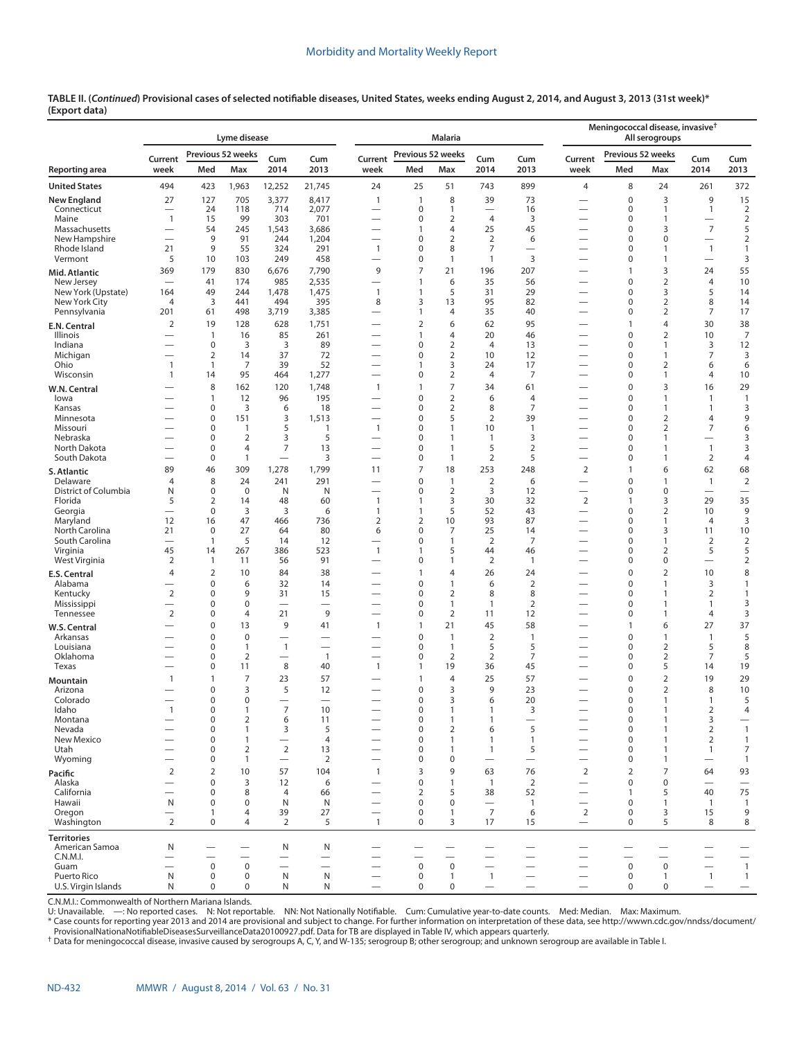|                                  |                                          |                                      | Lyme disease        |                               |                                |                                                      |                     | <b>Malaria</b>                 |                                |                                            |                                                      | Meningococcal disease, invasive <sup>+</sup> | All serogroups                 |                                          |                                            |
|----------------------------------|------------------------------------------|--------------------------------------|---------------------|-------------------------------|--------------------------------|------------------------------------------------------|---------------------|--------------------------------|--------------------------------|--------------------------------------------|------------------------------------------------------|----------------------------------------------|--------------------------------|------------------------------------------|--------------------------------------------|
|                                  | Current                                  |                                      | Previous 52 weeks   | Cum                           | Cum                            | Current                                              | Previous 52 weeks   |                                | Cum                            | Cum                                        | Current                                              | Previous 52 weeks                            |                                | Cum                                      | Cum                                        |
| <b>Reporting area</b>            | week                                     | Med                                  | Max                 | 2014                          | 2013                           | week                                                 | Med                 | Max                            | 2014                           | 2013                                       | week                                                 | Med                                          | Max                            | 2014                                     | 2013                                       |
| <b>United States</b>             | 494                                      | 423                                  | 1,963               | 12,252                        | 21,745                         | 24                                                   | 25                  | 51                             | 743                            | 899                                        | 4                                                    | 8                                            | 24                             | 261                                      | 372                                        |
| <b>New England</b>               | 27                                       | 127                                  | 705                 | 3,377                         | 8,417                          | $\mathbf{1}$                                         | $\overline{1}$      | 8                              | 39                             | 73                                         | -                                                    | $\mathbf 0$                                  | 3                              | 9                                        | 15                                         |
| Connecticut<br>Maine             | $\overline{\phantom{0}}$<br>$\mathbf{1}$ | 24<br>15                             | 118<br>99           | 714<br>303                    | 2,077<br>701                   |                                                      | $\mathbf 0$<br>0    | 1<br>$\mathbf 2$               | $\overline{4}$                 | 16<br>3                                    | —                                                    | $\mathbf 0$<br>$\mathbf 0$                   | $\mathbf{1}$<br>$\mathbf{1}$   | $\mathbf{1}$                             | $\overline{2}$<br>$\mathbf 2$              |
| Massachusetts                    | $\overline{\phantom{0}}$                 | 54                                   | 245                 | 1,543                         | 3,686                          |                                                      | 1                   | 4                              | 25                             | 45                                         |                                                      | $\mathbf 0$                                  | 3                              | $\overline{7}$                           | 5                                          |
| New Hampshire                    |                                          | 9                                    | 91                  | 244                           | 1,204                          |                                                      | 0                   | $\overline{2}$                 | $\overline{2}$                 | 6                                          | —                                                    | $\mathbf 0$                                  | $\mathbf 0$                    |                                          | $\overline{2}$                             |
| Rhode Island<br>Vermont          | 21<br>5                                  | 9<br>10                              | 55<br>103           | 324<br>249                    | 291<br>458                     | $\mathbf{1}$<br>$\overline{\phantom{0}}$             | 0<br>0              | 8<br>$\mathbf{1}$              | $\overline{7}$<br>$\mathbf{1}$ | $\overline{\phantom{0}}$<br>$\overline{3}$ | $\overline{\phantom{0}}$<br>$\overline{\phantom{0}}$ | $\mathbf 0$<br>$\mathbf 0$                   | 1<br>$\mathbf{1}$              | $\mathbf{1}$<br>$\overline{\phantom{0}}$ | $\mathbf{1}$<br>3                          |
|                                  | 369                                      | 179                                  | 830                 | 6,676                         | 7,790                          | 9                                                    | 7                   | 21                             | 196                            | 207                                        | $\overline{\phantom{0}}$                             | $\mathbf{1}$                                 | 3                              | 24                                       | 55                                         |
| Mid. Atlantic<br>New Jersey      |                                          | 41                                   | 174                 | 985                           | 2,535                          | $\overline{\phantom{0}}$                             | 1                   | 6                              | 35                             | 56                                         |                                                      | $\mathbf 0$                                  | $\overline{2}$                 | $\overline{4}$                           | 10                                         |
| New York (Upstate)               | 164                                      | 49                                   | 244                 | 1,478                         | 1,475                          | $\mathbf{1}$                                         | 1                   | 5                              | 31                             | 29                                         |                                                      | $\mathbf 0$                                  | 3                              | 5                                        | 14                                         |
| New York City                    | $\overline{4}$                           | 3                                    | 441                 | 494                           | 395                            | 8<br>$\overline{\phantom{0}}$                        | 3<br>1              | 13<br>$\overline{4}$           | 95<br>35                       | 82<br>40                                   | —                                                    | $\mathbf 0$<br>$\mathbf 0$                   | $\overline{2}$<br>2            | 8<br>7                                   | 14<br>17                                   |
| Pennsylvania                     | 201<br>2                                 | 61<br>19                             | 498<br>128          | 3,719<br>628                  | 3,385<br>1,751                 | $\overline{\phantom{0}}$                             | $\overline{2}$      | 6                              | 62                             | 95                                         | $\overline{\phantom{0}}$                             | $\overline{1}$                               | $\overline{4}$                 | 30                                       | 38                                         |
| E.N. Central<br><b>Illinois</b>  |                                          | $\overline{1}$                       | 16                  | 85                            | 261                            |                                                      | 1                   | $\overline{4}$                 | 20                             | 46                                         |                                                      | $\mathbf 0$                                  | $\overline{2}$                 | 10                                       | $\overline{7}$                             |
| Indiana                          | $\overline{\phantom{0}}$                 | $\mathbf 0$                          | 3                   | 3                             | 89                             | -                                                    | 0                   | $\overline{2}$                 | $\overline{4}$                 | 13                                         | —                                                    | $\mathbf 0$                                  | $\mathbf{1}$                   | 3                                        | 12                                         |
| Michigan                         | $\overline{\phantom{0}}$                 | $\overline{2}$                       | 14                  | 37                            | 72                             |                                                      | 0                   | $\mathbf 2$                    | 10                             | 12                                         | —                                                    | $\mathbf 0$                                  | $\mathbf{1}$                   | $\overline{7}$                           | 3                                          |
| Ohio<br>Wisconsin                | $\mathbf{1}$<br>$\mathbf{1}$             | $\mathbf{1}$<br>14                   | 7<br>95             | 39<br>464                     | 52<br>1,277                    | $\overline{\phantom{0}}$                             | 1<br>0              | 3<br>$\overline{2}$            | 24<br>4                        | 17<br>7                                    | $\overline{\phantom{0}}$                             | $\mathbf 0$<br>$\mathbf 0$                   | $\overline{2}$<br>$\mathbf{1}$ | 6<br>4                                   | 6<br>10                                    |
| W.N. Central                     |                                          | 8                                    | 162                 | 120                           | 1,748                          | $\mathbf{1}$                                         | 1                   | $\overline{7}$                 | 34                             | 61                                         | —                                                    | $\mathbf 0$                                  | 3                              | 16                                       | 29                                         |
| lowa                             |                                          | $\mathbf{1}$                         | 12                  | 96                            | 195                            | $\overline{\phantom{0}}$                             | 0                   | $\overline{2}$                 | 6                              | $\overline{4}$                             | —                                                    | $\mathbf 0$                                  | $\mathbf{1}$                   | $\overline{1}$                           | $\mathbf{1}$                               |
| Kansas                           |                                          | $\mathbf 0$                          | 3                   | 6                             | 18                             | $\overline{\phantom{0}}$                             | 0                   | $\overline{2}$                 | 8                              | $\overline{7}$                             | -                                                    | $\mathbf 0$                                  | $\mathbf{1}$                   | $\overline{1}$                           | 3                                          |
| Minnesota                        |                                          | 0<br>0                               | 151                 | 3<br>5                        | 1,513<br>$\mathbf{1}$          | $\overline{\phantom{0}}$                             | 0<br>0              | 5<br>1                         | $\overline{2}$<br>10           | 39<br>$\mathbf{1}$                         |                                                      | $\mathbf 0$                                  | $\overline{2}$                 | 4                                        | 9                                          |
| Missouri<br>Nebraska             |                                          | 0                                    | 1<br>$\overline{2}$ | 3                             | 5                              | $\mathbf{1}$<br>$\overline{\phantom{0}}$             | 0                   | $\mathbf{1}$                   | $\overline{1}$                 | 3                                          | -<br>-                                               | $\mathbf 0$<br>0                             | $\overline{2}$<br>$\mathbf{1}$ | 7<br>$\overline{\phantom{0}}$            | 6<br>3                                     |
| North Dakota                     |                                          | 0                                    | $\overline{4}$      | $\overline{7}$                | 13                             |                                                      | 0                   | $\mathbf{1}$                   | 5                              | 2                                          |                                                      | $\mathbf 0$                                  | $\mathbf{1}$                   | $\mathbf{1}$                             | 3                                          |
| South Dakota                     |                                          | 0                                    | $\mathbf{1}$        | $\overline{\phantom{0}}$      | 3                              | $\overline{\phantom{0}}$                             | 0                   | $\mathbf{1}$                   | $\overline{2}$                 | 5                                          | $\overline{\phantom{0}}$                             | $\mathbf 0$                                  | $\mathbf{1}$                   | $\overline{2}$                           | 4                                          |
| <b>S. Atlantic</b>               | 89                                       | 46                                   | 309                 | 1,278                         | 1,799                          | 11                                                   | 7                   | 18                             | 253                            | 248                                        | $\overline{2}$                                       | $\overline{1}$                               | 6                              | 62                                       | 68                                         |
| Delaware<br>District of Columbia | 4<br>N                                   | 8<br>0                               | 24<br>$\mathbf 0$   | 241<br>N                      | 291<br>N                       | $\overline{\phantom{0}}$                             | 0<br>0              | $\mathbf{1}$<br>$\overline{2}$ | $\overline{2}$<br>3            | 6<br>12                                    | $\overline{\phantom{0}}$                             | $\mathbf 0$<br>$\mathbf 0$                   | $\mathbf{1}$<br>$\mathbf 0$    | $\mathbf{1}$<br>$\overline{\phantom{0}}$ | $\overline{2}$<br>$\overline{\phantom{0}}$ |
| Florida                          | 5                                        | 2                                    | 14                  | 48                            | 60                             | $\mathbf{1}$                                         | 1                   | 3                              | 30                             | 32                                         | $\overline{2}$                                       | $\mathbf{1}$                                 | 3                              | 29                                       | 35                                         |
| Georgia                          | $\overline{\phantom{0}}$                 | $\bf 0$                              | 3                   | 3                             | 6                              | $\mathbf{1}$                                         | 1                   | 5                              | 52                             | 43                                         | —                                                    | $\mathbf 0$                                  | 2                              | 10                                       | 9                                          |
| Maryland<br>North Carolina       | 12<br>21                                 | 16<br>$\mathbf 0$                    | 47<br>27            | 466<br>64                     | 736<br>80                      | 2<br>6                                               | 2<br>0              | 10<br>7                        | 93<br>25                       | 87<br>14                                   | —<br>—                                               | $\mathbf 0$<br>$\mathbf 0$                   | $\mathbf{1}$<br>3              | 4<br>11                                  | 3<br>10                                    |
| South Carolina                   | $\overline{\phantom{0}}$                 | $\mathbf{1}$                         | 5                   | 14                            | 12                             |                                                      | 0                   | $\mathbf{1}$                   | 2                              | 7                                          |                                                      | $\mathbf 0$                                  | $\mathbf{1}$                   | 2                                        | $\overline{2}$                             |
| Virginia                         | 45                                       | 14                                   | 267                 | 386                           | 523                            | $\mathbf{1}$                                         | 1                   | 5                              | 44                             | 46                                         | -                                                    | $\mathbf 0$                                  | 2                              | 5                                        | 5                                          |
| West Virginia                    | $\overline{2}$                           | $\mathbf{1}$                         | 11                  | 56                            | 91                             | $\overline{\phantom{0}}$                             | 0                   | $\mathbf{1}$                   | $\overline{2}$                 | $\mathbf{1}$                               |                                                      | 0                                            | $\boldsymbol{0}$               | $\overline{\phantom{0}}$                 | $\overline{2}$                             |
| E.S. Central                     | $\overline{4}$                           | 2                                    | 10                  | 84                            | 38                             |                                                      | $\mathbf{1}$        | $\overline{4}$                 | 26                             | 24                                         |                                                      | $\mathbf 0$                                  | $\overline{2}$<br>$\mathbf{1}$ | 10<br>3                                  | 8<br>$\mathbf{1}$                          |
| Alabama<br>Kentucky              | $\mathbf 2$                              | 0<br>0                               | 6<br>9              | 32<br>31                      | 14<br>15                       | $\overline{\phantom{0}}$                             | 0<br>0              | $\mathbf{1}$<br>$\overline{2}$ | 6<br>8                         | $\overline{2}$<br>8                        | -                                                    | $\mathbf 0$<br>$\mathbf 0$                   | 1                              | 2                                        | 1                                          |
| Mississippi                      | $\overline{\phantom{0}}$                 | 0                                    | $\mathbf 0$         | $\overline{\phantom{0}}$      | $\overline{\phantom{0}}$       | $\overline{\phantom{0}}$                             | 0                   | $\mathbf{1}$                   | $\mathbf{1}$                   | 2                                          |                                                      | 0                                            | $\mathbf{1}$                   | $\mathbf{1}$                             | 3                                          |
| Tennessee                        | $\overline{2}$                           | 0                                    | $\overline{4}$      | 21                            | 9                              |                                                      | 0                   | $\overline{2}$                 | 11                             | 12                                         | $\overline{\phantom{0}}$                             | $\mathbf 0$                                  | $\mathbf{1}$                   | $\overline{4}$                           | 3                                          |
| W.S. Central                     |                                          | 0                                    | 13                  | 9                             | 41                             | $\mathbf{1}$                                         | 1                   | 21                             | 45                             | 58                                         |                                                      | $\mathbf{1}$                                 | 6                              | 27                                       | 37                                         |
| Arkansas<br>Louisiana            |                                          | 0<br>0                               | $\mathbf 0$<br>1    | $\mathbf{1}$                  | $\overline{\phantom{0}}$       |                                                      | 0<br>0              | $\mathbf{1}$<br>$\mathbf{1}$   | $\overline{2}$<br>5            | $\mathbf{1}$<br>5                          |                                                      | $\mathbf 0$<br>$\mathbf 0$                   | $\mathbf{1}$<br>2              | $\mathbf{1}$<br>5                        | 5<br>8                                     |
| Oklahoma                         |                                          | 0                                    | $\overline{2}$      | $\overline{\phantom{0}}$      | $\mathbf{1}$                   | $\overline{\phantom{0}}$                             | 0                   | $\overline{2}$                 | $\overline{2}$                 | 7                                          | -                                                    | $\mathbf 0$                                  | $\overline{2}$                 | 7                                        | 5                                          |
| Texas                            |                                          | 0                                    | 11                  | 8                             | 40                             | $\mathbf{1}$                                         | $\mathbf{1}$        | 19                             | 36                             | 45                                         |                                                      | $\mathbf 0$                                  | 5                              | 14                                       | 19                                         |
| Mountain                         | 1                                        | 1                                    | 7                   | 23                            | 57                             |                                                      | 1                   | 4                              | 25                             | 57                                         |                                                      | $\mathbf 0$                                  | $\overline{2}$                 | 19                                       | 29                                         |
| Arizona<br>Colorado              |                                          | 0<br>0                               | 3<br>0              | 5                             | 12<br>$\overline{\phantom{0}}$ |                                                      | 0<br>0              | 3<br>3                         | 9<br>6                         | 23<br>20                                   |                                                      | $\mathbf 0$<br>$\mathbf 0$                   | $\overline{2}$<br>$\mathbf{1}$ | 8<br>$\overline{1}$                      | 10<br>5                                    |
| Idaho                            | 1                                        | 0                                    |                     | 7                             | 10                             |                                                      | 0                   | $\mathbf{1}$                   |                                | 3                                          |                                                      | 0                                            | 1                              | 2                                        | 4                                          |
| Montana                          |                                          | 0                                    | $\overline{2}$      | 6                             | 11                             | $\qquad \qquad$                                      | 0                   | $\mathbf{1}$                   | 1                              | $\qquad \qquad -$                          |                                                      | $\mathbf 0$                                  | $\mathbf{1}$                   | 3                                        | $\overline{\phantom{m}}$                   |
| Nevada<br>New Mexico             | $\overline{\phantom{0}}$                 | 0<br>0                               | 1<br>1              | 3<br>$\overline{\phantom{0}}$ | 5<br>4                         | $\overline{\phantom{0}}$<br>$\overline{\phantom{0}}$ | 0<br>0              | $\overline{2}$<br>$\mathbf{1}$ | 6<br>$\mathbf{1}$              | 5<br>$\mathbf{1}$                          | $\overline{\phantom{0}}$                             | $\mathbf 0$<br>$\mathbf 0$                   | $\mathbf{1}$<br>$\mathbf{1}$   | $\overline{2}$<br>2                      | $\overline{1}$<br>$\mathbf{1}$             |
| Utah                             |                                          | 0                                    | $\overline{2}$      | $\overline{2}$                | 13                             |                                                      | 0                   | $\mathbf{1}$                   | $\mathbf{1}$                   | 5                                          | $\qquad \qquad$                                      | 0                                            | $\mathbf{1}$                   | $\mathbf{1}$                             | 7                                          |
| Wyoming                          |                                          | 0                                    | 1                   | $\overline{\phantom{0}}$      | 2                              | $\overline{\phantom{0}}$                             | 0                   | $\mathbf 0$                    |                                | $\overline{\phantom{0}}$                   | $\overline{\phantom{0}}$                             | $\mathbf 0$                                  | $\mathbf{1}$                   | $\overline{\phantom{0}}$                 | $\mathbf{1}$                               |
| Pacific                          | $\overline{2}$                           | $\overline{2}$                       | 10                  | 57                            | 104                            | $\mathbf{1}$                                         | 3                   | 9                              | 63                             | 76                                         | 2                                                    | $\overline{2}$                               | $\overline{7}$                 | 64                                       | 93                                         |
| Alaska                           |                                          | 0                                    | 3                   | 12                            | 6                              | $\overline{\phantom{0}}$                             | 0                   | $\mathbf{1}$                   | $\overline{1}$                 | $\overline{2}$                             | $\overbrace{\phantom{12322111}}$                     | $\mathbf 0$                                  | $\mathbf 0$                    | $\overline{\phantom{0}}$                 | $\overbrace{\phantom{12322111}}$           |
| California<br>Hawaii             | $\overline{\phantom{0}}$<br>N            | $\boldsymbol{0}$<br>$\boldsymbol{0}$ | 8<br>$\mathbf 0$    | $\overline{4}$<br>N           | 66<br>N                        | $\overline{\phantom{0}}$<br>$\overline{\phantom{0}}$ | $\overline{2}$<br>0 | 5<br>$\mathbf 0$               | 38<br>$\overline{\phantom{0}}$ | 52<br>$\mathbf{1}$                         | $\overline{\phantom{0}}$<br>$\overline{\phantom{0}}$ | $\mathbf{1}$<br>$\mathbf 0$                  | 5<br>$\mathbf{1}$              | 40<br>$\overline{1}$                     | 75<br>$\overline{1}$                       |
| Oregon                           | $\overline{\phantom{0}}$                 | $\mathbf{1}$                         | 4                   | 39                            | 27                             | $\overbrace{\phantom{1232211}}$                      | 0                   | $\mathbf{1}$                   | $\overline{7}$                 | 6                                          | $\overline{2}$                                       | $\mathbf 0$                                  | 3                              | 15                                       | 9                                          |
| Washington                       | $\overline{2}$                           | $\mathbf 0$                          | $\overline{4}$      | $\overline{2}$                | 5                              | $\mathbf{1}$                                         | 0                   | 3                              | 17                             | 15                                         | $\overline{\phantom{m}}$                             | $\mathbf 0$                                  | 5                              | 8                                        | 8                                          |
| <b>Territories</b>               |                                          |                                      |                     |                               |                                |                                                      |                     |                                |                                |                                            |                                                      |                                              |                                |                                          |                                            |
| American Samoa<br>C.N.M.I.       | N<br>$\overline{\phantom{0}}$            |                                      |                     | Ν                             | N                              |                                                      |                     |                                |                                |                                            |                                                      | $\overline{\phantom{0}}$                     | $\overline{\phantom{0}}$       | —                                        | $\overline{\phantom{0}}$                   |
| Guam                             | $\overline{\phantom{0}}$                 | $\mathsf 0$                          | $\mathbf 0$         | $\overline{\phantom{0}}$      | $\overline{\phantom{0}}$       |                                                      | $\mathbf 0$         | $\pmb{0}$                      | $\overline{\phantom{0}}$       |                                            | $\overline{\phantom{0}}$                             | $\mathbf 0$                                  | $\mathsf 0$                    | $\overline{\phantom{0}}$                 | $\overline{1}$                             |
| Puerto Rico                      | N                                        | $\mathsf 0$                          | $\mathbf 0$         | N                             | ${\sf N}$                      | $\qquad \qquad -$                                    | $\mathbf 0$         | $\mathbf{1}$                   | $\mathbf{1}$                   |                                            | $\qquad \qquad -$                                    | $\mathbf 0$                                  | $\mathbf{1}$                   | $\mathbf{1}$                             | $\mathbf{1}$                               |
| U.S. Virgin Islands              | $\mathsf{N}$                             | $\mathbf 0$                          | $\mathsf 0$         | N                             | N                              | $\overline{\phantom{0}}$                             | $\mathbf 0$         | 0                              | $\overline{\phantom{m}}$       |                                            | $\overline{\phantom{0}}$                             | $\mathbf 0$                                  | $\mathbf 0$                    | $\qquad \qquad$                          | $\qquad \qquad -$                          |

C.N.M.I.: Commonwealth of Northern Mariana Islands.<br>U: Unavailable. —: No reported cases. N: NOt reportable. NN: Not Nationally Notifiable. Cum: Cumulative year-to-date counts. Med: Median. Max: Maximum.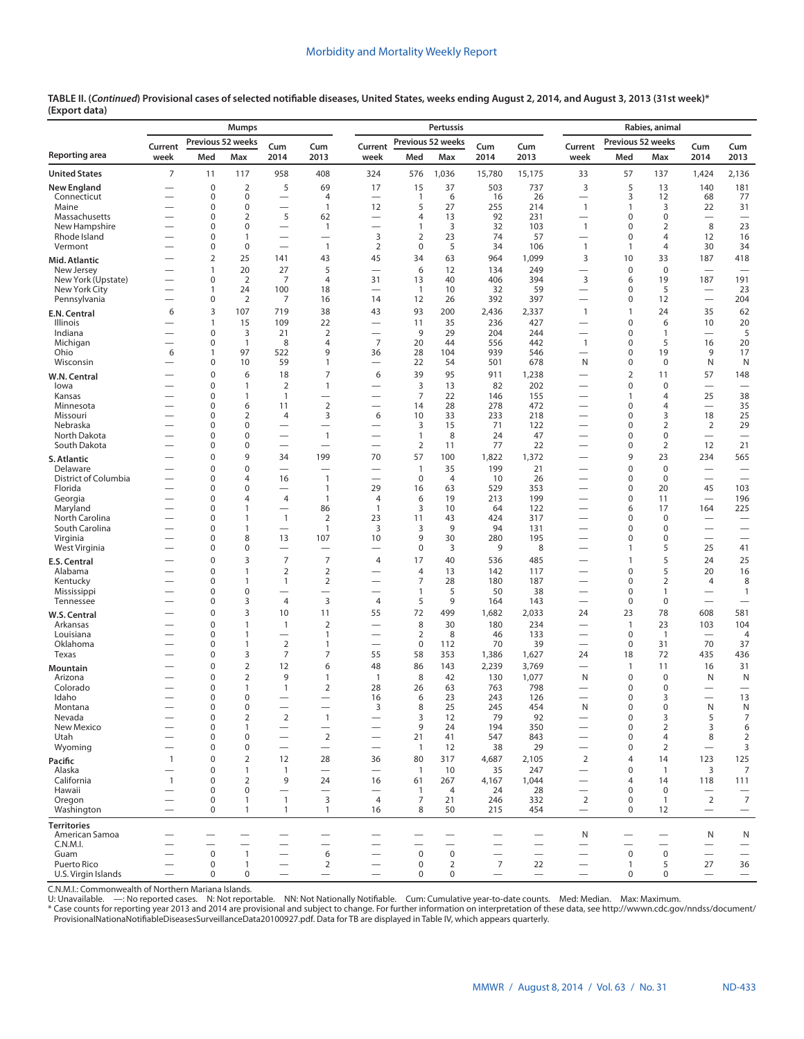|                                     |                          |                          | <b>Mumps</b>                     |                                                      |                                            |                                                      |                        | <b>Pertussis</b>            |                                            |                                        |                               |                             | Rabies, animal              |                                  |                                 |
|-------------------------------------|--------------------------|--------------------------|----------------------------------|------------------------------------------------------|--------------------------------------------|------------------------------------------------------|------------------------|-----------------------------|--------------------------------------------|----------------------------------------|-------------------------------|-----------------------------|-----------------------------|----------------------------------|---------------------------------|
| Reporting area                      | Current<br>week          | Previous 52 weeks<br>Med | Max                              | Cum<br>2014                                          | Cum<br>2013                                | Current<br>week                                      | Med                    | Previous 52 weeks<br>Max    | Cum<br>2014                                | Cum<br>2013                            | Current<br>week               | Previous 52 weeks<br>Med    | Max                         | Cum<br>2014                      | Cum<br>2013                     |
| <b>United States</b>                | $\overline{7}$           | 11                       | 117                              | 958                                                  | 408                                        | 324                                                  | 576                    | 1,036                       | 15,780                                     | 15,175                                 | 33                            | 57                          | 137                         | 1,424                            | 2,136                           |
| New England                         |                          | 0                        | $\mathbf 2$                      | 5                                                    | 69                                         | 17                                                   | 15                     | 37                          | 503                                        | 737                                    | 3                             | 5                           | 13                          | 140                              | 181                             |
| Connecticut<br>Maine                |                          | 0<br>0                   | $\pmb{0}$<br>$\mathbf 0$         | $\overline{\phantom{0}}$<br>$\overline{\phantom{0}}$ | 4<br>$\mathbf{1}$                          | 12                                                   | 1<br>5                 | 6<br>27                     | 16<br>255                                  | 26<br>214                              | $\mathbf{1}$                  | 3<br>$\mathbf{1}$           | 12<br>3                     | 68<br>22                         | 77<br>31                        |
| Massachusetts                       |                          | 0                        | $\overline{2}$                   | 5                                                    | 62                                         | $\overline{\phantom{0}}$                             | 4                      | 13                          | 92                                         | 231                                    | $\overline{\phantom{0}}$      | 0                           | $\mathbf 0$                 | $\overline{\phantom{0}}$         | $\overline{\phantom{0}}$        |
| New Hampshire                       |                          | $\Omega$                 | $\mathbf 0$                      | $\overline{\phantom{0}}$                             | $\mathbf{1}$                               | $\overline{\phantom{0}}$                             | 1                      | 3                           | 32                                         | 103                                    | $\mathbf{1}$                  | $\mathbf 0$                 | 2                           | 8                                | 23                              |
| Rhode Island<br>Vermont             |                          | 0<br>0                   | $\mathbf{1}$<br>$\pmb{0}$        | $\overline{\phantom{0}}$                             | $\overline{\phantom{0}}$<br>$\mathbf{1}$   | 3<br>2                                               | 2<br>0                 | 23<br>5                     | 74<br>34                                   | 57<br>106                              | $\mathbf{1}$                  | 0<br>$\mathbf{1}$           | 4<br>4                      | 12<br>30                         | 16<br>34                        |
| Mid. Atlantic                       |                          | $\overline{2}$           | 25                               | 141                                                  | 43                                         | 45                                                   | 34                     | 63                          | 964                                        | 1,099                                  | 3                             | 10                          | 33                          | 187                              | 418                             |
| New Jersey                          |                          | 1                        | 20                               | 27                                                   | 5                                          | $\overline{\phantom{0}}$                             | 6                      | 12                          | 134                                        | 249                                    | $\overline{\phantom{0}}$      | $\mathbf 0$                 | $\mathbf 0$                 | $\overline{\phantom{0}}$         | $\overbrace{\phantom{12332}}$   |
| New York (Upstate)<br>New York City |                          | 0<br>1                   | 2<br>24                          | 7<br>100                                             | $\overline{4}$<br>18                       | 31<br>$\overline{\phantom{0}}$                       | 13<br>$\overline{1}$   | 40<br>10                    | 406<br>32                                  | 394<br>59                              | 3                             | 6<br>$\mathbf 0$            | 19<br>5                     | 187<br>$\overline{\phantom{0}}$  | 191<br>23                       |
| Pennsylvania                        |                          | 0                        | 2                                | 7                                                    | 16                                         | 14                                                   | 12                     | 26                          | 392                                        | 397                                    | $\overline{\phantom{0}}$      | 0                           | 12                          | $\overline{\phantom{0}}$         | 204                             |
| E.N. Central                        | 6                        | 3                        | 107                              | 719                                                  | 38                                         | 43                                                   | 93                     | 200                         | 2,436                                      | 2,337                                  | $\mathbf{1}$                  | $\mathbf{1}$                | 24                          | 35                               | 62                              |
| Illinois<br>Indiana                 |                          | 1<br>0                   | 15<br>3                          | 109<br>21                                            | 22<br>$\overline{2}$                       |                                                      | 11<br>9                | 35<br>29                    | 236<br>204                                 | 427<br>244                             | —                             | $\mathbf 0$<br>$\mathbf 0$  | 6<br>$\mathbf{1}$           | 10<br>$\overline{\phantom{0}}$   | 20<br>5                         |
| Michigan                            | -                        | 0                        | $\mathbf{1}$                     | 8                                                    | 4                                          | $\overline{7}$                                       | 20                     | 44                          | 556                                        | 442                                    | $\mathbf{1}$                  | 0                           | 5                           | 16                               | 20                              |
| Ohio<br>Wisconsin                   | 6                        | $\mathbf{1}$<br>0        | 97<br>10                         | 522<br>59                                            | 9<br>1                                     | 36<br>$\overline{\phantom{0}}$                       | 28<br>22               | 104<br>54                   | 939<br>501                                 | 546<br>678                             | $\overline{\phantom{0}}$<br>N | 0<br>0                      | 19<br>$\mathbf 0$           | 9<br>N                           | 17<br>N                         |
| W.N. Central                        |                          | 0                        | 6                                | 18                                                   | 7                                          | 6                                                    | 39                     | 95                          | 911                                        | 1,238                                  |                               | $\overline{2}$              | 11                          | 57                               | 148                             |
| lowa                                |                          | 0                        | $\mathbf{1}$                     | $\overline{2}$                                       | $\mathbf{1}$                               |                                                      | 3                      | 13                          | 82                                         | 202                                    |                               | $\mathbf 0$                 | $\mathbf 0$                 |                                  |                                 |
| Kansas                              |                          | 0<br>0                   | $\mathbf{1}$                     | 1<br>11                                              | $\mathbf 2$                                | $\overline{\phantom{0}}$                             | 7                      | 22<br>28                    | 146                                        | 155                                    |                               | $\mathbf{1}$                | $\overline{4}$              | 25<br>$\overline{\phantom{0}}$   | 38                              |
| Minnesota<br>Missouri               |                          | $\Omega$                 | 6<br>2                           | 4                                                    | 3                                          | 6                                                    | 14<br>10               | 33                          | 278<br>233                                 | 472<br>218                             | —                             | 0<br>$\mathbf 0$            | 4<br>3                      | 18                               | 35<br>25                        |
| Nebraska                            |                          | 0                        | $\mathbf 0$                      |                                                      |                                            |                                                      | 3                      | 15                          | 71                                         | 122                                    |                               | 0                           | 2                           | $\overline{2}$                   | 29                              |
| North Dakota<br>South Dakota        |                          | 0<br>0                   | $\mathbf 0$<br>0                 |                                                      | $\mathbf{1}$                               | -                                                    | 1<br>$\overline{2}$    | 8<br>11                     | 24<br>77                                   | 47<br>22                               | —<br>$\overline{\phantom{0}}$ | 0<br>0                      | $\pmb{0}$<br>$\overline{2}$ | $\overline{\phantom{0}}$<br>12   | $\overline{\phantom{0}}$<br>21  |
| S. Atlantic                         |                          | 0                        | 9                                | 34                                                   | 199                                        | 70                                                   | 57                     | 100                         | 1,822                                      | 1,372                                  |                               | 9                           | 23                          | 234                              | 565                             |
| Delaware                            |                          | 0                        | $\mathbf 0$                      | $\overline{\phantom{0}}$                             |                                            |                                                      | 1                      | 35                          | 199                                        | 21                                     |                               | $\mathbf 0$                 | $\mathbf 0$                 | $\overline{\phantom{0}}$         | $\overline{\phantom{0}}$        |
| District of Columbia<br>Florida     |                          | 0<br>0                   | $\overline{4}$<br>$\mathbf 0$    | 16<br>$\overline{\phantom{0}}$                       | $\mathbf{1}$<br>$\mathbf{1}$               | $\overline{\phantom{0}}$<br>29                       | $\mathbf 0$<br>16      | $\overline{4}$<br>63        | 10<br>529                                  | 26<br>353                              |                               | 0<br>$\pmb{0}$              | $\mathbf 0$<br>20           | 45                               | $\overline{\phantom{m}}$<br>103 |
| Georgia                             |                          | 0                        | 4                                | 4                                                    | $\mathbf{1}$                               | 4                                                    | 6                      | 19                          | 213                                        | 199                                    |                               | $\pmb{0}$                   | 11                          | $\overline{\phantom{0}}$         | 196                             |
| Maryland<br>North Carolina          |                          | 0<br>0                   | $\mathbf{1}$<br>$\mathbf{1}$     | $\overline{\phantom{0}}$<br>$\mathbf{1}$             | 86<br>$\overline{2}$                       | 1<br>23                                              | 3<br>11                | 10<br>43                    | 64<br>424                                  | 122<br>317                             | —<br>$\overline{\phantom{0}}$ | 6<br>0                      | 17<br>0                     | 164<br>$\overline{\phantom{0}}$  | 225                             |
| South Carolina                      |                          | 0                        | $\mathbf{1}$                     | $\overline{\phantom{0}}$                             | $\mathbf{1}$                               | 3                                                    | 3                      | 9                           | 94                                         | 131                                    |                               | 0                           | 0                           |                                  | $\overline{\phantom{0}}$        |
| Virginia<br>West Virginia           |                          | 0<br>0                   | 8<br>0                           | 13<br>$\overline{\phantom{0}}$                       | 107<br>$\overline{\phantom{0}}$            | 10                                                   | 9<br>0                 | 30<br>3                     | 280<br>9                                   | 195<br>8                               | —<br>$\overline{\phantom{0}}$ | 0<br>$\mathbf{1}$           | 0<br>5                      | $\overline{\phantom{0}}$<br>25   | $\overline{\phantom{0}}$<br>41  |
| E.S. Central                        |                          | 0                        | 3                                | $\overline{7}$                                       | $\overline{7}$                             | 4                                                    | 17                     | 40                          | 536                                        | 485                                    |                               | $\mathbf{1}$                | 5                           | 24                               | 25                              |
| Alabama                             |                          | 0                        | $\mathbf{1}$                     | $\overline{2}$                                       | $\overline{2}$                             |                                                      | 4                      | 13                          | 142                                        | 117                                    | —                             | $\mathbf 0$                 | 5                           | 20                               | 16                              |
| Kentucky<br>Mississippi             |                          | 0<br>0                   | $\mathbf{1}$<br>0                | $\mathbf{1}$<br>$\overline{\phantom{0}}$             | $\overline{2}$<br>$\overline{\phantom{0}}$ | $\overline{\phantom{0}}$<br>$\overline{\phantom{0}}$ | 7<br>1                 | 28<br>5                     | 180<br>50                                  | 187<br>38                              |                               | 0<br>0                      | $\overline{2}$<br>1         | 4                                | 8<br>$\overline{1}$             |
| Tennessee                           |                          | 0                        | 3                                | 4                                                    | 3                                          | 4                                                    | 5                      | 9                           | 164                                        | 143                                    | $\overline{\phantom{0}}$      | $\pmb{0}$                   | 0                           | $\overbrace{\phantom{12322111}}$ |                                 |
| W.S. Central                        |                          | 0                        | 3                                | 10                                                   | 11                                         | 55                                                   | 72                     | 499                         | 1,682                                      | 2,033                                  | 24                            | 23                          | 78                          | 608                              | 581                             |
| Arkansas<br>Louisiana               |                          | 0<br>0                   | $\mathbf{1}$<br>$\mathbf{1}$     | 1<br>$\overline{\phantom{0}}$                        | $\overline{2}$<br>1                        | $\overline{\phantom{0}}$                             | 8<br>$\overline{2}$    | 30<br>8                     | 180<br>46                                  | 234<br>133                             |                               | $\mathbf{1}$<br>0           | 23<br>$\overline{1}$        | 103<br>$\overline{\phantom{0}}$  | 104<br>$\overline{4}$           |
| Oklahoma                            |                          | 0                        | $\mathbf{1}$                     | $\overline{2}$                                       | 1                                          | $\overline{\phantom{0}}$                             | $\mathbf 0$            | 112                         | 70                                         | 39                                     |                               | $\mathbf 0$                 | 31                          | 70                               | 37                              |
| Texas                               |                          | 0                        | 3                                | 7                                                    | 7                                          | 55                                                   | 58                     | 353                         | 1,386                                      | 1,627                                  | 24                            | 18                          | 72                          | 435                              | 436                             |
| Mountain<br>Arizona                 |                          | 0<br>0                   | $\overline{2}$<br>$\overline{2}$ | 12<br>9                                              | 6<br>1                                     | 48<br>$\mathbf{1}$                                   | 86<br>8                | 143<br>42                   | 2,239<br>130                               | 3,769<br>1,077                         | N                             | $\mathbf{1}$<br>$\pmb{0}$   | 11<br>0                     | 16<br>N                          | 31<br>N                         |
| Colorado                            |                          | 0                        | 1                                | 1                                                    | 2                                          | 28                                                   | 26                     | 63                          | 763                                        | 798                                    |                               | 0                           | 0                           |                                  |                                 |
| Idaho<br>Montana                    | $\overline{\phantom{0}}$ | 0                        | 0<br>$\Omega$                    |                                                      |                                            | 16<br>3                                              | 6                      | 23                          | 243                                        | 126                                    | $\overline{\phantom{0}}$      | 0<br>$\Omega$               | 3<br>$\Omega$               | $\overline{\phantom{0}}$<br>N    | 13                              |
| Nevada                              |                          | 0<br>$\pmb{0}$           | $\overline{2}$                   | $\overline{2}$                                       | $\mathbf{1}$                               |                                                      | 8<br>3                 | 25<br>12                    | 245<br>79                                  | 454<br>92                              | N                             | $\pmb{0}$                   | 3                           | 5                                | N<br>$\overline{7}$             |
| New Mexico                          |                          | 0                        | $\mathbf{1}$                     | $\overline{\phantom{0}}$                             | $\overline{\phantom{0}}$                   |                                                      | 9                      | 24                          | 194                                        | 350                                    |                               | $\pmb{0}$                   | $\overline{2}$              | 3                                | 6                               |
| Utah<br>Wyoming                     |                          | 0<br>0                   | $\mathbf 0$<br>0                 |                                                      | $\overline{2}$                             |                                                      | 21<br>$\overline{1}$   | 41<br>12                    | 547<br>38                                  | 843<br>29                              |                               | $\pmb{0}$<br>$\pmb{0}$      | 4<br>2                      | 8                                | $\overline{2}$<br>3             |
| Pacific                             | $\mathbf{1}$             | 0                        | $\overline{2}$                   | 12                                                   | 28                                         | 36                                                   | 80                     | 317                         | 4,687                                      | 2,105                                  | 2                             | 4                           | 14                          | 123                              | 125                             |
| Alaska                              |                          | 0                        | 1                                | $\mathbf{1}$                                         |                                            |                                                      | $\mathbf{1}$           | 10                          | 35                                         | 247                                    | $\qquad \qquad$               | $\pmb{0}$                   | $\mathbf{1}$                | 3                                | 7                               |
| California<br>Hawaii                | $\mathbf{1}$             | $\mathbf 0$<br>0         | $\overline{2}$<br>$\pmb{0}$      | 9                                                    | 24<br>$\overline{\phantom{0}}$             | 16<br>$\overline{\phantom{0}}$                       | 61<br>$\mathbf{1}$     | 267<br>$\overline{4}$       | 4,167<br>24                                | 1,044<br>28                            | $\overline{\phantom{0}}$      | $\overline{4}$<br>$\pmb{0}$ | 14<br>0                     | 118                              | 111                             |
| Oregon                              |                          | $\mathbf 0$              | $\mathbf{1}$                     | $\mathbf{1}$                                         | 3                                          | $\overline{4}$                                       | 7                      | 21                          | 246                                        | 332                                    | 2                             | $\pmb{0}$                   | $\mathbf{1}$                | $\overline{2}$                   | $\overline{7}$                  |
| Washington                          |                          | $\mathbf 0$              | $\mathbf{1}$                     | $\mathbf{1}$                                         | $\mathbf{1}$                               | 16                                                   | 8                      | 50                          | 215                                        | 454                                    | $\qquad \qquad -$             | $\mathbf 0$                 | 12                          | $\qquad \qquad$                  | $\overline{\phantom{m}}$        |
| Territories<br>American Samoa       |                          |                          |                                  |                                                      |                                            |                                                      |                        |                             |                                            |                                        | N                             |                             | $\overline{\phantom{0}}$    | N                                | N                               |
| C.N.M.I.                            |                          |                          |                                  |                                                      |                                            |                                                      |                        |                             | $\overline{\phantom{0}}$                   | $\overline{\phantom{0}}$               |                               |                             |                             | $\overline{\phantom{0}}$         | $\overline{\phantom{0}}$        |
| Guam<br>Puerto Rico                 |                          | $\mathbf 0$<br>0         | $\mathbf{1}$<br>$\mathbf{1}$     |                                                      | 6<br>$\overline{2}$                        | $\overline{\phantom{0}}$                             | $\pmb{0}$<br>$\pmb{0}$ | $\pmb{0}$<br>$\overline{2}$ | $\overline{\phantom{0}}$<br>$\overline{7}$ | $\overbrace{\phantom{12322111}}$<br>22 | —<br>-                        | $\pmb{0}$<br>$\mathbf{1}$   | $\boldsymbol{0}$<br>5       | $\overline{\phantom{0}}$<br>27   | $\overline{\phantom{0}}$<br>36  |
| U.S. Virgin Islands                 |                          | 0                        | 0                                |                                                      |                                            | $\overline{\phantom{0}}$                             | 0                      | 0                           | $\overline{\phantom{0}}$                   | $\overline{\phantom{0}}$               | $\overline{\phantom{0}}$      | 0                           | 0                           | $\overline{\phantom{0}}$         |                                 |
|                                     |                          |                          |                                  |                                                      |                                            |                                                      |                        |                             |                                            |                                        |                               |                             |                             |                                  |                                 |

C.N.M.I.: Commonwealth of Northern Mariana Islands.<br>U: Unavailable. —: No reported cases. N: Not reportable. NN: Not Nationally Notifiable. Cum: Cumulative year-to-date counts. Med: Median. Max: Maximum.<br>\*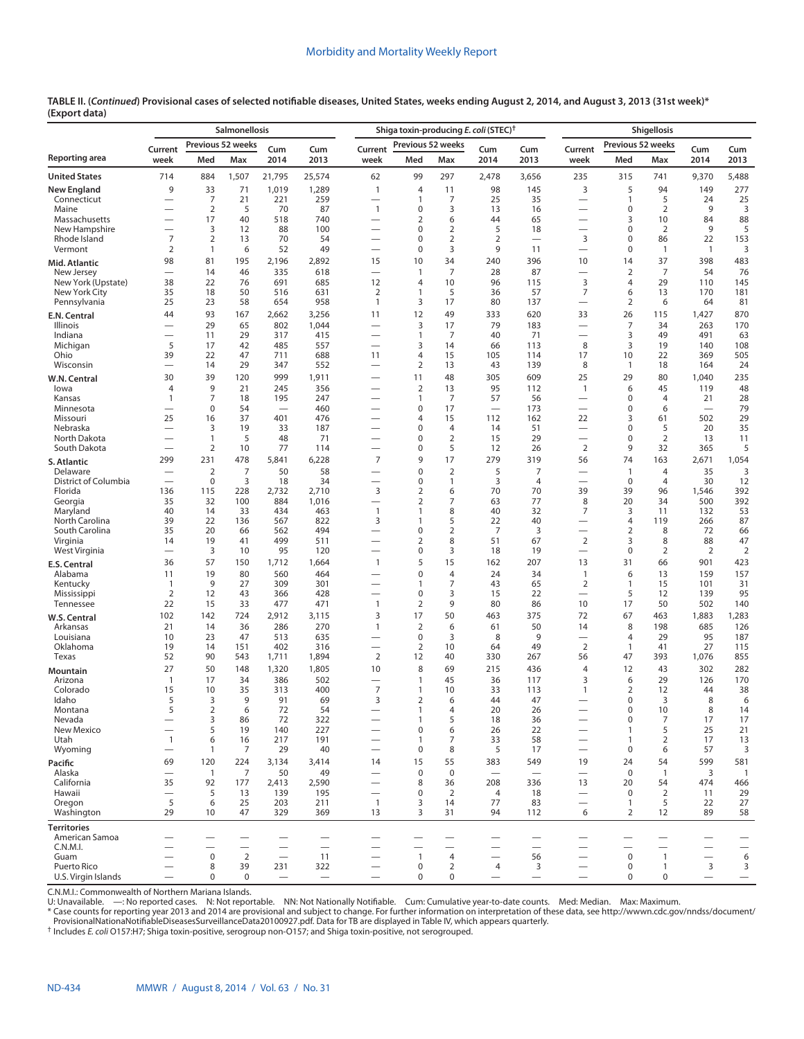|                               |                                |                                  | <b>Salmonellosis</b> |                                 |                          |                                | Shiga toxin-producing E. coli (STEC) <sup>†</sup> |                     |                                 |                                         |                                               |                             | Shigellosis           |                          |                       |
|-------------------------------|--------------------------------|----------------------------------|----------------------|---------------------------------|--------------------------|--------------------------------|---------------------------------------------------|---------------------|---------------------------------|-----------------------------------------|-----------------------------------------------|-----------------------------|-----------------------|--------------------------|-----------------------|
|                               | Current                        | Previous 52 weeks                |                      | Cum                             | Cum                      | Current                        | Previous 52 weeks                                 |                     | Cum                             | Cum                                     | Current                                       | Previous 52 weeks           |                       | Cum                      | Cum                   |
| Reporting area                | week                           | Med                              | Max                  | 2014                            | 2013                     | week                           | Med                                               | Max                 | 2014                            | 2013                                    | week                                          | Med                         | Max                   | 2014                     | 2013                  |
| <b>United States</b>          | 714                            | 884                              | 1,507                | 21,795                          | 25,574                   | 62                             | 99                                                | 297                 | 2,478                           | 3,656                                   | 235                                           | 315                         | 741                   | 9,370                    | 5,488                 |
| New England                   | 9                              | 33                               | 71                   | 1,019                           | 1,289                    | $\overline{1}$                 | 4                                                 | 11                  | 98                              | 145                                     | 3                                             | 5                           | 94                    | 149                      | 277                   |
| Connecticut<br>Maine          |                                | $\overline{7}$<br>$\overline{2}$ | 21<br>5              | 221<br>70                       | 259<br>87                | $\mathbf{1}$                   | 1<br>$\mathbf 0$                                  | 7<br>3              | 25<br>13                        | 35<br>16                                | $\qquad \qquad -$<br>$\overline{\phantom{0}}$ | $\mathbf{1}$<br>$\mathbf 0$ | 5<br>$\overline{2}$   | 24<br>9                  | 25<br>3               |
| Massachusetts                 |                                | 17                               | 40                   | 518                             | 740                      |                                | 2                                                 | 6                   | 44                              | 65                                      | -                                             | 3                           | 10                    | 84                       | 88                    |
| New Hampshire                 | $\overline{\phantom{0}}$       | 3                                | 12                   | 88                              | 100                      |                                | 0                                                 | $\overline{2}$      | 5                               | 18                                      |                                               | $\mathbf 0$                 | $\overline{2}$        | 9                        | 5                     |
| Rhode Island<br>Vermont       | $\overline{7}$<br>2            | $\mathbf 2$<br>$\overline{1}$    | 13<br>6              | 70<br>52                        | 54<br>49                 | $\overline{\phantom{0}}$       | $\Omega$<br>$\mathbf 0$                           | $\overline{2}$<br>3 | $\overline{2}$<br>9             | $\overline{\phantom{0}}$<br>11          | 3                                             | 0<br>0                      | 86<br>$\overline{1}$  | 22<br>$\overline{1}$     | 153<br>3              |
| Mid. Atlantic                 | 98                             | 81                               | 195                  | 2,196                           | 2,892                    | 15                             | 10                                                | 34                  | 240                             | 396                                     | 10                                            | 14                          | 37                    | 398                      | 483                   |
| New Jersey                    |                                | 14                               | 46                   | 335                             | 618                      | $\overline{\phantom{0}}$       | $\mathbf{1}$                                      | $\overline{7}$      | 28                              | 87                                      | $\overline{\phantom{0}}$                      | $\overline{2}$              | $\overline{7}$        | 54                       | 76                    |
| New York (Upstate)            | 38                             | 22                               | 76                   | 691                             | 685                      | 12                             | 4                                                 | 10                  | 96                              | 115                                     | 3                                             | 4                           | 29                    | 110                      | 145                   |
| New York City<br>Pennsylvania | 35<br>25                       | 18<br>23                         | 50<br>58             | 516<br>654                      | 631<br>958               | $\overline{2}$<br>$\mathbf{1}$ | $\mathbf{1}$<br>3                                 | 5<br>17             | 36<br>80                        | 57<br>137                               | 7<br>$\overline{\phantom{0}}$                 | 6<br>2                      | 13<br>6               | 170<br>64                | 181<br>81             |
| E.N. Central                  | 44                             | 93                               | 167                  | 2,662                           | 3,256                    | 11                             | 12                                                | 49                  | 333                             | 620                                     | 33                                            | 26                          | 115                   | 1,427                    | 870                   |
| Illinois                      |                                | 29                               | 65                   | 802                             | 1,044                    | —                              | 3                                                 | 17                  | 79                              | 183                                     |                                               | 7                           | 34                    | 263                      | 170                   |
| Indiana                       |                                | 11                               | 29                   | 317                             | 415                      |                                | 1                                                 | $\overline{7}$      | 40                              | 71                                      |                                               | 3                           | 49                    | 491                      | 63                    |
| Michigan<br>Ohio              | 5                              | 17                               | 42<br>47             | 485<br>711                      | 557<br>688               |                                | 3<br>4                                            | 14<br>15            | 66<br>105                       | 113<br>114                              | 8                                             | 3<br>10                     | 19<br>22              | 140<br>369               | 108<br>505            |
| Wisconsin                     | 39                             | 22<br>14                         | 29                   | 347                             | 552                      | 11<br>$\overline{\phantom{0}}$ | $\overline{2}$                                    | 13                  | 43                              | 139                                     | 17<br>8                                       | $\mathbf{1}$                | 18                    | 164                      | 24                    |
| W.N. Central                  | 30                             | 39                               | 120                  | 999                             | 1,911                    |                                | 11                                                | 48                  | 305                             | 609                                     | 25                                            | 29                          | 80                    | 1,040                    | 235                   |
| lowa                          | 4                              | 9                                | 21                   | 245                             | 356                      | —                              | $\overline{2}$                                    | 13                  | 95                              | 112                                     | $\mathbf{1}$                                  | 6                           | 45                    | 119                      | 48                    |
| Kansas                        | $\mathbf{1}$                   | $\overline{7}$                   | 18                   | 195                             | 247                      |                                | 1                                                 | 7                   | 57                              | 56                                      | $\overline{\phantom{0}}$                      | 0                           | $\overline{4}$        | 21                       | 28                    |
| Minnesota<br>Missouri         | -<br>25                        | $\mathbf 0$<br>16                | 54<br>37             | $\overline{\phantom{0}}$<br>401 | 460<br>476               |                                | $\mathbf 0$<br>4                                  | 17<br>15            | $\overline{\phantom{0}}$<br>112 | 173<br>162                              | -<br>22                                       | 0<br>3                      | 6<br>61               | 502                      | 79<br>29              |
| Nebraska                      | $\overline{\phantom{0}}$       | 3                                | 19                   | 33                              | 187                      |                                | $\Omega$                                          | 4                   | 14                              | 51                                      | $\overline{\phantom{0}}$                      | $\mathbf 0$                 | 5                     | 20                       | 35                    |
| North Dakota                  | -                              | $\overline{1}$                   | 5                    | 48                              | 71                       | -                              | $\Omega$                                          | 2                   | 15                              | 29                                      | $\overline{\phantom{0}}$                      | 0                           | $\overline{2}$        | 13                       | 11                    |
| South Dakota                  |                                | $\overline{2}$                   | 10                   | 77                              | 114                      | -                              | $\Omega$<br>9                                     | 5<br>17             | 12                              | 26                                      | $\overline{2}$                                | 9                           | 32                    | 365                      | 5                     |
| S. Atlantic<br>Delaware       | 299                            | 231<br>$\overline{2}$            | 478<br>7             | 5,841<br>50                     | 6,228<br>58              | 7                              | $\Omega$                                          | $\mathbf 2$         | 279<br>5                        | 319<br>7                                | 56<br>-                                       | 74<br>$\mathbf{1}$          | 163<br>$\overline{4}$ | 2,671<br>35              | 1,054<br>3            |
| District of Columbia          |                                | 0                                | 3                    | 18                              | 34                       | $\overline{\phantom{0}}$       | $\Omega$                                          | 1                   | 3                               | 4                                       |                                               | $\mathbf 0$                 | $\overline{4}$        | 30                       | 12                    |
| Florida                       | 136                            | 115                              | 228                  | 2,732                           | 2,710                    | 3                              | 2                                                 | 6                   | 70                              | 70                                      | 39                                            | 39                          | 96                    | 1,546                    | 392                   |
| Georgia<br>Maryland           | 35<br>40                       | 32<br>14                         | 100<br>33            | 884<br>434                      | 1,016<br>463             | —<br>$\mathbf{1}$              | 2<br>1                                            | 7<br>8              | 63<br>40                        | 77<br>32                                | 8<br>7                                        | 20<br>3                     | 34<br>11              | 500<br>132               | 392<br>53             |
| North Carolina                | 39                             | 22                               | 136                  | 567                             | 822                      | 3                              | 1                                                 | 5                   | 22                              | 40                                      | $\overline{\phantom{0}}$                      | 4                           | 119                   | 266                      | 87                    |
| South Carolina                | 35                             | 20                               | 66                   | 562                             | 494                      | -                              | $\mathbf 0$                                       | $\overline{2}$      | 7                               | 3                                       |                                               | $\overline{2}$              | 8                     | 72                       | 66                    |
| Virginia<br>West Virginia     | 14<br>$\overline{\phantom{0}}$ | 19<br>3                          | 41<br>10             | 499<br>95                       | 511<br>120               | —                              | $\overline{2}$<br>0                               | 8<br>3              | 51<br>18                        | 67<br>19                                | $\overline{2}$<br>$\qquad \qquad$             | 3<br>0                      | 8<br>2                | 88<br>$\overline{2}$     | 47<br>$\overline{2}$  |
| E.S. Central                  | 36                             | 57                               | 150                  | 1,712                           | 1,664                    | $\overline{1}$                 | 5                                                 | 15                  | 162                             | 207                                     | 13                                            | 31                          | 66                    | 901                      | 423                   |
| Alabama                       | 11                             | 19                               | 80                   | 560                             | 464                      |                                | $\mathbf 0$                                       | 4                   | 24                              | 34                                      | $\overline{1}$                                | 6                           | 13                    | 159                      | 157                   |
| Kentucky                      | $\mathbf{1}$                   | 9                                | 27                   | 309                             | 301                      | -                              | 1                                                 | 7                   | 43                              | 65                                      | 2                                             | $\mathbf{1}$                | 15                    | 101                      | 31                    |
| Mississippi                   | 2                              | 12<br>15                         | 43                   | 366                             | 428                      | $\overline{\phantom{0}}$       | $\mathbf 0$                                       | 3<br>9              | 15                              | 22                                      | $\overline{\phantom{0}}$<br>10                | 5<br>17                     | 12                    | 139                      | 95                    |
| Tennessee                     | 22<br>102                      | 142                              | 33<br>724            | 477<br>2,912                    | 471<br>3,115             | $\overline{1}$<br>3            | 2<br>17                                           | 50                  | 80<br>463                       | 86<br>375                               | 72                                            | 67                          | 50<br>463             | 502<br>1,883             | 140<br>1,283          |
| W.S. Central<br>Arkansas      | 21                             | 14                               | 36                   | 286                             | 270                      | 1                              | $\overline{2}$                                    | 6                   | 61                              | 50                                      | 14                                            | 8                           | 198                   | 685                      | 126                   |
| Louisiana                     | 10                             | 23                               | 47                   | 513                             | 635                      |                                | 0                                                 | 3                   | 8                               | 9                                       | $\overline{\phantom{0}}$                      | 4                           | 29                    | 95                       | 187                   |
| Oklahoma                      | 19                             | 14                               | 151                  | 402                             | 316                      | —                              | 2                                                 | 10                  | 64                              | 49                                      | 2                                             | $\mathbf{1}$                | 41                    | 27                       | 115                   |
| Texas                         | 52<br>27                       | 90<br>50                         | 543<br>148           | 1,711<br>1,320                  | 1,894<br>1,805           | $\overline{2}$<br>10           | 12<br>8                                           | 40<br>69            | 330<br>215                      | 267<br>436                              | 56<br>$\overline{4}$                          | 47                          | 393<br>43             | 1,076<br>302             | 855<br>282            |
| Mountain<br>Arizona           | $\mathbf{1}$                   | 17                               | 34                   | 386                             | 502                      | —                              | $\mathbf{1}$                                      | 45                  | 36                              | 117                                     | 3                                             | 12<br>6                     | 29                    | 126                      | 170                   |
| Colorado                      | 15                             | 10                               | 35                   | 313                             | 400                      | $\overline{7}$                 | $\mathbf{1}$                                      | 10                  | 33                              | 113                                     | $\mathbf{1}$                                  | 2                           | 12                    | 44                       | 38                    |
| Idaho                         | 5                              | 3                                | 9                    | 91                              | 69                       | 3                              | $\overline{2}$                                    | 6                   | 44                              | 47                                      |                                               | 0                           | 3                     | 8                        | 6                     |
| Montana<br>Nevada             | 5                              | 2<br>3                           | 6<br>86              | 72<br>72                        | 54<br>322                |                                | 1<br>$\mathbf{1}$                                 | $\overline{4}$<br>5 | 20<br>18                        | 26<br>36                                |                                               | $\Omega$<br>0               | 10<br>7               | 8<br>17                  | 14<br>17              |
| New Mexico                    | $\overline{\phantom{0}}$       | 5                                | 19                   | 140                             | 227                      |                                | 0                                                 | 6                   | 26                              | 22                                      | $\overline{\phantom{0}}$                      | $\mathbf{1}$                | 5                     | 25                       | 21                    |
| Utah                          | $\mathbf{1}$                   | 6                                | 16                   | 217                             | 191                      |                                | $\mathbf{1}$                                      | 7                   | 33                              | 58                                      | —                                             | $\mathbf{1}$                | 2                     | 17                       | 13                    |
| Wyoming                       |                                | $\mathbf{1}$                     | 7                    | 29                              | 40                       | $\overline{\phantom{0}}$       | 0                                                 | 8                   | 5                               | 17                                      | $\overline{\phantom{0}}$                      | 0                           | 6                     | 57                       | 3                     |
| Pacific<br>Alaska             | 69<br>$\overline{\phantom{0}}$ | 120                              | 224<br>7             | 3,134<br>50                     | 3,414                    | 14<br>$\overline{\phantom{0}}$ | 15                                                | 55<br>$\mathbf 0$   | 383<br>$\overline{\phantom{0}}$ | 549<br>$\overbrace{\phantom{12322111}}$ | 19<br>$\overline{\phantom{0}}$                | 24<br>$\mathbf 0$           | 54                    | 599<br>3                 | 581                   |
| California                    | 35                             | $\mathbf{1}$<br>92               | 177                  | 2,413                           | 49<br>2,590              |                                | 0<br>8                                            | 36                  | 208                             | 336                                     | 13                                            | 20                          | $\overline{1}$<br>54  | 474                      | $\overline{1}$<br>466 |
| Hawaii                        |                                | 5                                | 13                   | 139                             | 195                      | —                              | 0                                                 | 2                   | 4                               | 18                                      | $\overline{\phantom{0}}$                      | 0                           | 2                     | 11                       | 29                    |
| Oregon<br>Washington          | 5<br>29                        | 6<br>10                          | 25<br>47             | 203<br>329                      | 211<br>369               | $\overline{1}$<br>13           | 3<br>3                                            | 14<br>31            | 77<br>94                        | 83<br>112                               | 6                                             | $\mathbf{1}$<br>2           | 5<br>12               | 22<br>89                 | 27<br>58              |
| Territories                   |                                |                                  |                      |                                 |                          |                                |                                                   |                     |                                 |                                         |                                               |                             |                       |                          |                       |
| American Samoa<br>C.N.M.I.    |                                |                                  |                      |                                 | —                        |                                |                                                   |                     |                                 |                                         |                                               |                             |                       |                          |                       |
| Guam                          |                                | $\mathbf 0$                      | $\mathbf 2$          |                                 | 11                       |                                | $\mathbf{1}$                                      | $\overline{4}$      |                                 | 56                                      |                                               | $\mathsf 0$                 | $\mathbf{1}$          |                          | 6                     |
| Puerto Rico                   |                                | 8                                | 39                   | 231                             | 322                      |                                | 0                                                 | $\overline{2}$      | 4                               | 3                                       |                                               | 0                           | $\overline{1}$        | 3                        | 3                     |
| U.S. Virgin Islands           |                                | $\mathbf 0$                      | 0                    | $\qquad \qquad -$               | $\overline{\phantom{m}}$ | $\overline{\phantom{0}}$       | 0                                                 | 0                   |                                 | $\overline{\phantom{m}}$                | $\qquad \qquad$                               | 0                           | 0                     | $\overline{\phantom{0}}$ | —                     |
|                               |                                |                                  |                      |                                 |                          |                                |                                                   |                     |                                 |                                         |                                               |                             |                       |                          |                       |

C.N.M.I.: Commonwealth of Northern Mariana Islands.<br>U: Unavailable. —: No reported cases. N: Not reportable. NN: Not Nationally Notifiable. Cum: Cumulative year-to-date counts. Med: Median. Max: Maximum.<br>\* Case counts for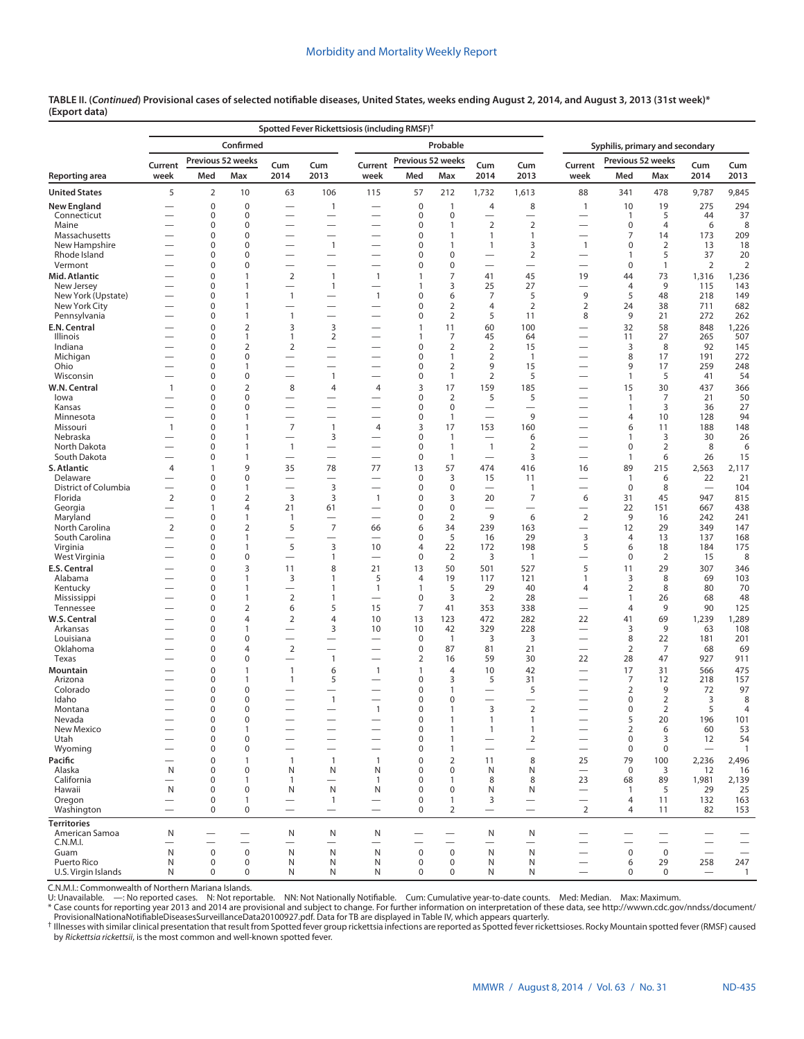|                                      |                          |                          |                            |                                                      | Spotted Fever Rickettsiosis (including RMSF) <sup>†</sup> |                                          |                            |                               |                                  |                                            |                                                      |                                 |                     |                                  |                          |
|--------------------------------------|--------------------------|--------------------------|----------------------------|------------------------------------------------------|-----------------------------------------------------------|------------------------------------------|----------------------------|-------------------------------|----------------------------------|--------------------------------------------|------------------------------------------------------|---------------------------------|---------------------|----------------------------------|--------------------------|
|                                      |                          |                          | Confirmed                  |                                                      |                                                           |                                          |                            | Probable                      |                                  |                                            |                                                      | Syphilis, primary and secondary |                     |                                  |                          |
|                                      | Current                  |                          | Previous 52 weeks          | Cum                                                  | Cum                                                       | Current                                  | Previous 52 weeks          |                               | Cum                              | Cum                                        | Current                                              | Previous 52 weeks               |                     | Cum                              | Cum                      |
| Reporting area                       | week                     | Med                      | Max                        | 2014                                                 | 2013                                                      | week                                     | Med                        | Max                           | 2014                             | 2013                                       | week                                                 | Med                             | Max                 | 2014                             | 2013                     |
| <b>United States</b>                 | 5                        | $\overline{2}$           | 10                         | 63                                                   | 106                                                       | 115                                      | 57                         | 212                           | 1,732                            | 1,613                                      | 88                                                   | 341                             | 478                 | 9,787                            | 9,845                    |
| New England                          |                          | 0                        | $\mathbf 0$                |                                                      | $\mathbf{1}$                                              |                                          | $\mathbf 0$                | $\mathbf{1}$                  | $\overline{4}$                   | 8                                          | 1                                                    | 10                              | 19                  | 275                              | 294                      |
| Connecticut<br>Maine                 |                          | 0<br>0                   | $\mathbf 0$<br>$\mathbf 0$ | $\overline{\phantom{0}}$<br>—                        |                                                           | $\overline{\phantom{0}}$                 | $\pmb{0}$<br>$\mathbf 0$   | $\pmb{0}$<br>$\mathbf{1}$     | -<br>$\overline{2}$              | $\overline{\phantom{0}}$<br>$\overline{2}$ | —                                                    | $\overline{1}$<br>$\mathbf 0$   | 5<br>$\overline{4}$ | 44<br>6                          | 37<br>8                  |
| Massachusetts                        |                          | 0                        | 0                          |                                                      |                                                           | -                                        | $\mathbf 0$                | $\mathbf{1}$                  | $\mathbf{1}$                     | 1                                          | -                                                    | 7                               | 14                  | 173                              | 209                      |
| New Hampshire                        |                          | 0                        | 0                          | $\overline{\phantom{0}}$                             | $\mathbf{1}$                                              | -                                        | $\mathbf 0$                | $\mathbf{1}$                  | 1                                | 3                                          | 1                                                    | $\mathbf 0$                     | $\overline{2}$      | 13                               | 18                       |
| Rhode Island                         |                          | 0                        | 0                          | $\overline{\phantom{0}}$                             |                                                           |                                          | $\mathbf 0$                | $\mathbf 0$                   |                                  | $\overline{2}$                             |                                                      | $\mathbf{1}$                    | 5                   | 37                               | 20                       |
| Vermont                              |                          | 0                        | $\mathbf 0$                | $\overline{\phantom{0}}$                             | $\overline{\phantom{0}}$                                  |                                          | $\mathbf 0$                | $\mathbf 0$                   |                                  | $\overline{\phantom{0}}$                   | -                                                    | $\mathbf 0$                     | $\mathbf{1}$        | $\overline{2}$                   | $\overline{2}$           |
| Mid. Atlantic<br>New Jersey          |                          | 0<br>0                   | 1<br>$\mathbf{1}$          | $\overline{2}$<br>$\overline{\phantom{0}}$           | $\mathbf{1}$<br>$\mathbf{1}$                              | $\mathbf{1}$<br>$\overline{\phantom{0}}$ | $\mathbf{1}$<br>1          | $\overline{7}$<br>3           | 41<br>25                         | 45<br>27                                   | 19                                                   | 44<br>$\overline{4}$            | 73<br>9             | 1,316<br>115                     | 1,236<br>143             |
| New York (Upstate)                   |                          | 0                        | $\mathbf{1}$               | $\mathbf{1}$                                         |                                                           | $\mathbf{1}$                             | $\mathbf 0$                | 6                             | $\overline{7}$                   | 5                                          | 9                                                    | 5                               | 48                  | 218                              | 149                      |
| New York City                        |                          | 0                        | $\mathbf{1}$               | $\overline{\phantom{0}}$                             |                                                           |                                          | 0                          | $\overline{2}$                | $\overline{4}$                   | $\overline{2}$                             | $\overline{2}$                                       | 24                              | 38                  | 711                              | 682                      |
| Pennsylvania                         |                          | 0                        | $\mathbf{1}$               | $\mathbf{1}$                                         |                                                           |                                          | $\mathbf 0$                | $\overline{2}$                | 5                                | 11                                         | 8                                                    | 9                               | 21                  | 272                              | 262                      |
| E.N. Central                         |                          | 0                        | $\overline{2}$             | 3                                                    | 3                                                         |                                          | $\mathbf{1}$               | 11                            | 60                               | 100                                        |                                                      | 32                              | 58                  | 848                              | 1,226                    |
| Illinois<br>Indiana                  | $\overline{\phantom{0}}$ | 0<br>0                   | 1<br>$\overline{2}$        | $\mathbf{1}$<br>$\overline{2}$                       | $\overline{2}$<br>$\overline{\phantom{0}}$                | $\overline{\phantom{0}}$                 | 0                          | 7<br>$\overline{2}$           | 45<br>$\overline{2}$             | 64<br>15                                   | $\overline{\phantom{0}}$<br>$\overline{\phantom{0}}$ | 11<br>3                         | 27<br>8             | 265<br>92                        | 507<br>145               |
| Michigan                             |                          | 0                        | $\pmb{0}$                  | $\overline{\phantom{0}}$                             | $\overline{\phantom{0}}$                                  | $\overline{\phantom{0}}$                 | $\mathbf 0$                | $\mathbf{1}$                  | $\overline{2}$                   | $\overline{1}$                             | -                                                    | 8                               | 17                  | 191                              | 272                      |
| Ohio                                 |                          | 0                        | $\mathbf{1}$               | $\overline{\phantom{0}}$                             |                                                           |                                          | 0                          | $\overline{2}$                | 9                                | 15                                         | $\overline{\phantom{0}}$                             | 9                               | 17                  | 259                              | 248                      |
| Wisconsin                            |                          | 0                        | 0                          |                                                      | $\mathbf{1}$                                              |                                          | 0                          | $\overline{1}$                | $\overline{2}$                   | 5                                          |                                                      | $\mathbf{1}$                    | 5                   | 41                               | 54                       |
| W.N. Central                         | $\mathbf{1}$             | 0                        | $\overline{2}$             | 8                                                    | $\overline{4}$                                            | $\overline{4}$                           | 3                          | 17                            | 159                              | 185                                        |                                                      | 15                              | 30                  | 437                              | 366                      |
| lowa<br>Kansas                       |                          | 0<br>$\Omega$            | 0<br>0                     | $\overline{\phantom{0}}$<br>$\overline{\phantom{0}}$ |                                                           |                                          | $\mathbf 0$<br>$\mathbf 0$ | $\overline{2}$<br>$\mathbf 0$ | 5                                | 5                                          |                                                      | $\mathbf{1}$<br>$\mathbf{1}$    | 7<br>3              | 21<br>36                         | 50<br>27                 |
| Minnesota                            |                          | 0                        | $\mathbf{1}$               | $\overline{\phantom{0}}$                             |                                                           |                                          | 0                          | $\overline{1}$                | $\overbrace{\phantom{12322111}}$ | 9                                          | -                                                    | 4                               | 10                  | 128                              | 94                       |
| Missouri                             | 1                        | 0                        | $\mathbf{1}$               | $\overline{7}$                                       | $\mathbf{1}$                                              | 4                                        | 3                          | 17                            | 153                              | 160                                        |                                                      | 6                               | 11                  | 188                              | 148                      |
| Nebraska                             |                          | 0                        | $\mathbf{1}$               | $\overline{\phantom{0}}$                             | 3                                                         | $\overline{\phantom{0}}$                 | $\mathbf 0$                | $\mathbf{1}$                  |                                  | 6                                          | -                                                    | $\mathbf{1}$                    | 3                   | 30                               | 26                       |
| North Dakota                         |                          | 0                        | $\mathbf{1}$               | $\mathbf{1}$                                         | $\overline{\phantom{0}}$                                  | -                                        | 0                          | $\mathbf{1}$                  | $\mathbf{1}$                     | 2                                          | -                                                    | $\mathbf 0$                     | $\overline{2}$      | 8                                | 6                        |
| South Dakota                         |                          | 0<br>$\mathbf{1}$        | $\mathbf{1}$<br>9          | 35                                                   | $\overline{\phantom{0}}$                                  | 77                                       | 0<br>13                    | $\mathbf{1}$<br>57            | 474                              | 3                                          | —                                                    | $\mathbf{1}$<br>89              | 6<br>215            | 26                               | 15                       |
| S. Atlantic<br>Delaware              | 4                        | $\Omega$                 | $\mathbf 0$                | -                                                    | 78                                                        | $\overline{\phantom{0}}$                 | $\mathbf 0$                | 3                             | 15                               | 416<br>11                                  | 16<br>-                                              | $\mathbf{1}$                    | 6                   | 2,563<br>22                      | 2,117<br>21              |
| District of Columbia                 |                          | 0                        | $\mathbf{1}$               | $\overline{\phantom{0}}$                             | 3                                                         |                                          | $\mathbf 0$                | $\pmb{0}$                     | $\overline{\phantom{0}}$         | $\mathbf{1}$                               |                                                      | $\mathbf 0$                     | 8                   |                                  | 104                      |
| Florida                              | $\mathbf 2$              | 0                        | $\overline{2}$             | $\overline{3}$                                       | 3                                                         | $\mathbf{1}$                             | $\mathbf 0$                | 3                             | 20                               | 7                                          | 6                                                    | 31                              | 45                  | 947                              | 815                      |
| Georgia                              | $\overline{\phantom{0}}$ | 1<br>$\Omega$            | 4<br>$\mathbf{1}$          | 21                                                   | 61                                                        | $\overline{\phantom{0}}$                 | $\mathbf 0$<br>$\mathbf 0$ | $\pmb{0}$<br>$\mathbf 2$      | $\overline{\phantom{0}}$<br>9    | $\overline{\phantom{0}}$<br>6              | $\overline{\phantom{0}}$<br>$\mathbf 2$              | 22<br>9                         | 151                 | 667                              | 438                      |
| Maryland<br>North Carolina           | $\overline{2}$           | 0                        | $\overline{2}$             | 1<br>5                                               | $\overline{7}$                                            | -<br>66                                  | 6                          | 34                            | 239                              | 163                                        |                                                      | 12                              | 16<br>29            | 242<br>349                       | 241<br>147               |
| South Carolina                       |                          | 0                        | $\mathbf{1}$               |                                                      | $\overline{\phantom{0}}$                                  |                                          | $\mathbf 0$                | 5                             | 16                               | 29                                         | 3                                                    | $\overline{4}$                  | 13                  | 137                              | 168                      |
| Virginia                             |                          | 0                        | $\mathbf{1}$               | 5                                                    | 3                                                         | 10                                       | $\overline{4}$             | 22                            | 172                              | 198                                        | 5                                                    | 6                               | 18                  | 184                              | 175                      |
| West Virginia                        |                          | 0                        | $\mathbf 0$                |                                                      | 1                                                         | $\overline{\phantom{0}}$                 | 0                          | 2                             | 3                                | $\mathbf{1}$                               | $\overline{\phantom{0}}$                             | 0                               | $\overline{2}$      | 15                               | 8                        |
| E.S. Central                         |                          | 0<br>0                   | 3<br>1                     | 11                                                   | 8<br>1                                                    | 21<br>5                                  | 13<br>4                    | 50<br>19                      | 501<br>117                       | 527<br>121                                 | 5                                                    | 11                              | 29<br>8             | 307<br>69                        | 346<br>103               |
| Alabama<br>Kentucky                  |                          | $\Omega$                 | $\mathbf{1}$               | 3<br>$\overline{\phantom{0}}$                        | $\mathbf{1}$                                              | $\mathbf{1}$                             | 1                          | 5                             | 29                               | 40                                         | 1<br>$\overline{4}$                                  | 3<br>$\overline{2}$             | 8                   | 80                               | 70                       |
| Mississippi                          |                          | 0                        | $\mathbf{1}$               | $\mathbf 2$                                          | 1                                                         | $\overline{\phantom{0}}$                 | 0                          | 3                             | 2                                | 28                                         |                                                      | $\mathbf{1}$                    | 26                  | 68                               | 48                       |
| Tennessee                            |                          | $\Omega$                 | $\overline{2}$             | 6                                                    | 5                                                         | 15                                       | 7                          | 41                            | 353                              | 338                                        | —                                                    | $\overline{4}$                  | 9                   | 90                               | 125                      |
| W.S. Central                         |                          | $\Omega$                 | $\overline{4}$             | $\mathbf 2$                                          | 4                                                         | 10                                       | 13                         | 123                           | 472                              | 282                                        | 22                                                   | 41                              | 69                  | 1,239                            | 1,289                    |
| Arkansas<br>Louisiana                |                          | 0<br>0                   | 1<br>$\mathbf 0$           | $\overline{\phantom{0}}$<br>$\overline{\phantom{0}}$ | 3<br>$\overline{\phantom{0}}$                             | 10                                       | 10<br>$\mathbf 0$          | 42<br>$\overline{1}$          | 329<br>3                         | 228<br>3                                   | -<br>-                                               | 3<br>8                          | 9<br>22             | 63<br>181                        | 108<br>201               |
| Oklahoma                             |                          | 0                        | $\overline{4}$             | $\mathbf 2$                                          |                                                           |                                          | $\mathbf 0$                | 87                            | 81                               | 21                                         | $\overline{\phantom{0}}$                             | $\overline{2}$                  | 7                   | 68                               | 69                       |
| Texas                                |                          | 0                        | 0                          | $\overline{\phantom{0}}$                             | $\mathbf{1}$                                              |                                          | 2                          | 16                            | 59                               | 30                                         | 22                                                   | 28                              | 47                  | 927                              | 911                      |
| Mountain                             |                          | 0                        | 1                          | $\mathbf{1}$                                         | 6                                                         | $\mathbf{1}$                             | $\mathbf{1}$               | $\overline{4}$                | 10                               | 42                                         | $\overline{\phantom{0}}$                             | 17                              | 31                  | 566                              | 475                      |
| Arizona                              |                          | 0                        | 1                          | $\mathbf{1}$                                         | 5                                                         |                                          | $\mathbf 0$                | 3                             | 5                                | 31                                         |                                                      | 7                               | 12                  | 218                              | 157                      |
| Colorado<br>Idaho                    |                          | 0<br>0                   | 0<br>0                     |                                                      | $\mathbf{1}$                                              |                                          | 0<br>0                     | 1<br>$\mathbf 0$              |                                  | 5<br>$\overline{\phantom{0}}$              |                                                      | 2<br>$\mathbf 0$                | 9<br>$\overline{2}$ | 72<br>3                          | 97<br>8                  |
| Montana                              |                          | 0                        | $\Omega$                   |                                                      |                                                           | $\mathbf{1}$                             | $\Omega$                   | $\mathbf{1}$                  | 3                                | $\overline{2}$                             |                                                      | $\Omega$                        | $\overline{2}$      | 5                                | 4                        |
| Nevada                               |                          | 0                        | $\pmb{0}$                  | —                                                    | $\overline{\phantom{0}}$                                  |                                          | $\mathbf 0$                | $\mathbf{1}$                  | $\mathbf{1}$                     | $\mathbf{1}$                               | —                                                    | 5                               | 20                  | 196                              | 101                      |
| New Mexico                           | -                        | 0                        | $\mathbf{1}$               |                                                      |                                                           | -                                        | $\mathbf 0$                | $\overline{1}$                | $\mathbf{1}$                     | $\mathbf{1}$                               | -                                                    | $\overline{2}$                  | 6                   | 60                               | 53                       |
| Utah<br>Wyoming                      | -                        | 0<br>0                   | $\pmb{0}$<br>$\mathbf 0$   | $\overline{\phantom{0}}$<br>$\overline{\phantom{0}}$ | $\qquad \qquad$<br>$\overline{\phantom{0}}$               |                                          | $\mathbf 0$<br>$\mathbf 0$ | $\mathbf{1}$<br>$\mathbf{1}$  | $\overline{\phantom{0}}$         | $\overline{2}$                             | $\overline{\phantom{0}}$<br>$\overline{\phantom{0}}$ | $\mathbf 0$<br>$\mathbf 0$      | 3<br>$\mathbf 0$    | 12<br>$\overline{\phantom{0}}$   | 54<br>$\overline{1}$     |
| Pacific                              |                          | 0                        | $\mathbf{1}$               | $\mathbf{1}$                                         | $\mathbf{1}$                                              | $\mathbf{1}$                             | $\mathbf 0$                | $\overline{2}$                | 11                               | 8                                          | 25                                                   | 79                              | 100                 | 2,236                            | 2,496                    |
| Alaska                               | N                        | 0                        | $\mathbf 0$                | N                                                    | N                                                         | N                                        | $\mathbf 0$                | $\mathbf 0$                   | N                                | N                                          | $\overline{\phantom{m}}$                             | $\mathbf 0$                     | 3                   | 12                               | 16                       |
| California                           |                          | 0                        | $\mathbf{1}$               | $\mathbf{1}$                                         |                                                           | $\mathbf{1}$                             | $\mathbf 0$                | $\mathbf{1}$                  | 8                                | 8                                          | 23                                                   | 68                              | 89                  | 1,981                            | 2,139                    |
| Hawaii                               | N                        | 0                        | $\mathbf 0$                | N                                                    | N                                                         | N                                        | $\mathbf 0$                | $\mathbf 0$                   | N                                | N                                          |                                                      | $\mathbf{1}$                    | 5                   | 29                               | 25                       |
| Oregon<br>Washington                 | $\overline{\phantom{0}}$ | 0<br>0                   | 1<br>$\mathbf 0$           |                                                      | $\mathbf{1}$<br>$\overline{\phantom{0}}$                  | $\overline{\phantom{0}}$                 | 0<br>$\mathbf 0$           | $\mathbf{1}$<br>2             | 3<br>$\overline{\phantom{0}}$    | $\overline{\phantom{0}}$                   | $\overline{2}$                                       | $\overline{4}$<br>4             | 11<br>11            | 132<br>82                        | 163<br>153               |
|                                      |                          |                          |                            |                                                      |                                                           |                                          |                            |                               |                                  |                                            |                                                      |                                 |                     |                                  |                          |
| <b>Territories</b><br>American Samoa | N                        |                          |                            | N                                                    | N                                                         | N                                        |                            | —                             | N                                | N                                          | $\overline{\phantom{0}}$                             |                                 |                     |                                  |                          |
| C.N.M.I.                             |                          | $\overline{\phantom{0}}$ | $\overline{\phantom{0}}$   |                                                      |                                                           | $\overline{\phantom{0}}$                 |                            | $\overline{\phantom{0}}$      | $\overbrace{\phantom{12322111}}$ | $\overline{\phantom{0}}$                   | $\overbrace{\phantom{12322111}}$                     |                                 |                     | $\overbrace{\phantom{12322111}}$ |                          |
| Guam                                 | $\mathsf{N}$             | $\pmb{0}$                | $\pmb{0}$                  | $\mathsf{N}$                                         | N                                                         | N                                        | $\mathbf 0$                | $\mathbf 0$                   | N                                | N                                          | $\overline{\phantom{0}}$                             | $\mathsf 0$                     | $\mathbf 0$         | $\overbrace{\phantom{12322111}}$ | $\overline{\phantom{0}}$ |
| Puerto Rico<br>U.S. Virgin Islands   | N<br>N                   | 0<br>0                   | 0<br>0                     | N<br>N                                               | N<br>N                                                    | N<br>N                                   | 0<br>0                     | $\mathbf 0$<br>0              | N<br>N                           | N<br>N                                     | $\overline{\phantom{0}}$                             | 6<br>$\mathbf 0$                | 29<br>$\mathbf 0$   | 258<br>$\overline{\phantom{0}}$  | 247<br>$\mathbf{1}$      |
|                                      |                          |                          |                            |                                                      |                                                           |                                          |                            |                               |                                  |                                            |                                                      |                                 |                     |                                  |                          |

C.N.M.I.: Commonwealth of Northern Mariana Islands.

U: Unavailable. —: No reported cases. N: Not reportable. NN: Not Nationally Notifiable. Cum: Cumulative year-to-date counts. Med: Median. Max: Maximum.

\* Case counts for reporting year 2013 and 2014 are provisional and subject to change. For further information on interpretation of these data, see [http://wwwn.cdc.gov/nndss/document/](http://wwwn.cdc.gov/nndss/document/ProvisionalNationaNotifiableDiseasesSurveillanceData20100927.pdf)<br>ProvisionalNationaNotifiableDiseasesSur

[ProvisionalNationaNotifiableDiseasesSurveillanceData20100927.pdf](http://wwwn.cdc.gov/nndss/document/ProvisionalNationaNotifiableDiseasesSurveillanceData20100927.pdf). Data for TB are displayed in Table IV, which appears quarterly.<br><sup>†</sup> Illnesses with similar clinical presentation that result from Spotted fever group ricket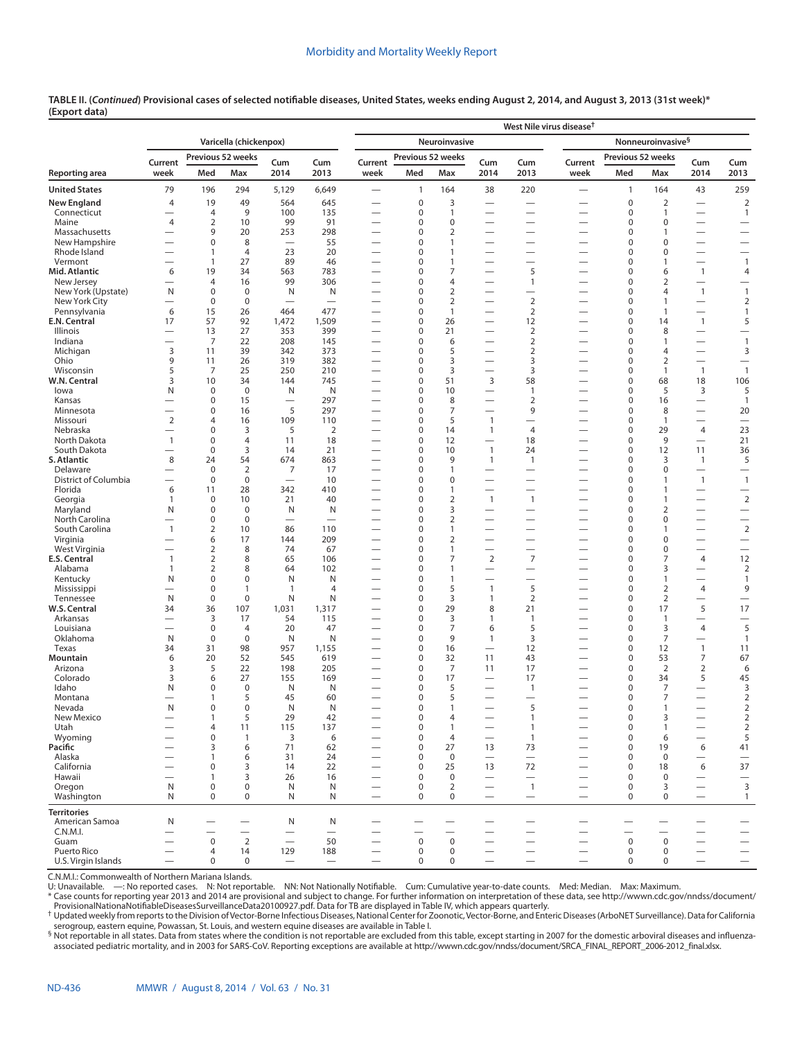|                                  |                               |                               |                               |                                 |                                      |                                                      |                   |                                |                                |                                                      | West Nile virus disease <sup>+</sup>                 |                         |                               |                                                      |                                          |
|----------------------------------|-------------------------------|-------------------------------|-------------------------------|---------------------------------|--------------------------------------|------------------------------------------------------|-------------------|--------------------------------|--------------------------------|------------------------------------------------------|------------------------------------------------------|-------------------------|-------------------------------|------------------------------------------------------|------------------------------------------|
|                                  |                               |                               | Varicella (chickenpox)        |                                 |                                      |                                                      |                   | Neuroinvasive                  |                                |                                                      |                                                      |                         | Nonneuroinvasive <sup>§</sup> |                                                      |                                          |
|                                  | Current                       | Previous 52 weeks             |                               | Cum                             | Cum                                  | Current                                              | Previous 52 weeks |                                | Cum                            | Cum                                                  | Current                                              | Previous 52 weeks       |                               | Cum                                                  | Cum                                      |
| Reporting area                   | week                          | Med                           | Max                           | 2014                            | 2013                                 | week                                                 | Med               | Max                            | 2014                           | 2013                                                 | week                                                 | Med                     | Max                           | 2014                                                 | 2013                                     |
| <b>United States</b>             | 79                            | 196                           | 294                           | 5,129                           | 6,649                                |                                                      | 1                 | 164                            | 38                             | 220                                                  |                                                      | 1                       | 164                           | 43                                                   | 259                                      |
| New England                      | $\overline{4}$                | 19                            | 49<br>9                       | 564                             | 645                                  | $\overline{\phantom{0}}$<br>$\overline{\phantom{0}}$ | 0<br>0            | 3                              |                                | -                                                    |                                                      | $\mathbf 0$             | $\overline{2}$                | $\overline{\phantom{0}}$<br>$\equiv$                 | $\overline{2}$                           |
| Connecticut<br>Maine             | 4                             | 4<br>$\overline{2}$           | 10                            | 100<br>99                       | 135<br>91                            |                                                      | 0                 | $\mathbf{1}$<br>$\mathbf 0$    | $\overline{\phantom{0}}$       | $\overline{\phantom{0}}$                             |                                                      | $\pmb{0}$<br>$\pmb{0}$  | $\mathbf{1}$<br>0             |                                                      | $\mathbf{1}$                             |
| Massachusetts                    |                               | 9                             | 20                            | 253                             | 298                                  |                                                      | 0                 | $\overline{2}$                 |                                |                                                      |                                                      | $\pmb{0}$               | 1                             |                                                      | $\overline{\phantom{0}}$                 |
| New Hampshire                    |                               | 0                             | 8                             |                                 | 55                                   |                                                      | 0                 | $\mathbf{1}$                   |                                |                                                      |                                                      | $\mathbf 0$             | $\mathbf 0$                   | $\overline{\phantom{0}}$                             | $\overline{\phantom{0}}$                 |
| Rhode Island<br>Vermont          |                               | $\mathbf{1}$<br>$\mathbf{1}$  | $\overline{4}$<br>27          | 23<br>89                        | 20<br>46                             | -                                                    | 0<br>0            | 1<br>$\mathbf{1}$              | $\overline{\phantom{0}}$       |                                                      | -                                                    | $\mathbf 0$<br>0        | 0<br>$\mathbf{1}$             |                                                      | $\overline{\phantom{0}}$<br>$\mathbf{1}$ |
| Mid. Atlantic                    | 6                             | 19                            | 34                            | 563                             | 783                                  | <u>—</u><br>$\overline{\phantom{0}}$                 | 0                 | $\overline{7}$                 | -<br>$\overline{\phantom{0}}$  | 5                                                    | $\overline{\phantom{0}}$<br>$\overline{\phantom{0}}$ | $\mathbf 0$             | 6                             | $\overline{\phantom{0}}$<br>$\mathbf{1}$             | 4                                        |
| New Jersey                       |                               | $\overline{4}$                | 16                            | 99                              | 306                                  | $\overline{\phantom{0}}$                             | 0                 | $\overline{4}$                 |                                | $\mathbf{1}$                                         | $\overline{\phantom{0}}$                             | $\mathbf 0$             | 2                             |                                                      | $\qquad \qquad$                          |
| New York (Upstate)               | N                             | $\mathbf 0$                   | $\mathbf 0$                   | N                               | N                                    | -                                                    | $\Omega$          | $\overline{2}$                 | -                              |                                                      | -                                                    | 0                       | 4                             | $\mathbf{1}$                                         | $\mathbf{1}$                             |
| New York City<br>Pennsylvania    | 6                             | $\mathbf 0$<br>15             | $\mathbf 0$<br>26             | $\overline{\phantom{0}}$<br>464 | $\overline{\phantom{0}}$<br>477      | -<br>$\overline{\phantom{0}}$                        | 0<br>0            | $\overline{2}$<br>$\mathbf{1}$ | $\overline{\phantom{0}}$       | $\overline{2}$<br>$\mathbf 2$                        | -                                                    | 0<br>0                  | $\mathbf{1}$<br>$\mathbf{1}$  | $\overline{\phantom{0}}$<br>$\overline{\phantom{0}}$ | $\overline{2}$<br>$\mathbf{1}$           |
| E.N. Central                     | 17                            | 57                            | 92                            | 1,472                           | 1,509                                | $\overline{\phantom{0}}$                             | 0                 | 26                             |                                | 12                                                   | -                                                    | 0                       | 14                            | $\mathbf{1}$                                         | 5                                        |
| Illinois                         |                               | 13                            | 27                            | 353                             | 399                                  |                                                      | 0                 | 21                             |                                | $\mathbf 2$                                          |                                                      | 0                       | 8                             | $\overline{\phantom{0}}$                             | $\overbrace{\phantom{12322111}}$         |
| Indiana                          |                               | 7                             | 22                            | 208                             | 145                                  |                                                      | $\Omega$          | 6                              |                                | $\overline{2}$                                       |                                                      | 0                       | $\mathbf{1}$                  | -                                                    | $\mathbf{1}$                             |
| Michigan<br>Ohio                 | 3<br>9                        | 11<br>11                      | 39<br>26                      | 342<br>319                      | 373<br>382                           | $\overline{\phantom{0}}$<br>$\overline{\phantom{0}}$ | 0<br>$\Omega$     | 5<br>3                         | $\overline{\phantom{0}}$       | $\overline{2}$<br>3                                  | $\overline{\phantom{0}}$<br>-                        | 0<br>0                  | 4<br>2                        | $\overline{\phantom{0}}$<br>$\overline{\phantom{0}}$ | 3<br>$\overbrace{\phantom{12322111}}$    |
| Wisconsin                        | 5                             | 7                             | 25                            | 250                             | 210                                  |                                                      | 0                 | 3                              |                                | 3                                                    |                                                      | 0                       | $\mathbf{1}$                  | $\mathbf{1}$                                         | $\overline{1}$                           |
| W.N. Central                     | 3                             | 10                            | 34                            | 144                             | 745                                  | -                                                    | 0                 | 51                             | 3                              | 58                                                   |                                                      | 0                       | 68                            | 18                                                   | 106                                      |
| lowa                             | N                             | 0                             | $\mathbf 0$                   | N                               | N                                    | $\overline{\phantom{0}}$                             | 0                 | 10                             | $\overline{\phantom{0}}$       | $\mathbf{1}$                                         | —                                                    | 0                       | 5                             | 3                                                    | 5                                        |
| Kansas                           |                               | 0                             | 15                            | $\overline{\phantom{0}}$        | 297                                  | $\overline{\phantom{0}}$                             | 0                 | 8                              |                                | $\overline{2}$                                       | $\overline{\phantom{0}}$                             | 0                       | 16                            | $\overline{\phantom{0}}$                             | $\mathbf{1}$                             |
| Minnesota<br>Missouri            | $\overline{2}$                | 0<br>4                        | 16<br>16                      | 5<br>109                        | 297<br>110                           | $\overline{\phantom{0}}$                             | 0<br>0            | 7<br>5                         | $\mathbf{1}$                   | 9                                                    | $\overline{\phantom{0}}$<br>-                        | 0<br>0                  | 8<br>$\mathbf{1}$             | $\equiv$                                             | 20<br>$\overline{\phantom{0}}$           |
| Nebraska                         |                               | 0                             | 3                             | 5                               | 2                                    | $\overline{\phantom{0}}$                             | 0                 | 14                             | $\mathbf{1}$                   | $\overline{4}$                                       | $\overline{\phantom{0}}$                             | 0                       | 29                            | $\overline{4}$                                       | 23                                       |
| North Dakota                     | $\mathbf{1}$                  | 0                             | $\overline{4}$                | 11                              | 18                                   | $\overline{\phantom{0}}$                             | 0                 | 12                             |                                | 18                                                   |                                                      | 0                       | 9                             |                                                      | 21                                       |
| South Dakota                     | $\overline{\phantom{0}}$      | 0                             | 3                             | 14                              | 21                                   |                                                      | 0                 | 10                             | $\mathbf{1}$                   | 24                                                   | $\overline{\phantom{0}}$                             | 0                       | 12                            | 11                                                   | 36                                       |
| S. Atlantic                      | 8                             | 24                            | 54                            | 674                             | 863                                  |                                                      | 0                 | 9                              | $\mathbf{1}$                   | $\mathbf{1}$                                         |                                                      | 0                       | 3                             | $\mathbf{1}$                                         | 5                                        |
| Delaware<br>District of Columbia |                               | $\mathbf 0$<br>$\mathbf 0$    | $\overline{2}$<br>$\mathbf 0$ | 7<br>$\overline{\phantom{0}}$   | 17<br>10                             | $\overline{\phantom{0}}$                             | 0<br>0            | $\mathbf{1}$<br>$\mathbf 0$    |                                | $\overline{\phantom{0}}$<br>$\overline{\phantom{0}}$ | $\overline{\phantom{0}}$                             | 0<br>0                  | 0<br>$\mathbf{1}$             | $\mathbf{1}$                                         | $\mathbf{1}$                             |
| Florida                          | 6                             | 11                            | 28                            | 342                             | 410                                  |                                                      | 0                 | $\mathbf{1}$                   |                                | $\overline{\phantom{0}}$                             |                                                      | $\pmb{0}$               | $\mathbf{1}$                  |                                                      |                                          |
| Georgia                          | -1                            | $\mathbf 0$                   | 10                            | 21                              | 40                                   |                                                      | 0                 | $\overline{2}$                 | $\mathbf{1}$                   | $\mathbf{1}$                                         |                                                      | $\mathbf 0$             | $\mathbf{1}$                  | $\overline{\phantom{0}}$                             | $\overline{2}$                           |
| Maryland                         | N                             | $\mathbf 0$                   | $\mathbf 0$                   | N                               | N                                    | $\overline{\phantom{0}}$                             | 0                 | 3                              |                                |                                                      | $\overline{\phantom{0}}$                             | 0                       | $\overline{2}$                |                                                      | $\qquad \qquad$                          |
| North Carolina<br>South Carolina | $\mathbf{1}$                  | $\mathbf 0$<br>$\overline{2}$ | $\mathbf 0$<br>10             | $\overline{\phantom{0}}$<br>86  | $\overline{\phantom{0}}$<br>110      |                                                      | $\Omega$<br>0     | $\overline{2}$<br>1            |                                | -<br>$\overline{\phantom{0}}$                        |                                                      | 0<br>$\mathbf 0$        | 0<br>1                        | -<br>$\overline{\phantom{0}}$                        | $\overline{2}$                           |
| Virginia                         |                               | 6                             | 17                            | 144                             | 209                                  |                                                      | $\Omega$          | $\overline{2}$                 |                                |                                                      | -                                                    | $\mathbf 0$             | 0                             |                                                      | $\qquad \qquad$                          |
| West Virginia                    | —                             | $\overline{2}$                | 8                             | 74                              | 67                                   | $\overline{\phantom{0}}$                             | 0                 | 1                              |                                |                                                      | —                                                    | 0                       | 0                             | $\overline{\phantom{0}}$                             | $\qquad \qquad$                          |
| E.S. Central                     | $\mathbf{1}$                  | $\overline{2}$                | 8                             | 65                              | 106                                  |                                                      | $\Omega$          | $\overline{7}$                 | $\overline{2}$                 | $\overline{7}$                                       |                                                      | $\mathbf 0$             | 7                             | $\overline{4}$                                       | 12                                       |
| Alabama                          | $\mathbf{1}$                  | $\overline{2}$<br>$\mathbf 0$ | 8<br>0                        | 64<br>N                         | 102<br>N                             | -                                                    | 0<br>0            | $\mathbf{1}$<br>$\mathbf{1}$   | $\overline{\phantom{0}}$       |                                                      |                                                      | $\mathbf 0$<br>$\Omega$ | 3<br>$\mathbf{1}$             | $\overline{\phantom{0}}$                             | $\overline{2}$                           |
| Kentucky<br>Mississippi          | N<br>$\overline{\phantom{0}}$ | $\mathbf 0$                   | $\mathbf{1}$                  | $\mathbf{1}$                    | 4                                    | $\overline{\phantom{0}}$<br>—                        | 0                 | 5                              | $\mathbf{1}$                   | 5                                                    | $\overline{\phantom{0}}$<br>$\overline{\phantom{0}}$ | $\Omega$                | $\overline{2}$                | $\overline{\phantom{0}}$<br>$\overline{4}$           | $\mathbf{1}$<br>9                        |
| Tennessee                        | N                             | $\mathbf 0$                   | 0                             | N                               | N                                    |                                                      | 0                 | 3                              | 1                              | $\mathbf 2$                                          |                                                      | 0                       | $\overline{2}$                | $\overline{\phantom{0}}$                             |                                          |
| W.S. Central                     | 34                            | 36                            | 107                           | 1,031                           | 1,317                                | -                                                    | 0                 | 29                             | 8                              | 21                                                   | -                                                    | 0                       | 17                            | 5                                                    | 17                                       |
| Arkansas                         |                               | 3                             | 17                            | 54                              | 115                                  | $\overline{\phantom{0}}$                             | 0                 | 3                              | $\mathbf{1}$                   | 1                                                    | —                                                    | 0                       | $\mathbf{1}$                  | $\overline{\phantom{0}}$                             | $\overline{\phantom{0}}$                 |
| Louisiana<br>Oklahoma            | N                             | $\mathbf 0$<br>$\mathbf 0$    | $\overline{4}$<br>$\mathbf 0$ | 20<br>N                         | 47<br>N                              | -                                                    | $\Omega$<br>0     | $\overline{7}$<br>9            | 6<br>$\mathbf{1}$              | 5<br>3                                               | -                                                    | 0<br>0                  | 3<br>7                        | $\overline{4}$<br>$\overline{\phantom{0}}$           | 5<br>$\mathbf{1}$                        |
| Texas                            | 34                            | 31                            | 98                            | 957                             | 1,155                                | -                                                    | 0                 | 16                             | $\overline{\phantom{0}}$       | 12                                                   | -                                                    | 0                       | 12                            | $\mathbf{1}$                                         | 11                                       |
| Mountain                         | 6                             | 20                            | 52                            | 545                             | 619                                  | -                                                    | 0                 | 32                             | 11                             | 43                                                   | -                                                    | 0                       | 53                            | $\overline{7}$                                       | 67                                       |
| Arizona                          | 3                             | 5                             | 22                            | 198                             | 205                                  |                                                      | $\Omega$          | $\overline{7}$                 | 11                             | 17                                                   |                                                      | 0                       | $\overline{2}$                | $\mathbf 2$                                          | 6                                        |
| Colorado                         | 3                             | 6                             | 27                            | 155                             | 169                                  |                                                      | 0                 | 17                             |                                | 17                                                   |                                                      | 0                       | 34                            | 5                                                    | 45                                       |
| Idaho<br>Montana                 | N                             | 0<br>$\mathbf{1}$             | $\mathbf 0$<br>5              | N<br>45                         | N<br>60                              | $\overline{\phantom{0}}$                             | 0<br>0            | 5<br>5                         | $\overline{\phantom{0}}$       | $\mathbf{1}$                                         | $\overline{\phantom{0}}$                             | 0<br>0                  | 7<br>$\overline{7}$           | $\overline{\phantom{0}}$                             | 3<br>2                                   |
| Nevada                           | N                             | 0                             | $\Omega$                      | N                               | N                                    |                                                      | <sup>0</sup>      | 1                              |                                | 5                                                    |                                                      | 0                       | $\mathbf{1}$                  |                                                      | 2                                        |
| New Mexico                       |                               | $\mathbf{1}$                  | 5                             | 29                              | 42                                   |                                                      | 0                 | 4                              |                                | $\mathbf{1}$                                         |                                                      | 0                       | 3                             |                                                      | $\overline{2}$                           |
| Utah                             |                               | $\overline{4}$                | 11                            | 115                             | 137                                  |                                                      | 0                 | $\mathbf{1}$                   |                                | $\mathbf{1}$                                         |                                                      | $\pmb{0}$               | $\mathbf{1}$                  | $\overline{\phantom{0}}$                             | $\overline{2}$                           |
| Wyoming<br>Pacific               |                               | 0<br>3                        | $\mathbf{1}$<br>6             | 3<br>71                         | 6<br>62                              | $\overline{\phantom{0}}$                             | 0<br>0            | 4<br>27                        | $\overline{\phantom{0}}$<br>13 | 1<br>73                                              | $\overline{\phantom{0}}$<br>—                        | 0<br>$\mathbf 0$        | 6<br>19                       | $\overline{\phantom{0}}$<br>6                        | 5<br>41                                  |
| Alaska                           |                               | $\mathbf{1}$                  | 6                             | 31                              | 24                                   |                                                      | 0                 | $\mathbf 0$                    | $\overline{\phantom{0}}$       | $\overbrace{\phantom{12322111}}$                     | $\overline{\phantom{0}}$                             | 0                       | 0                             |                                                      | $\overbrace{\phantom{123221111}}$        |
| California                       |                               | $\mathbf 0$                   | 3                             | 14                              | 22                                   | $\overline{\phantom{0}}$                             | 0                 | 25                             | 13                             | 72                                                   |                                                      | 0                       | 18                            | 6                                                    | 37                                       |
| Hawaii                           |                               | 1                             | 3                             | 26                              | 16                                   |                                                      | 0                 | $\mathbf 0$                    |                                |                                                      |                                                      | 0                       | 0                             |                                                      |                                          |
| Oregon                           | N                             | $\mathbf 0$                   | 0                             | N                               | N                                    |                                                      | 0                 | $\overline{2}$                 |                                | $\mathbf{1}$                                         |                                                      | 0                       | 3                             | $\overline{\phantom{0}}$                             | $\mathsf 3$                              |
| Washington                       | N                             | $\mathbf 0$                   | 0                             | N                               | N                                    | $\overline{\phantom{0}}$                             | 0                 | $\mathbf 0$                    |                                |                                                      |                                                      | 0                       | $\mathbf 0$                   | $\equiv$                                             | $\mathbf{1}$                             |
| <b>Territories</b>               |                               |                               |                               |                                 |                                      |                                                      |                   |                                |                                |                                                      |                                                      |                         |                               |                                                      |                                          |
| American Samoa<br>C.N.M.I.       | N                             |                               | $\overline{\phantom{0}}$      | N<br>$\overline{\phantom{0}}$   | N<br>$\overbrace{\phantom{1232211}}$ | $\overline{\phantom{0}}$                             |                   |                                |                                |                                                      | $\overline{\phantom{0}}$                             |                         | $\overline{\phantom{0}}$      |                                                      | $\overline{\phantom{0}}$                 |
| Guam                             |                               | $\mathsf 0$                   | $\overline{2}$                | $\overline{\phantom{0}}$        | 50                                   | $\overline{\phantom{0}}$                             | $\mathbf 0$       | $\mathsf 0$                    |                                | $\overline{\phantom{0}}$                             |                                                      | $\pmb{0}$               | $\mathbf 0$                   | $\overline{\phantom{0}}$                             |                                          |
| Puerto Rico                      | $\overline{\phantom{0}}$      | 4                             | 14                            | 129                             | 188                                  | $\qquad \qquad$                                      | 0                 | $\mathbf 0$                    | $\overline{\phantom{0}}$       | $\overline{\phantom{m}}$                             | $\overline{\phantom{0}}$                             | $\mathbf 0$             | 0                             |                                                      | $\qquad \qquad -$                        |
| U.S. Virgin Islands              | $\overline{\phantom{0}}$      | 0                             | 0                             | $\overline{\phantom{m}}$        | $\qquad \qquad -$                    | $\overline{\phantom{0}}$                             | 0                 | 0                              |                                | $\overline{\phantom{m}}$                             |                                                      | 0                       | 0                             |                                                      | $\qquad \qquad -$                        |

C.N.M.I.: Commonwealth of Northern Mariana Islands.

U: Unavailable. —: No reported cases. N: Not reportable. NN: Not Nationally Notifiable. Cum: Cumulative year-to-date counts. Med: Median. Max: Maximum.

\* Case counts for reporting year 2013 and 2014 are provisional and subject to change. For further information on interpretation of these data, see [http://wwwn.cdc.gov/nndss/document/](http://wwwn.cdc.gov/nndss/document/ProvisionalNationaNotifiableDiseasesSurveillanceData20100927.pdf)

[ProvisionalNationaNotifiableDiseasesSurveillanceData20100927.pdf](http://wwwn.cdc.gov/nndss/document/ProvisionalNationaNotifiableDiseasesSurveillanceData20100927.pdf). Data for TB are displayed in Table IV, which appears quarterly.<br>† Updated weekly from reports to the Division of Vector-Borne Infectious Diseases, National

associated pediatric mortality, and in 2003 for SARS-CoV. Reporting exceptions are available at [http://wwwn.cdc.gov/nndss/document/SRCA\\_FINAL\\_REPORT\\_2006-2012\\_final.xlsx](http://wwwn.cdc.gov/nndss/document/SRCA_FINAL_REPORT_2006-2012_final.xlsx).